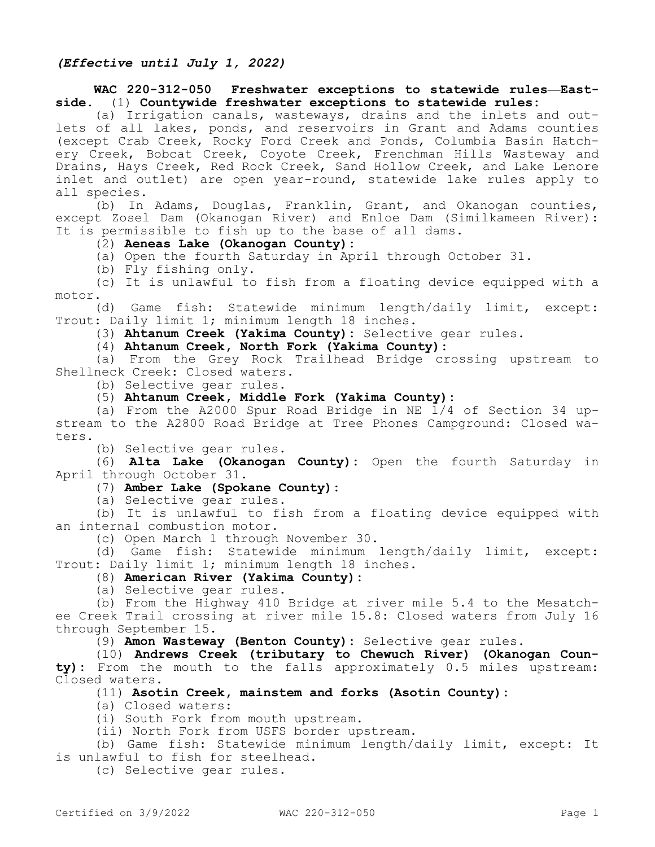### **WAC 220-312-050 Freshwater exceptions to statewide rules—Eastside.** (1) **Countywide freshwater exceptions to statewide rules:**

(a) Irrigation canals, wasteways, drains and the inlets and outlets of all lakes, ponds, and reservoirs in Grant and Adams counties (except Crab Creek, Rocky Ford Creek and Ponds, Columbia Basin Hatchery Creek, Bobcat Creek, Coyote Creek, Frenchman Hills Wasteway and Drains, Hays Creek, Red Rock Creek, Sand Hollow Creek, and Lake Lenore inlet and outlet) are open year-round, statewide lake rules apply to all species.

(b) In Adams, Douglas, Franklin, Grant, and Okanogan counties, except Zosel Dam (Okanogan River) and Enloe Dam (Similkameen River): It is permissible to fish up to the base of all dams.

### (2) **Aeneas Lake (Okanogan County):**

(a) Open the fourth Saturday in April through October 31.

(b) Fly fishing only.

(c) It is unlawful to fish from a floating device equipped with a motor.

(d) Game fish: Statewide minimum length/daily limit, except: Trout: Daily limit 1; minimum length 18 inches.

(3) **Ahtanum Creek (Yakima County):** Selective gear rules.

(4) **Ahtanum Creek, North Fork (Yakima County):**

(a) From the Grey Rock Trailhead Bridge crossing upstream to Shellneck Creek: Closed waters.

(b) Selective gear rules.

(5) **Ahtanum Creek, Middle Fork (Yakima County):**

(a) From the A2000 Spur Road Bridge in NE 1/4 of Section 34 upstream to the A2800 Road Bridge at Tree Phones Campground: Closed waters.

(b) Selective gear rules.

(6) **Alta Lake (Okanogan County):** Open the fourth Saturday in April through October 31.

# (7) **Amber Lake (Spokane County):**

(a) Selective gear rules.

(b) It is unlawful to fish from a floating device equipped with an internal combustion motor.

(c) Open March 1 through November 30.

(d) Game fish: Statewide minimum length/daily limit, except: Trout: Daily limit 1; minimum length 18 inches.

# (8) **American River (Yakima County):**

(a) Selective gear rules.

(b) From the Highway 410 Bridge at river mile 5.4 to the Mesatchee Creek Trail crossing at river mile 15.8: Closed waters from July 16 through September 15.

(9) **Amon Wasteway (Benton County):** Selective gear rules.

(10) **Andrews Creek (tributary to Chewuch River) (Okanogan County):** From the mouth to the falls approximately 0.5 miles upstream: Closed waters.

### (11) **Asotin Creek, mainstem and forks (Asotin County):**

(a) Closed waters:

(i) South Fork from mouth upstream.

(ii) North Fork from USFS border upstream.

(b) Game fish: Statewide minimum length/daily limit, except: It is unlawful to fish for steelhead.

(c) Selective gear rules.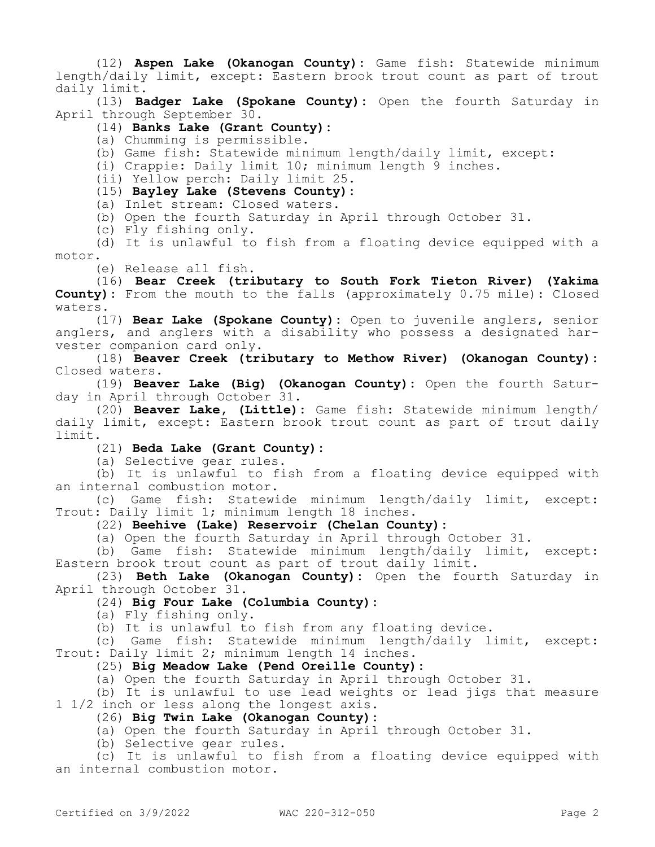(12) **Aspen Lake (Okanogan County):** Game fish: Statewide minimum length/daily limit, except: Eastern brook trout count as part of trout daily limit.

(13) **Badger Lake (Spokane County):** Open the fourth Saturday in April through September 30.

### (14) **Banks Lake (Grant County):**

(a) Chumming is permissible.

(b) Game fish: Statewide minimum length/daily limit, except:

(i) Crappie: Daily limit 10; minimum length 9 inches.

(ii) Yellow perch: Daily limit 25.

(15) **Bayley Lake (Stevens County):**

(a) Inlet stream: Closed waters.

(b) Open the fourth Saturday in April through October 31.

(c) Fly fishing only.

(d) It is unlawful to fish from a floating device equipped with a motor.

(e) Release all fish.

(16) **Bear Creek (tributary to South Fork Tieton River) (Yakima County):** From the mouth to the falls (approximately 0.75 mile): Closed waters.

(17) **Bear Lake (Spokane County):** Open to juvenile anglers, senior anglers, and anglers with a disability who possess a designated harvester companion card only.

(18) **Beaver Creek (tributary to Methow River) (Okanogan County):**  Closed waters.

(19) **Beaver Lake (Big) (Okanogan County):** Open the fourth Saturday in April through October 31.

(20) **Beaver Lake, (Little):** Game fish: Statewide minimum length/ daily limit, except: Eastern brook trout count as part of trout daily limit.

(21) **Beda Lake (Grant County):**

(a) Selective gear rules.

(b) It is unlawful to fish from a floating device equipped with an internal combustion motor.

(c) Game fish: Statewide minimum length/daily limit, except: Trout: Daily limit 1; minimum length 18 inches.

(22) **Beehive (Lake) Reservoir (Chelan County):**

(a) Open the fourth Saturday in April through October 31.

(b) Game fish: Statewide minimum length/daily limit, except: Eastern brook trout count as part of trout daily limit.

(23) **Beth Lake (Okanogan County):** Open the fourth Saturday in April through October 31.

(24) **Big Four Lake (Columbia County):**

(a) Fly fishing only.

(b) It is unlawful to fish from any floating device.

(c) Game fish: Statewide minimum length/daily limit, except: Trout: Daily limit 2; minimum length 14 inches.

(25) **Big Meadow Lake (Pend Oreille County):**

(a) Open the fourth Saturday in April through October 31.

(b) It is unlawful to use lead weights or lead jigs that measure 1 1/2 inch or less along the longest axis.

(26) **Big Twin Lake (Okanogan County):**

(a) Open the fourth Saturday in April through October 31.

(b) Selective gear rules.

(c) It is unlawful to fish from a floating device equipped with an internal combustion motor.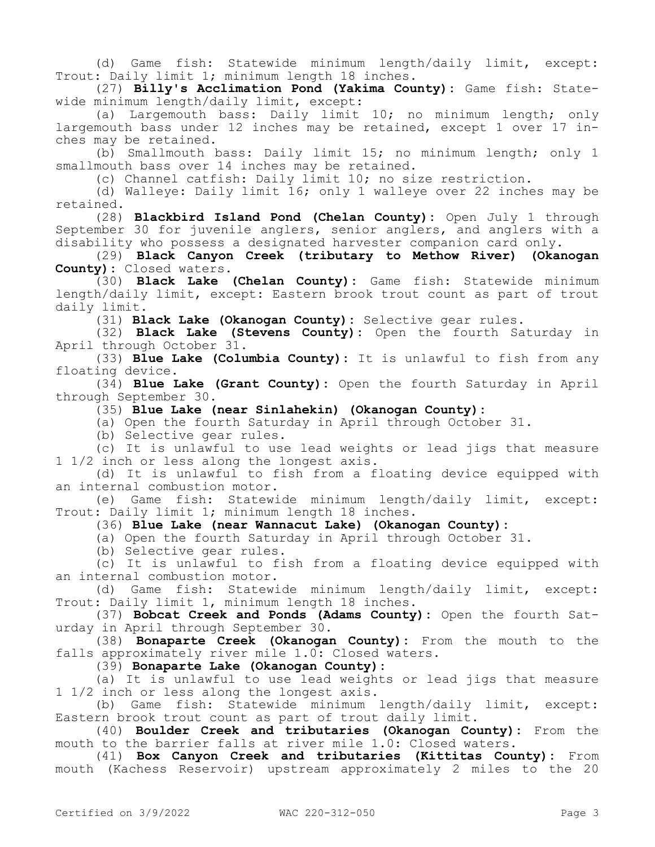(d) Game fish: Statewide minimum length/daily limit, except: Trout: Daily limit 1; minimum length 18 inches.

(27) **Billy's Acclimation Pond (Yakima County):** Game fish: Statewide minimum length/daily limit, except:

(a) Largemouth bass: Daily limit 10; no minimum length; only largemouth bass under 12 inches may be retained, except 1 over 17 inches may be retained.

(b) Smallmouth bass: Daily limit 15; no minimum length; only 1 smallmouth bass over 14 inches may be retained.

(c) Channel catfish: Daily limit 10; no size restriction.

(d) Walleye: Daily limit 16; only 1 walleye over 22 inches may be retained.

(28) **Blackbird Island Pond (Chelan County):** Open July 1 through September 30 for juvenile anglers, senior anglers, and anglers with a disability who possess a designated harvester companion card only.

(29) **Black Canyon Creek (tributary to Methow River) (Okanogan County):** Closed waters.

(30) **Black Lake (Chelan County):** Game fish: Statewide minimum length/daily limit, except: Eastern brook trout count as part of trout daily limit.

(31) **Black Lake (Okanogan County):** Selective gear rules.

(32) **Black Lake (Stevens County):** Open the fourth Saturday in April through October 31.

(33) **Blue Lake (Columbia County):** It is unlawful to fish from any floating device.

(34) **Blue Lake (Grant County):** Open the fourth Saturday in April through September 30.

(35) **Blue Lake (near Sinlahekin) (Okanogan County):**

(a) Open the fourth Saturday in April through October 31.

(b) Selective gear rules.

(c) It is unlawful to use lead weights or lead jigs that measure 1 1/2 inch or less along the longest axis.

(d) It is unlawful to fish from a floating device equipped with an internal combustion motor.

(e) Game fish: Statewide minimum length/daily limit, except: Trout: Daily limit 1; minimum length 18 inches.

(36) **Blue Lake (near Wannacut Lake) (Okanogan County):**

(a) Open the fourth Saturday in April through October 31.

(b) Selective gear rules.

(c) It is unlawful to fish from a floating device equipped with an internal combustion motor.

(d) Game fish: Statewide minimum length/daily limit, except: Trout: Daily limit 1, minimum length 18 inches.

(37) **Bobcat Creek and Ponds (Adams County):** Open the fourth Saturday in April through September 30.

(38) **Bonaparte Creek (Okanogan County):** From the mouth to the falls approximately river mile 1.0: Closed waters.

(39) **Bonaparte Lake (Okanogan County):**

(a) It is unlawful to use lead weights or lead jigs that measure 1 1/2 inch or less along the longest axis.

(b) Game fish: Statewide minimum length/daily limit, except: Eastern brook trout count as part of trout daily limit.

(40) **Boulder Creek and tributaries (Okanogan County):** From the mouth to the barrier falls at river mile 1.0: Closed waters.

(41) **Box Canyon Creek and tributaries (Kittitas County):** From mouth (Kachess Reservoir) upstream approximately 2 miles to the 20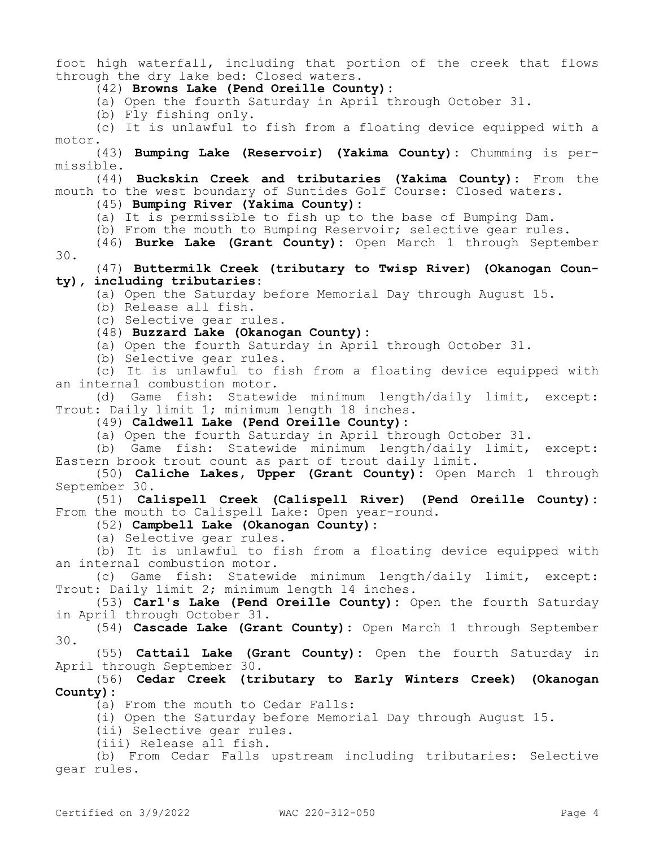foot high waterfall, including that portion of the creek that flows through the dry lake bed: Closed waters.

(42) **Browns Lake (Pend Oreille County):**

(a) Open the fourth Saturday in April through October 31.

(b) Fly fishing only.

(c) It is unlawful to fish from a floating device equipped with a motor.

(43) **Bumping Lake (Reservoir) (Yakima County):** Chumming is permissible.

(44) **Buckskin Creek and tributaries (Yakima County):** From the mouth to the west boundary of Suntides Golf Course: Closed waters.

(45) **Bumping River (Yakima County):**

(a) It is permissible to fish up to the base of Bumping Dam.

(b) From the mouth to Bumping Reservoir; selective gear rules.

(46) **Burke Lake (Grant County):** Open March 1 through September 30.

(47) **Buttermilk Creek (tributary to Twisp River) (Okanogan County), including tributaries:**

(a) Open the Saturday before Memorial Day through August 15.

(b) Release all fish.

(c) Selective gear rules.

(48) **Buzzard Lake (Okanogan County):**

(a) Open the fourth Saturday in April through October 31.

(b) Selective gear rules.

(c) It is unlawful to fish from a floating device equipped with an internal combustion motor.

(d) Game fish: Statewide minimum length/daily limit, except: Trout: Daily limit 1; minimum length 18 inches.

(49) **Caldwell Lake (Pend Oreille County):**

(a) Open the fourth Saturday in April through October 31.

(b) Game fish: Statewide minimum length/daily limit, except: Eastern brook trout count as part of trout daily limit.

(50) **Caliche Lakes, Upper (Grant County):** Open March 1 through September 30.

(51) **Calispell Creek (Calispell River) (Pend Oreille County):**  From the mouth to Calispell Lake: Open year-round.

(52) **Campbell Lake (Okanogan County):**

(a) Selective gear rules.

(b) It is unlawful to fish from a floating device equipped with an internal combustion motor.

(c) Game fish: Statewide minimum length/daily limit, except: Trout: Daily limit 2; minimum length 14 inches.

(53) **Carl's Lake (Pend Oreille County):** Open the fourth Saturday in April through October 31.

(54) **Cascade Lake (Grant County):** Open March 1 through September 30.

(55) **Cattail Lake (Grant County):** Open the fourth Saturday in April through September 30.

(56) **Cedar Creek (tributary to Early Winters Creek) (Okanogan County):**

(a) From the mouth to Cedar Falls:

(i) Open the Saturday before Memorial Day through August 15.

(ii) Selective gear rules.

(iii) Release all fish.

(b) From Cedar Falls upstream including tributaries: Selective gear rules.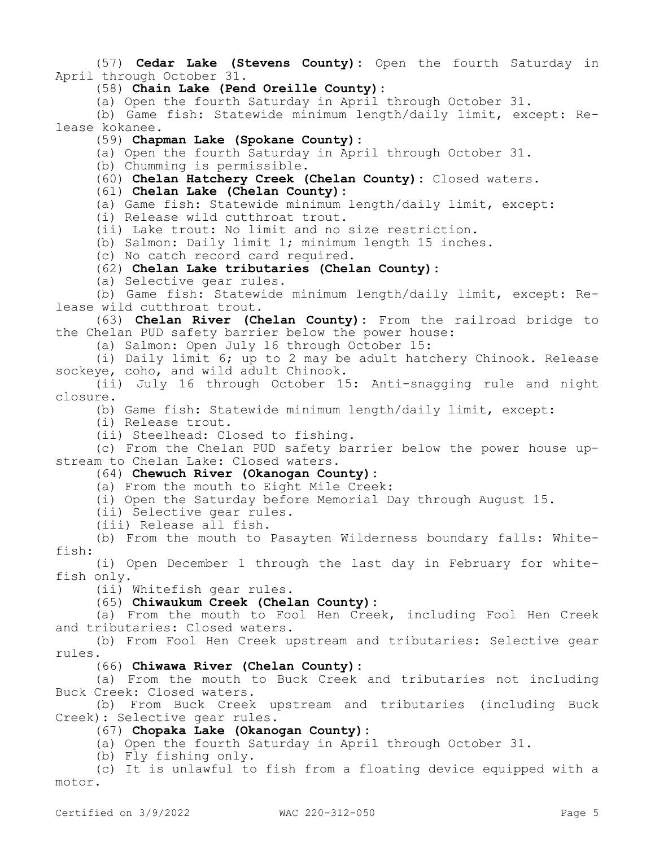(57) **Cedar Lake (Stevens County):** Open the fourth Saturday in April through October 31.

(58) **Chain Lake (Pend Oreille County):**

(a) Open the fourth Saturday in April through October 31.

(b) Game fish: Statewide minimum length/daily limit, except: Release kokanee.

(59) **Chapman Lake (Spokane County):**

(a) Open the fourth Saturday in April through October 31.

(b) Chumming is permissible.

(60) **Chelan Hatchery Creek (Chelan County):** Closed waters.

(61) **Chelan Lake (Chelan County):**

(a) Game fish: Statewide minimum length/daily limit, except:

(i) Release wild cutthroat trout.

(ii) Lake trout: No limit and no size restriction.

(b) Salmon: Daily limit 1; minimum length 15 inches.

(c) No catch record card required.

(62) **Chelan Lake tributaries (Chelan County):**

(a) Selective gear rules.

(b) Game fish: Statewide minimum length/daily limit, except: Release wild cutthroat trout.

(63) **Chelan River (Chelan County):** From the railroad bridge to the Chelan PUD safety barrier below the power house:

(a) Salmon: Open July 16 through October 15:

(i) Daily limit 6; up to 2 may be adult hatchery Chinook. Release sockeye, coho, and wild adult Chinook.

(ii) July 16 through October 15: Anti-snagging rule and night closure.

(b) Game fish: Statewide minimum length/daily limit, except:

(i) Release trout.

(ii) Steelhead: Closed to fishing.

(c) From the Chelan PUD safety barrier below the power house upstream to Chelan Lake: Closed waters.

# (64) **Chewuch River (Okanogan County):**

(a) From the mouth to Eight Mile Creek:

(i) Open the Saturday before Memorial Day through August 15.

(ii) Selective gear rules.

(iii) Release all fish.

(b) From the mouth to Pasayten Wilderness boundary falls: Whitefish:

(i) Open December 1 through the last day in February for whitefish only.

(ii) Whitefish gear rules.

#### (65) **Chiwaukum Creek (Chelan County):**

(a) From the mouth to Fool Hen Creek, including Fool Hen Creek and tributaries: Closed waters.

(b) From Fool Hen Creek upstream and tributaries: Selective gear rules.

(66) **Chiwawa River (Chelan County):**

(a) From the mouth to Buck Creek and tributaries not including Buck Creek: Closed waters.

(b) From Buck Creek upstream and tributaries (including Buck Creek): Selective gear rules.

(67) **Chopaka Lake (Okanogan County):**

(a) Open the fourth Saturday in April through October 31.

(b) Fly fishing only.

(c) It is unlawful to fish from a floating device equipped with a motor.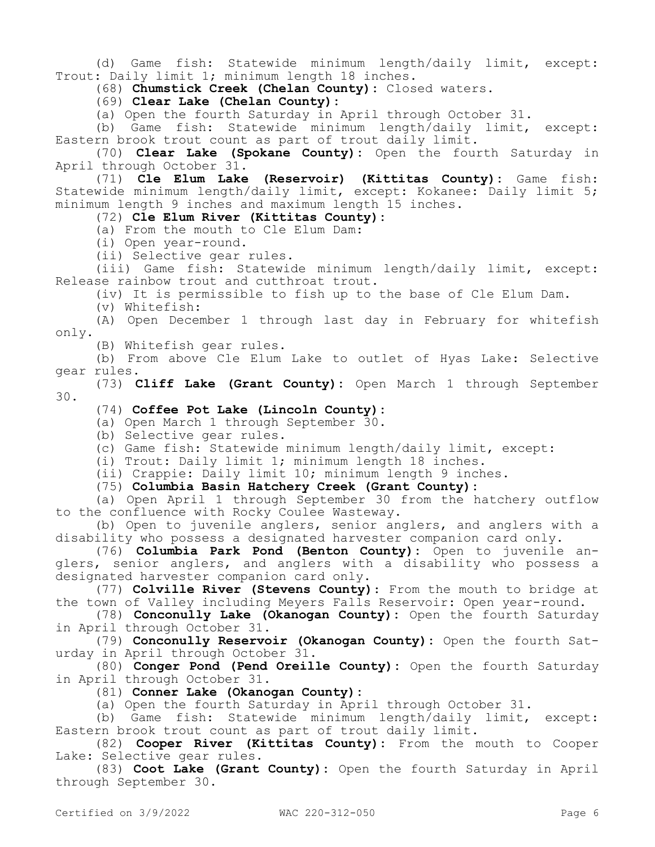(d) Game fish: Statewide minimum length/daily limit, except: Trout: Daily limit 1; minimum length 18 inches.

(68) **Chumstick Creek (Chelan County):** Closed waters.

(69) **Clear Lake (Chelan County):**

(a) Open the fourth Saturday in April through October 31.

(b) Game fish: Statewide minimum length/daily limit, except: Eastern brook trout count as part of trout daily limit.

(70) **Clear Lake (Spokane County):** Open the fourth Saturday in April through October 31.

(71) **Cle Elum Lake (Reservoir) (Kittitas County):** Game fish: Statewide minimum length/daily limit, except: Kokanee: Daily limit 5; minimum length 9 inches and maximum length 15 inches.

(72) **Cle Elum River (Kittitas County):**

(a) From the mouth to Cle Elum Dam:

(i) Open year-round.

(ii) Selective gear rules.

(iii) Game fish: Statewide minimum length/daily limit, except: Release rainbow trout and cutthroat trout.

(iv) It is permissible to fish up to the base of Cle Elum Dam.

(v) Whitefish:

(A) Open December 1 through last day in February for whitefish only.

(B) Whitefish gear rules.

(b) From above Cle Elum Lake to outlet of Hyas Lake: Selective gear rules.

(73) **Cliff Lake (Grant County):** Open March 1 through September 30.

#### (74) **Coffee Pot Lake (Lincoln County):**

(a) Open March 1 through September 30.

(b) Selective gear rules.

(c) Game fish: Statewide minimum length/daily limit, except:

(i) Trout: Daily limit 1; minimum length 18 inches.

(ii) Crappie: Daily limit 10; minimum length 9 inches.

(75) **Columbia Basin Hatchery Creek (Grant County):**

(a) Open April 1 through September 30 from the hatchery outflow to the confluence with Rocky Coulee Wasteway.

(b) Open to juvenile anglers, senior anglers, and anglers with a disability who possess a designated harvester companion card only.

(76) **Columbia Park Pond (Benton County):** Open to juvenile anglers, senior anglers, and anglers with a disability who possess a designated harvester companion card only.

(77) **Colville River (Stevens County)**: From the mouth to bridge at the town of Valley including Meyers Falls Reservoir: Open year-round.

(78) **Conconully Lake (Okanogan County):** Open the fourth Saturday in April through October 31.

(79) **Conconully Reservoir (Okanogan County):** Open the fourth Saturday in April through October 31.

(80) **Conger Pond (Pend Oreille County):** Open the fourth Saturday in April through October 31.

(81) **Conner Lake (Okanogan County):**

(a) Open the fourth Saturday in April through October 31.

(b) Game fish: Statewide minimum length/daily limit, except: Eastern brook trout count as part of trout daily limit.

(82) **Cooper River (Kittitas County):** From the mouth to Cooper Lake: Selective gear rules.

(83) **Coot Lake (Grant County):** Open the fourth Saturday in April through September 30.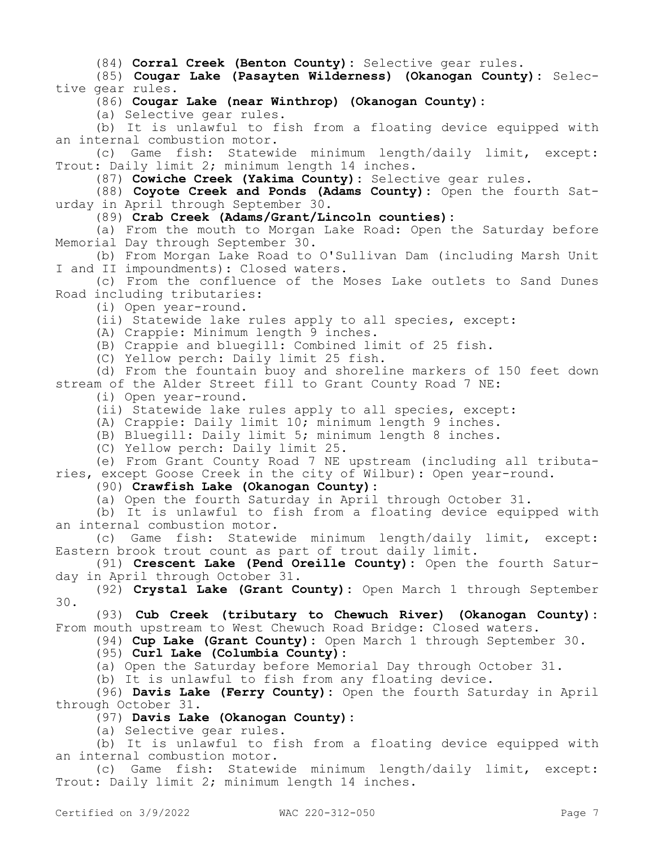(84) **Corral Creek (Benton County):** Selective gear rules.

(85) **Cougar Lake (Pasayten Wilderness) (Okanogan County):** Selective gear rules.

(86) **Cougar Lake (near Winthrop) (Okanogan County):**

(a) Selective gear rules.

(b) It is unlawful to fish from a floating device equipped with an internal combustion motor.

(c) Game fish: Statewide minimum length/daily limit, except: Trout: Daily limit 2; minimum length 14 inches.

(87) **Cowiche Creek (Yakima County):** Selective gear rules.

(88) **Coyote Creek and Ponds (Adams County):** Open the fourth Saturday in April through September 30.

(89) **Crab Creek (Adams/Grant/Lincoln counties):**

(a) From the mouth to Morgan Lake Road: Open the Saturday before Memorial Day through September 30.

(b) From Morgan Lake Road to O'Sullivan Dam (including Marsh Unit I and II impoundments): Closed waters.

(c) From the confluence of the Moses Lake outlets to Sand Dunes Road including tributaries:

(i) Open year-round.

(ii) Statewide lake rules apply to all species, except:

(A) Crappie: Minimum length 9 inches.

(B) Crappie and bluegill: Combined limit of 25 fish.

(C) Yellow perch: Daily limit 25 fish.

(d) From the fountain buoy and shoreline markers of 150 feet down stream of the Alder Street fill to Grant County Road 7 NE:

(i) Open year-round.

(ii) Statewide lake rules apply to all species, except:

(A) Crappie: Daily limit 10; minimum length 9 inches.

(B) Bluegill: Daily limit 5; minimum length 8 inches.

(C) Yellow perch: Daily limit 25.

(e) From Grant County Road 7 NE upstream (including all tributaries, except Goose Creek in the city of Wilbur): Open year-round.

(90) **Crawfish Lake (Okanogan County):**

(a) Open the fourth Saturday in April through October 31.

(b) It is unlawful to fish from a floating device equipped with an internal combustion motor.

(c) Game fish: Statewide minimum length/daily limit, except: Eastern brook trout count as part of trout daily limit.

(91) **Crescent Lake (Pend Oreille County):** Open the fourth Saturday in April through October 31.

(92) **Crystal Lake (Grant County):** Open March 1 through September 30.

(93) **Cub Creek (tributary to Chewuch River) (Okanogan County):**  From mouth upstream to West Chewuch Road Bridge: Closed waters.

(94) **Cup Lake (Grant County):** Open March 1 through September 30.

(95) **Curl Lake (Columbia County):**

(a) Open the Saturday before Memorial Day through October 31.

(b) It is unlawful to fish from any floating device.

(96) **Davis Lake (Ferry County):** Open the fourth Saturday in April through October 31.

(97) **Davis Lake (Okanogan County):**

(a) Selective gear rules.

(b) It is unlawful to fish from a floating device equipped with an internal combustion motor.

(c) Game fish: Statewide minimum length/daily limit, except: Trout: Daily limit 2; minimum length 14 inches.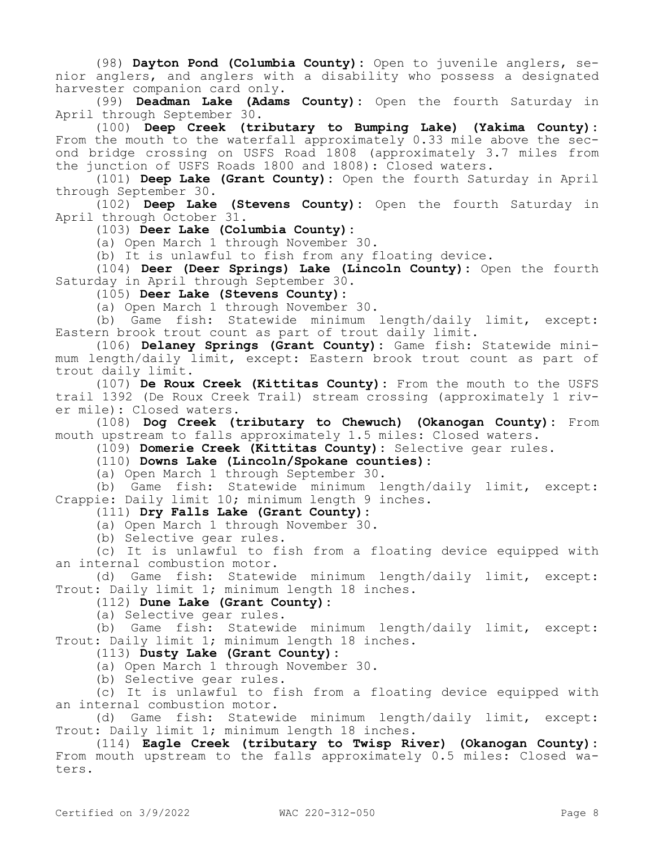(98) **Dayton Pond (Columbia County):** Open to juvenile anglers, senior anglers, and anglers with a disability who possess a designated harvester companion card only.

(99) **Deadman Lake (Adams County):** Open the fourth Saturday in April through September 30.

(100) **Deep Creek (tributary to Bumping Lake) (Yakima County):**  From the mouth to the waterfall approximately 0.33 mile above the second bridge crossing on USFS Road 1808 (approximately 3.7 miles from the junction of USFS Roads 1800 and 1808): Closed waters.

(101) **Deep Lake (Grant County):** Open the fourth Saturday in April through September 30.

(102) **Deep Lake (Stevens County):** Open the fourth Saturday in April through October 31.

(103) **Deer Lake (Columbia County):**

(a) Open March 1 through November 30.

(b) It is unlawful to fish from any floating device.

(104) **Deer (Deer Springs) Lake (Lincoln County):** Open the fourth Saturday in April through September 30.

(105) **Deer Lake (Stevens County):**

(a) Open March 1 through November 30.

(b) Game fish: Statewide minimum length/daily limit, except: Eastern brook trout count as part of trout daily limit.

(106) **Delaney Springs (Grant County):** Game fish: Statewide minimum length/daily limit, except: Eastern brook trout count as part of trout daily limit.

(107) **De Roux Creek (Kittitas County):** From the mouth to the USFS trail 1392 (De Roux Creek Trail) stream crossing (approximately 1 river mile): Closed waters.

(108) **Dog Creek (tributary to Chewuch) (Okanogan County):** From mouth upstream to falls approximately 1.5 miles: Closed waters.

(109) **Domerie Creek (Kittitas County):** Selective gear rules.

#### (110) **Downs Lake (Lincoln/Spokane counties):**

(a) Open March 1 through September 30.

(b) Game fish: Statewide minimum length/daily limit, except: Crappie: Daily limit 10; minimum length 9 inches.

(111) **Dry Falls Lake (Grant County):**

(a) Open March 1 through November 30.

(b) Selective gear rules.

(c) It is unlawful to fish from a floating device equipped with an internal combustion motor.

(d) Game fish: Statewide minimum length/daily limit, except: Trout: Daily limit 1; minimum length 18 inches.

(112) **Dune Lake (Grant County):**

(a) Selective gear rules.

(b) Game fish: Statewide minimum length/daily limit, except: Trout: Daily limit 1; minimum length 18 inches.

(113) **Dusty Lake (Grant County):**

(a) Open March 1 through November 30.

(b) Selective gear rules.

(c) It is unlawful to fish from a floating device equipped with an internal combustion motor.

(d) Game fish: Statewide minimum length/daily limit, except: Trout: Daily limit 1; minimum length 18 inches.

(114) **Eagle Creek (tributary to Twisp River) (Okanogan County):**  From mouth upstream to the falls approximately 0.5 miles: Closed waters.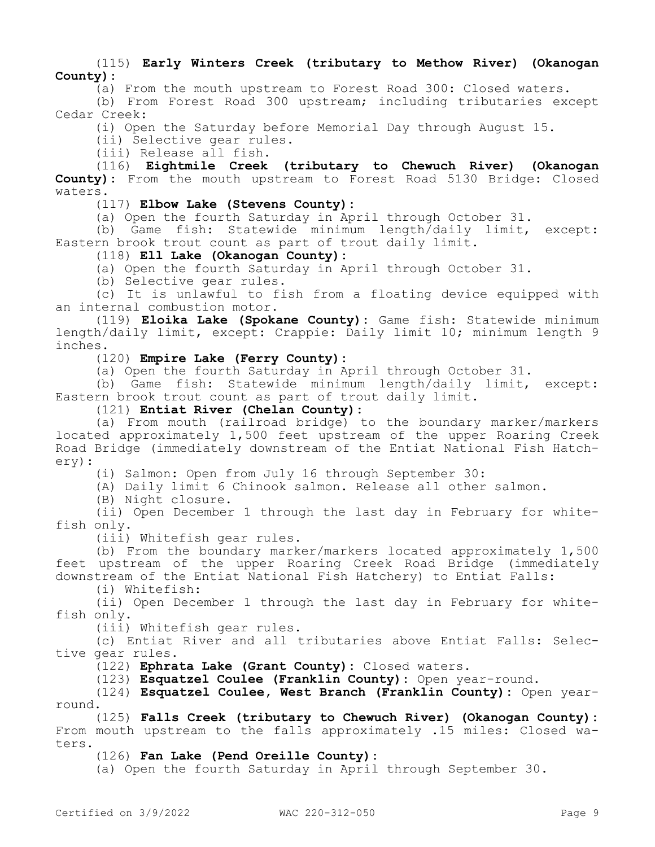(115) **Early Winters Creek (tributary to Methow River) (Okanogan County):**

(a) From the mouth upstream to Forest Road 300: Closed waters.

(b) From Forest Road 300 upstream; including tributaries except Cedar Creek:

(i) Open the Saturday before Memorial Day through August 15.

(ii) Selective gear rules.

(iii) Release all fish.

(116) **Eightmile Creek (tributary to Chewuch River) (Okanogan County):** From the mouth upstream to Forest Road 5130 Bridge: Closed waters.

(117) **Elbow Lake (Stevens County):**

(a) Open the fourth Saturday in April through October 31.

(b) Game fish: Statewide minimum length/daily limit, except: Eastern brook trout count as part of trout daily limit.

(118) **Ell Lake (Okanogan County):**

(a) Open the fourth Saturday in April through October 31.

(b) Selective gear rules.

(c) It is unlawful to fish from a floating device equipped with an internal combustion motor.

(119) **Eloika Lake (Spokane County):** Game fish: Statewide minimum length/daily limit, except: Crappie: Daily limit 10; minimum length 9 inches.

(120) **Empire Lake (Ferry County):**

(a) Open the fourth Saturday in April through October 31.

(b) Game fish: Statewide minimum length/daily limit, except: Eastern brook trout count as part of trout daily limit.

(121) **Entiat River (Chelan County):**

(a) From mouth (railroad bridge) to the boundary marker/markers located approximately 1,500 feet upstream of the upper Roaring Creek Road Bridge (immediately downstream of the Entiat National Fish Hatchery):

(i) Salmon: Open from July 16 through September 30:

(A) Daily limit 6 Chinook salmon. Release all other salmon.

(B) Night closure.

(ii) Open December 1 through the last day in February for whitefish only.

(iii) Whitefish gear rules.

(b) From the boundary marker/markers located approximately 1,500 feet upstream of the upper Roaring Creek Road Bridge (immediately downstream of the Entiat National Fish Hatchery) to Entiat Falls:

(i) Whitefish:

(ii) Open December 1 through the last day in February for whitefish only.

(iii) Whitefish gear rules.

(c) Entiat River and all tributaries above Entiat Falls: Selective gear rules.

(122) **Ephrata Lake (Grant County):** Closed waters.

(123) **Esquatzel Coulee (Franklin County):** Open year-round.

(124) **Esquatzel Coulee, West Branch (Franklin County):** Open yearround.

(125) **Falls Creek (tributary to Chewuch River) (Okanogan County):**  From mouth upstream to the falls approximately .15 miles: Closed waters.

(126) **Fan Lake (Pend Oreille County):**

(a) Open the fourth Saturday in April through September 30.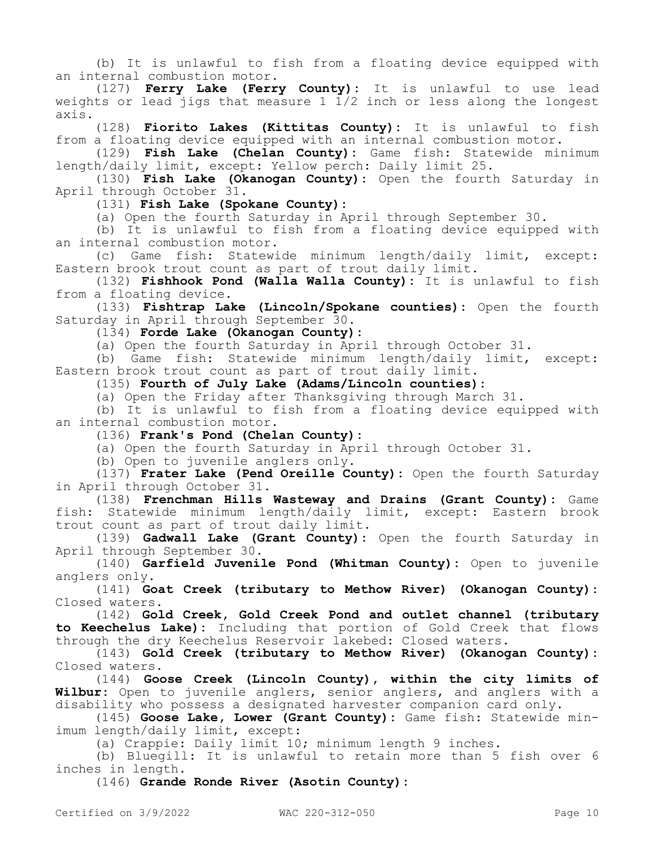(b) It is unlawful to fish from a floating device equipped with an internal combustion motor.

(127) **Ferry Lake (Ferry County):** It is unlawful to use lead weights or lead jigs that measure 1  $1/2$  inch or less along the longest axis.

(128) **Fiorito Lakes (Kittitas County):** It is unlawful to fish from a floating device equipped with an internal combustion motor.

(129) **Fish Lake (Chelan County):** Game fish: Statewide minimum length/daily limit, except: Yellow perch: Daily limit 25.

(130) **Fish Lake (Okanogan County):** Open the fourth Saturday in April through October 31.

(131) **Fish Lake (Spokane County):**

(a) Open the fourth Saturday in April through September 30.

(b) It is unlawful to fish from a floating device equipped with an internal combustion motor.

(c) Game fish: Statewide minimum length/daily limit, except: Eastern brook trout count as part of trout daily limit.

(132) **Fishhook Pond (Walla Walla County):** It is unlawful to fish from a floating device.

(133) **Fishtrap Lake (Lincoln/Spokane counties):** Open the fourth Saturday in April through September 30.

(134) **Forde Lake (Okanogan County):**

(a) Open the fourth Saturday in April through October 31.

(b) Game fish: Statewide minimum length/daily limit, except: Eastern brook trout count as part of trout daily limit.

(135) **Fourth of July Lake (Adams/Lincoln counties):**

(a) Open the Friday after Thanksgiving through March 31.

(b) It is unlawful to fish from a floating device equipped with an internal combustion motor.

(136) **Frank's Pond (Chelan County):**

(a) Open the fourth Saturday in April through October 31.

(b) Open to juvenile anglers only.

(137) **Frater Lake (Pend Oreille County):** Open the fourth Saturday in April through October 31.

(138) **Frenchman Hills Wasteway and Drains (Grant County):** Game fish: Statewide minimum length/daily limit, except: Eastern brook trout count as part of trout daily limit.

(139) **Gadwall Lake (Grant County):** Open the fourth Saturday in April through September 30.

(140) **Garfield Juvenile Pond (Whitman County):** Open to juvenile anglers only.

(141) **Goat Creek (tributary to Methow River) (Okanogan County):**  Closed waters.

(142) **Gold Creek, Gold Creek Pond and outlet channel (tributary to Keechelus Lake):** Including that portion of Gold Creek that flows through the dry Keechelus Reservoir lakebed: Closed waters.

(143) **Gold Creek (tributary to Methow River) (Okanogan County):**  Closed waters.

(144) **Goose Creek (Lincoln County), within the city limits of Wilbur:** Open to juvenile anglers, senior anglers, and anglers with a disability who possess a designated harvester companion card only.

(145) **Goose Lake, Lower (Grant County):** Game fish: Statewide minimum length/daily limit, except:

(a) Crappie: Daily limit 10; minimum length 9 inches.

(b) Bluegill: It is unlawful to retain more than 5 fish over 6 inches in length.

(146) **Grande Ronde River (Asotin County):**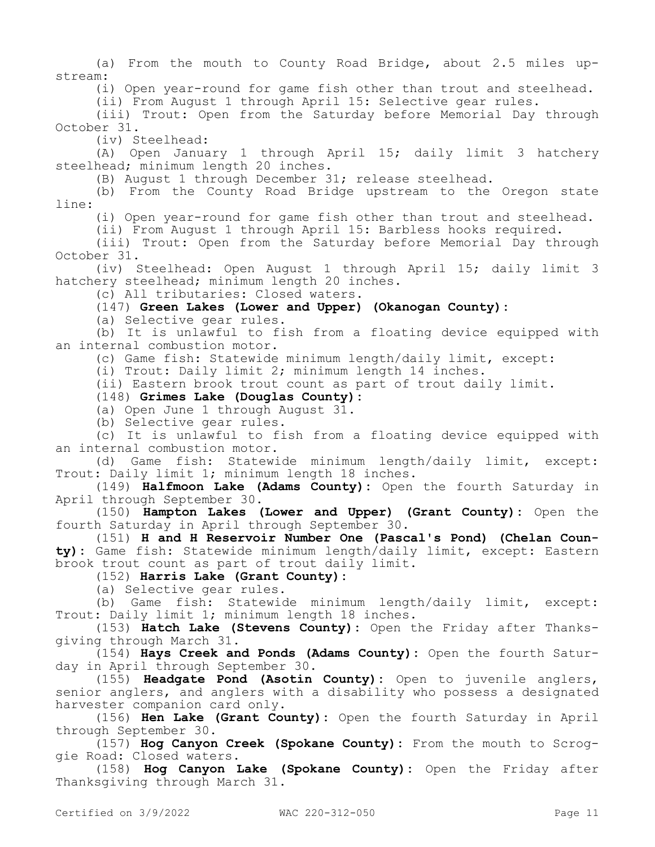(a) From the mouth to County Road Bridge, about 2.5 miles upstream: (i) Open year-round for game fish other than trout and steelhead. (ii) From August 1 through April 15: Selective gear rules. (iii) Trout: Open from the Saturday before Memorial Day through October 31. (iv) Steelhead: (A) Open January 1 through April 15; daily limit 3 hatchery steelhead; minimum length 20 inches. (B) August 1 through December 31; release steelhead. (b) From the County Road Bridge upstream to the Oregon state line: (i) Open year-round for game fish other than trout and steelhead. (ii) From August 1 through April 15: Barbless hooks required. (iii) Trout: Open from the Saturday before Memorial Day through October 31. (iv) Steelhead: Open August 1 through April 15; daily limit 3 hatchery steelhead; minimum length 20 inches. (c) All tributaries: Closed waters. (147) **Green Lakes (Lower and Upper) (Okanogan County):** (a) Selective gear rules. (b) It is unlawful to fish from a floating device equipped with an internal combustion motor. (c) Game fish: Statewide minimum length/daily limit, except: (i) Trout: Daily limit 2; minimum length 14 inches. (ii) Eastern brook trout count as part of trout daily limit. (148) **Grimes Lake (Douglas County):** (a) Open June 1 through August 31. (b) Selective gear rules. (c) It is unlawful to fish from a floating device equipped with an internal combustion motor. (d) Game fish: Statewide minimum length/daily limit, except: Trout: Daily limit 1; minimum length 18 inches. (149) **Halfmoon Lake (Adams County):** Open the fourth Saturday in April through September 30. (150) **Hampton Lakes (Lower and Upper) (Grant County):** Open the fourth Saturday in April through September 30. (151) **H and H Reservoir Number One (Pascal's Pond) (Chelan County):** Game fish: Statewide minimum length/daily limit, except: Eastern brook trout count as part of trout daily limit. (152) **Harris Lake (Grant County):** (a) Selective gear rules. (b) Game fish: Statewide minimum length/daily limit, except: Trout: Daily limit 1; minimum length 18 inches. (153) **Hatch Lake (Stevens County):** Open the Friday after Thanksgiving through March 31. (154) **Hays Creek and Ponds (Adams County):** Open the fourth Saturday in April through September 30. (155) **Headgate Pond (Asotin County):** Open to juvenile anglers, senior anglers, and anglers with a disability who possess a designated harvester companion card only. (156) **Hen Lake (Grant County):** Open the fourth Saturday in April through September 30. (157) **Hog Canyon Creek (Spokane County):** From the mouth to Scroggie Road: Closed waters. (158) **Hog Canyon Lake (Spokane County):** Open the Friday after Thanksgiving through March 31. Certified on 3/9/2022 WAC 220-312-050 Page 11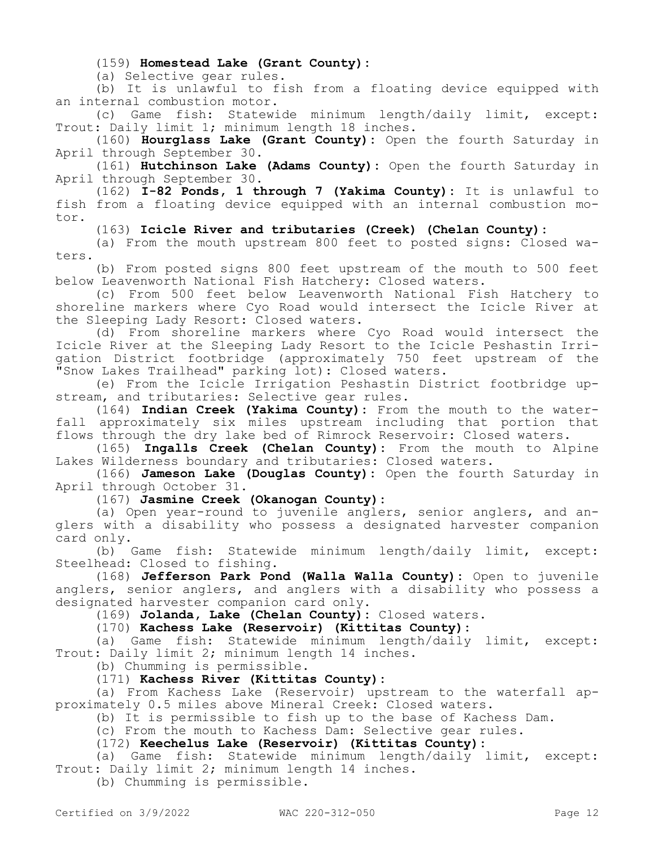(159) **Homestead Lake (Grant County):**

(a) Selective gear rules.

(b) It is unlawful to fish from a floating device equipped with an internal combustion motor.

(c) Game fish: Statewide minimum length/daily limit, except: Trout: Daily limit 1; minimum length 18 inches.

(160) **Hourglass Lake (Grant County):** Open the fourth Saturday in April through September 30.

(161) **Hutchinson Lake (Adams County):** Open the fourth Saturday in April through September 30.

(162) **I-82 Ponds, 1 through 7 (Yakima County):** It is unlawful to fish from a floating device equipped with an internal combustion motor.

(163) **Icicle River and tributaries (Creek) (Chelan County):**

(a) From the mouth upstream 800 feet to posted signs: Closed waters.

(b) From posted signs 800 feet upstream of the mouth to 500 feet below Leavenworth National Fish Hatchery: Closed waters.

(c) From 500 feet below Leavenworth National Fish Hatchery to shoreline markers where Cyo Road would intersect the Icicle River at the Sleeping Lady Resort: Closed waters.

(d) From shoreline markers where Cyo Road would intersect the Icicle River at the Sleeping Lady Resort to the Icicle Peshastin Irrigation District footbridge (approximately 750 feet upstream of the "Snow Lakes Trailhead" parking lot): Closed waters.

(e) From the Icicle Irrigation Peshastin District footbridge upstream, and tributaries: Selective gear rules.

(164) **Indian Creek (Yakima County):** From the mouth to the waterfall approximately six miles upstream including that portion that flows through the dry lake bed of Rimrock Reservoir: Closed waters.

(165) **Ingalls Creek (Chelan County):** From the mouth to Alpine Lakes Wilderness boundary and tributaries: Closed waters.

(166) **Jameson Lake (Douglas County):** Open the fourth Saturday in April through October 31.

(167) **Jasmine Creek (Okanogan County):**

(a) Open year-round to juvenile anglers, senior anglers, and anglers with a disability who possess a designated harvester companion card only.

(b) Game fish: Statewide minimum length/daily limit, except: Steelhead: Closed to fishing.

(168) **Jefferson Park Pond (Walla Walla County):** Open to juvenile anglers, senior anglers, and anglers with a disability who possess a designated harvester companion card only.

(169) **Jolanda, Lake (Chelan County):** Closed waters.

(170) **Kachess Lake (Reservoir) (Kittitas County):**

(a) Game fish: Statewide minimum length/daily limit, except: Trout: Daily limit 2; minimum length 14 inches.

(b) Chumming is permissible.

(171) **Kachess River (Kittitas County):**

(a) From Kachess Lake (Reservoir) upstream to the waterfall approximately 0.5 miles above Mineral Creek: Closed waters.

(b) It is permissible to fish up to the base of Kachess Dam.

(c) From the mouth to Kachess Dam: Selective gear rules.

(172) **Keechelus Lake (Reservoir) (Kittitas County):**

(a) Game fish: Statewide minimum length/daily limit, except: Trout: Daily limit 2; minimum length 14 inches.

(b) Chumming is permissible.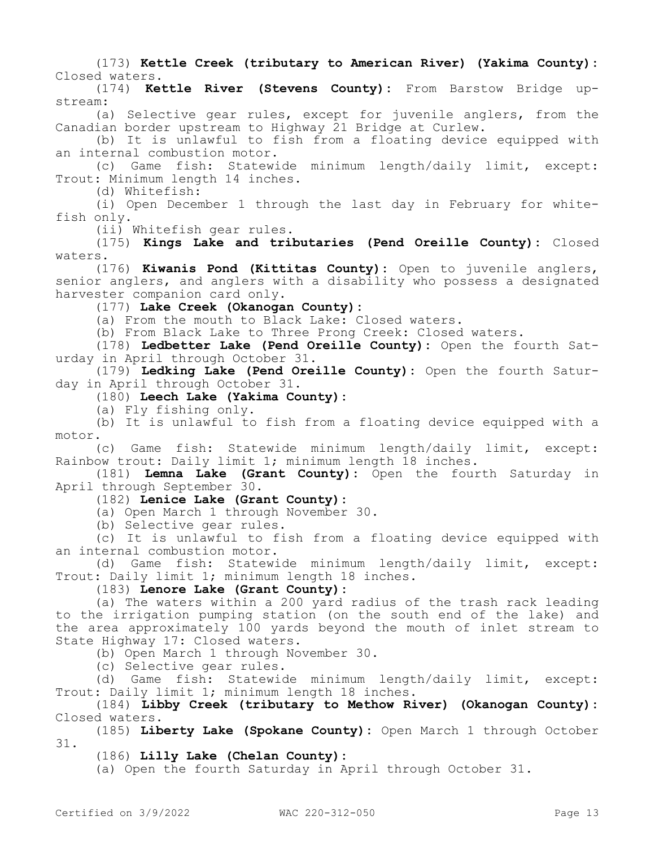(173) **Kettle Creek (tributary to American River) (Yakima County):**  Closed waters.

(174) **Kettle River (Stevens County):** From Barstow Bridge upstream:

(a) Selective gear rules, except for juvenile anglers, from the Canadian border upstream to Highway 21 Bridge at Curlew.

(b) It is unlawful to fish from a floating device equipped with an internal combustion motor.

(c) Game fish: Statewide minimum length/daily limit, except: Trout: Minimum length 14 inches.

(d) Whitefish:

(i) Open December 1 through the last day in February for whitefish only.

(ii) Whitefish gear rules.

(175) **Kings Lake and tributaries (Pend Oreille County):** Closed waters.

(176) **Kiwanis Pond (Kittitas County):** Open to juvenile anglers, senior anglers, and anglers with a disability who possess a designated harvester companion card only.

(177) **Lake Creek (Okanogan County):**

(a) From the mouth to Black Lake: Closed waters.

(b) From Black Lake to Three Prong Creek: Closed waters.

(178) **Ledbetter Lake (Pend Oreille County):** Open the fourth Saturday in April through October 31.

(179) **Ledking Lake (Pend Oreille County):** Open the fourth Saturday in April through October 31.

(180) **Leech Lake (Yakima County):**

(a) Fly fishing only.

(b) It is unlawful to fish from a floating device equipped with a motor.

(c) Game fish: Statewide minimum length/daily limit, except: Rainbow trout: Daily limit 1; minimum length 18 inches.

(181) **Lemna Lake (Grant County):** Open the fourth Saturday in April through September 30.

(182) **Lenice Lake (Grant County):**

(a) Open March 1 through November 30.

(b) Selective gear rules.

(c) It is unlawful to fish from a floating device equipped with an internal combustion motor.

(d) Game fish: Statewide minimum length/daily limit, except: Trout: Daily limit 1; minimum length 18 inches.

(183) **Lenore Lake (Grant County):**

(a) The waters within a 200 yard radius of the trash rack leading to the irrigation pumping station (on the south end of the lake) and the area approximately 100 yards beyond the mouth of inlet stream to State Highway 17: Closed waters.

(b) Open March 1 through November 30.

(c) Selective gear rules.

(d) Game fish: Statewide minimum length/daily limit, except: Trout: Daily limit 1; minimum length 18 inches.

(184) **Libby Creek (tributary to Methow River) (Okanogan County):**  Closed waters.

(185) **Liberty Lake (Spokane County):** Open March 1 through October 31.

(186) **Lilly Lake (Chelan County):**

(a) Open the fourth Saturday in April through October 31.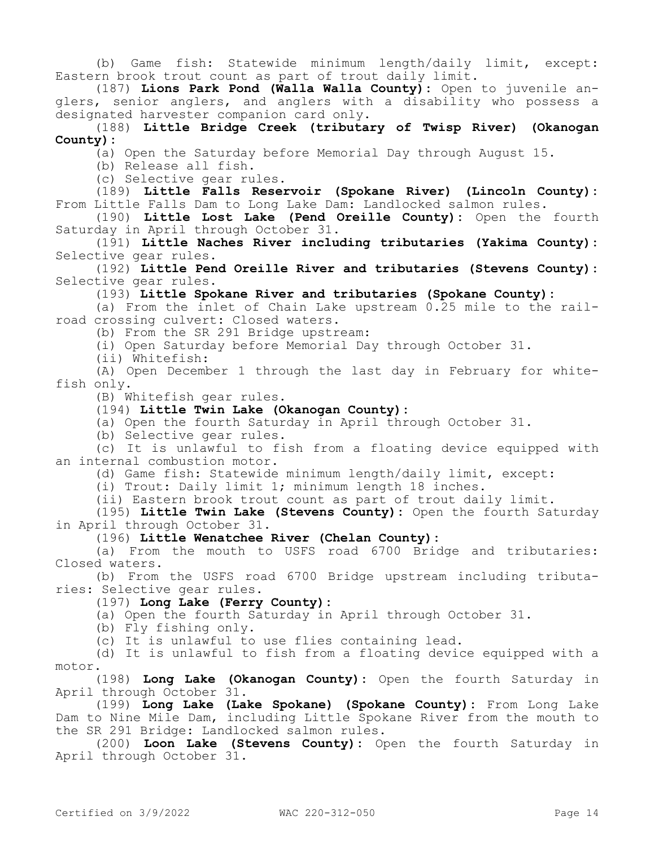(b) Game fish: Statewide minimum length/daily limit, except: Eastern brook trout count as part of trout daily limit.

(187) **Lions Park Pond (Walla Walla County):** Open to juvenile anglers, senior anglers, and anglers with a disability who possess a designated harvester companion card only.

(188) **Little Bridge Creek (tributary of Twisp River) (Okanogan County):**

(a) Open the Saturday before Memorial Day through August 15.

(b) Release all fish.

(c) Selective gear rules.

(189) **Little Falls Reservoir (Spokane River) (Lincoln County):**  From Little Falls Dam to Long Lake Dam: Landlocked salmon rules.

(190) **Little Lost Lake (Pend Oreille County):** Open the fourth Saturday in April through October 31.

(191) **Little Naches River including tributaries (Yakima County):**  Selective gear rules.

(192) **Little Pend Oreille River and tributaries (Stevens County):**  Selective gear rules.

(193) **Little Spokane River and tributaries (Spokane County):**

(a) From the inlet of Chain Lake upstream 0.25 mile to the railroad crossing culvert: Closed waters.

(b) From the SR 291 Bridge upstream:

(i) Open Saturday before Memorial Day through October 31.

(ii) Whitefish:

(A) Open December 1 through the last day in February for whitefish only.

(B) Whitefish gear rules.

(194) **Little Twin Lake (Okanogan County):**

(a) Open the fourth Saturday in April through October 31.

(b) Selective gear rules.

(c) It is unlawful to fish from a floating device equipped with an internal combustion motor.

(d) Game fish: Statewide minimum length/daily limit, except:

(i) Trout: Daily limit 1; minimum length 18 inches.

(ii) Eastern brook trout count as part of trout daily limit.

(195) **Little Twin Lake (Stevens County):** Open the fourth Saturday in April through October 31.

(196) **Little Wenatchee River (Chelan County):**

(a) From the mouth to USFS road 6700 Bridge and tributaries: Closed waters.

(b) From the USFS road 6700 Bridge upstream including tributaries: Selective gear rules.

(197) **Long Lake (Ferry County):**

(a) Open the fourth Saturday in April through October 31.

(b) Fly fishing only.

(c) It is unlawful to use flies containing lead.

(d) It is unlawful to fish from a floating device equipped with a motor.

(198) **Long Lake (Okanogan County):** Open the fourth Saturday in April through October 31.

(199) **Long Lake (Lake Spokane) (Spokane County):** From Long Lake Dam to Nine Mile Dam, including Little Spokane River from the mouth to the SR 291 Bridge: Landlocked salmon rules.

(200) **Loon Lake (Stevens County):** Open the fourth Saturday in April through October 31.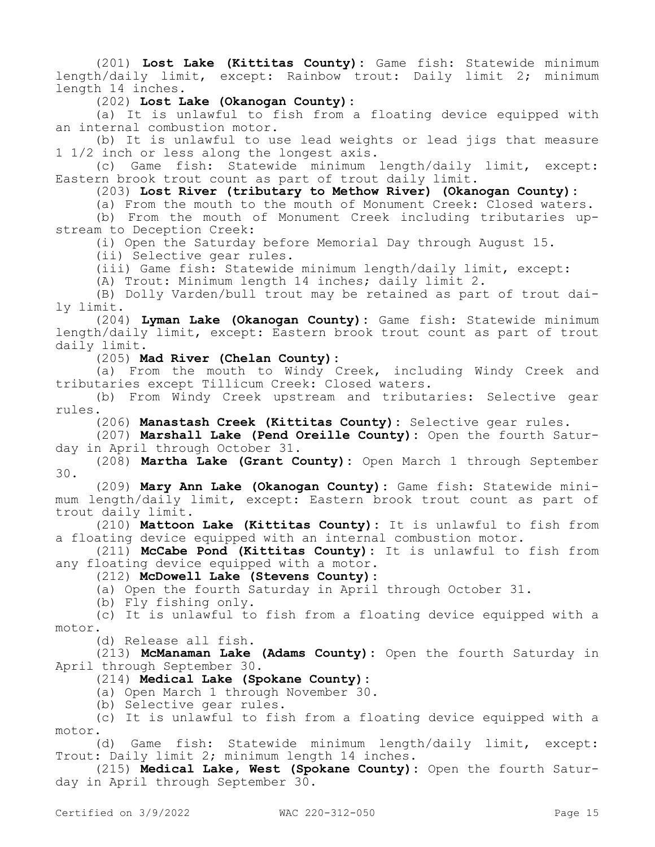(201) **Lost Lake (Kittitas County):** Game fish: Statewide minimum length/daily limit, except: Rainbow trout: Daily limit 2; minimum length 14 inches.

(202) **Lost Lake (Okanogan County):**

(a) It is unlawful to fish from a floating device equipped with an internal combustion motor.

(b) It is unlawful to use lead weights or lead jigs that measure 1 1/2 inch or less along the longest axis.

(c) Game fish: Statewide minimum length/daily limit, except: Eastern brook trout count as part of trout daily limit.

(203) **Lost River (tributary to Methow River) (Okanogan County):**

(a) From the mouth to the mouth of Monument Creek: Closed waters. (b) From the mouth of Monument Creek including tributaries up-

stream to Deception Creek:

(i) Open the Saturday before Memorial Day through August 15.

(ii) Selective gear rules.

(iii) Game fish: Statewide minimum length/daily limit, except:

(A) Trout: Minimum length 14 inches; daily limit 2.

(B) Dolly Varden/bull trout may be retained as part of trout daily limit.

(204) **Lyman Lake (Okanogan County):** Game fish: Statewide minimum length/daily limit, except: Eastern brook trout count as part of trout daily limit.

(205) **Mad River (Chelan County):**

(a) From the mouth to Windy Creek, including Windy Creek and tributaries except Tillicum Creek: Closed waters.

(b) From Windy Creek upstream and tributaries: Selective gear rules.

(206) **Manastash Creek (Kittitas County):** Selective gear rules.

(207) **Marshall Lake (Pend Oreille County):** Open the fourth Saturday in April through October 31.

(208) **Martha Lake (Grant County):** Open March 1 through September 30.

(209) **Mary Ann Lake (Okanogan County):** Game fish: Statewide minimum length/daily limit, except: Eastern brook trout count as part of trout daily limit.

(210) **Mattoon Lake (Kittitas County):** It is unlawful to fish from a floating device equipped with an internal combustion motor.

(211) **McCabe Pond (Kittitas County):** It is unlawful to fish from any floating device equipped with a motor.

(212) **McDowell Lake (Stevens County):**

(a) Open the fourth Saturday in April through October 31.

(b) Fly fishing only.

(c) It is unlawful to fish from a floating device equipped with a motor.

(d) Release all fish.

(213) **McManaman Lake (Adams County):** Open the fourth Saturday in April through September 30.

(214) **Medical Lake (Spokane County):**

(a) Open March 1 through November 30.

(b) Selective gear rules.

(c) It is unlawful to fish from a floating device equipped with a motor.

(d) Game fish: Statewide minimum length/daily limit, except: Trout: Daily limit 2; minimum length 14 inches.

(215) **Medical Lake, West (Spokane County):** Open the fourth Saturday in April through September 30.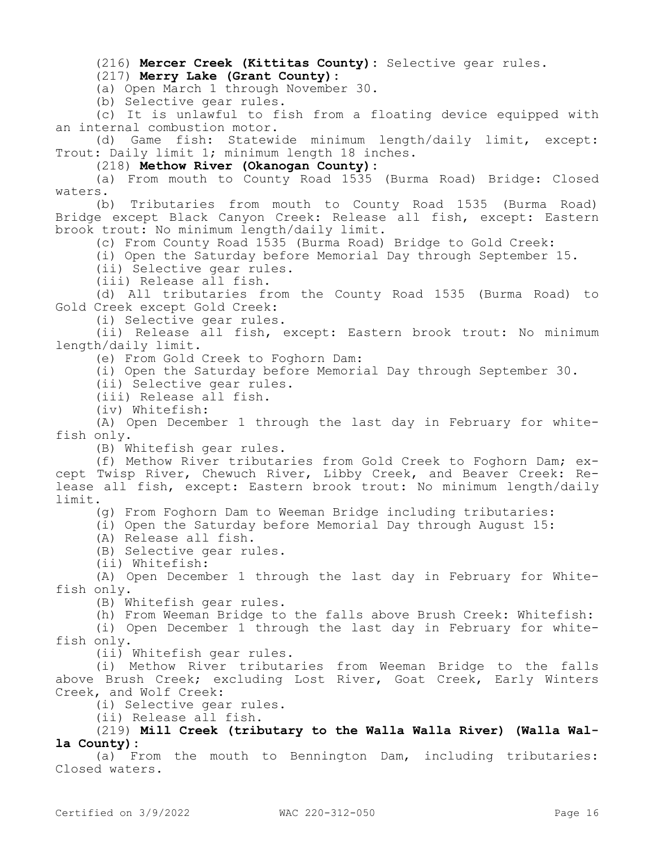(216) **Mercer Creek (Kittitas County):** Selective gear rules.

# (217) **Merry Lake (Grant County):**

(a) Open March 1 through November 30.

(b) Selective gear rules.

(c) It is unlawful to fish from a floating device equipped with an internal combustion motor.

(d) Game fish: Statewide minimum length/daily limit, except: Trout: Daily limit 1; minimum length 18 inches.

(218) **Methow River (Okanogan County):**

(a) From mouth to County Road 1535 (Burma Road) Bridge: Closed waters.

(b) Tributaries from mouth to County Road 1535 (Burma Road) Bridge except Black Canyon Creek: Release all fish, except: Eastern brook trout: No minimum length/daily limit.

(c) From County Road 1535 (Burma Road) Bridge to Gold Creek:

(i) Open the Saturday before Memorial Day through September 15.

(ii) Selective gear rules.

(iii) Release all fish.

(d) All tributaries from the County Road 1535 (Burma Road) to Gold Creek except Gold Creek:

(i) Selective gear rules.

(ii) Release all fish, except: Eastern brook trout: No minimum length/daily limit.

(e) From Gold Creek to Foghorn Dam:

(i) Open the Saturday before Memorial Day through September 30.

(ii) Selective gear rules.

(iii) Release all fish.

(iv) Whitefish:

(A) Open December 1 through the last day in February for whitefish only.

(B) Whitefish gear rules.

(f) Methow River tributaries from Gold Creek to Foghorn Dam; except Twisp River, Chewuch River, Libby Creek, and Beaver Creek: Release all fish, except: Eastern brook trout: No minimum length/daily limit.

(g) From Foghorn Dam to Weeman Bridge including tributaries:

(i) Open the Saturday before Memorial Day through August 15:

(A) Release all fish.

(B) Selective gear rules.

(ii) Whitefish:

(A) Open December 1 through the last day in February for Whitefish only.

(B) Whitefish gear rules.

(h) From Weeman Bridge to the falls above Brush Creek: Whitefish:

(i) Open December 1 through the last day in February for whitefish only.

(ii) Whitefish gear rules.

(i) Methow River tributaries from Weeman Bridge to the falls above Brush Creek; excluding Lost River, Goat Creek, Early Winters Creek, and Wolf Creek:

(i) Selective gear rules.

(ii) Release all fish.

(219) **Mill Creek (tributary to the Walla Walla River) (Walla Walla County):**

(a) From the mouth to Bennington Dam, including tributaries: Closed waters.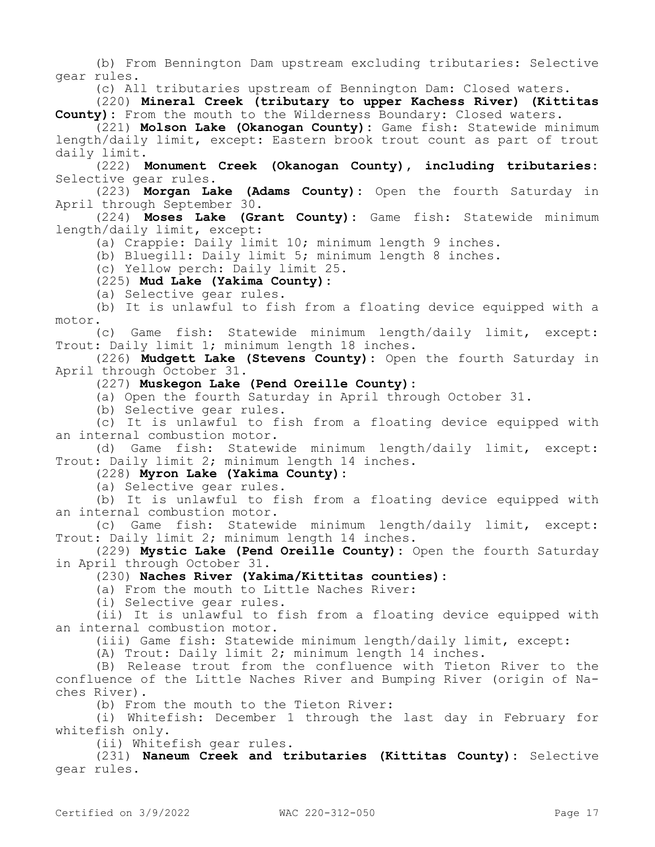(b) From Bennington Dam upstream excluding tributaries: Selective gear rules.

(c) All tributaries upstream of Bennington Dam: Closed waters.

(220) **Mineral Creek (tributary to upper Kachess River) (Kittitas County):** From the mouth to the Wilderness Boundary: Closed waters.

(221) **Molson Lake (Okanogan County):** Game fish: Statewide minimum length/daily limit, except: Eastern brook trout count as part of trout daily limit.

(222) **Monument Creek (Okanogan County), including tributaries:**  Selective gear rules.

(223) **Morgan Lake (Adams County):** Open the fourth Saturday in April through September 30.

(224) **Moses Lake (Grant County):** Game fish: Statewide minimum length/daily limit, except:

(a) Crappie: Daily limit 10; minimum length 9 inches.

(b) Bluegill: Daily limit 5; minimum length 8 inches.

(c) Yellow perch: Daily limit 25.

(225) **Mud Lake (Yakima County):**

(a) Selective gear rules.

(b) It is unlawful to fish from a floating device equipped with a motor.

(c) Game fish: Statewide minimum length/daily limit, except: Trout: Daily limit 1; minimum length 18 inches.

(226) **Mudgett Lake (Stevens County):** Open the fourth Saturday in April through October 31.

(227) **Muskegon Lake (Pend Oreille County):**

(a) Open the fourth Saturday in April through October 31.

(b) Selective gear rules.

(c) It is unlawful to fish from a floating device equipped with an internal combustion motor.

(d) Game fish: Statewide minimum length/daily limit, except: Trout: Daily limit 2; minimum length 14 inches.

# (228) **Myron Lake (Yakima County):**

(a) Selective gear rules.

(b) It is unlawful to fish from a floating device equipped with an internal combustion motor.

(c) Game fish: Statewide minimum length/daily limit, except: Trout: Daily limit 2; minimum length 14 inches.

(229) **Mystic Lake (Pend Oreille County):** Open the fourth Saturday in April through October 31.

(230) **Naches River (Yakima/Kittitas counties):**

(a) From the mouth to Little Naches River:

(i) Selective gear rules.

(ii) It is unlawful to fish from a floating device equipped with an internal combustion motor.

(iii) Game fish: Statewide minimum length/daily limit, except:

(A) Trout: Daily limit 2; minimum length 14 inches.

(B) Release trout from the confluence with Tieton River to the confluence of the Little Naches River and Bumping River (origin of Naches River).

(b) From the mouth to the Tieton River:

(i) Whitefish: December 1 through the last day in February for whitefish only.

(ii) Whitefish gear rules.

(231) **Naneum Creek and tributaries (Kittitas County):** Selective gear rules.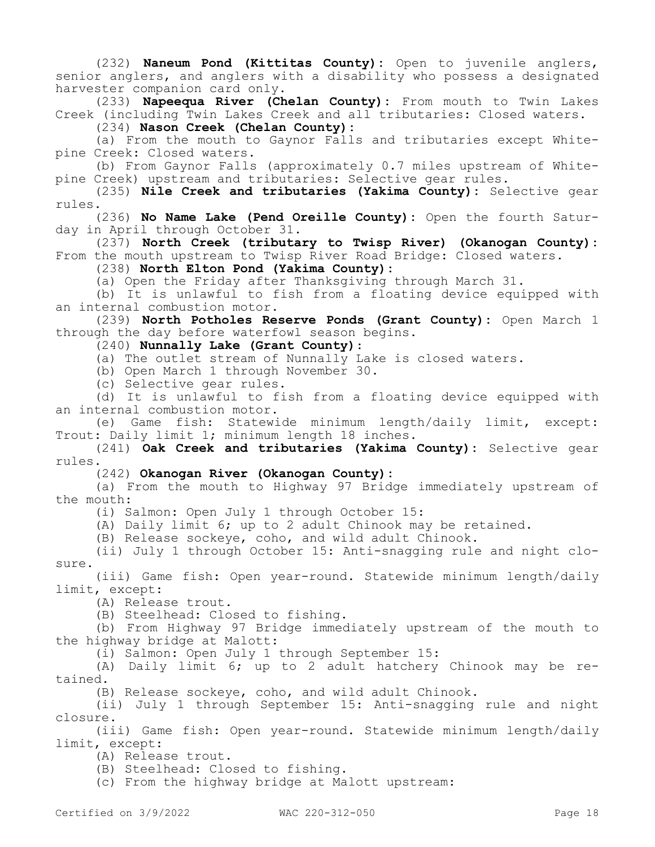(232) **Naneum Pond (Kittitas County):** Open to juvenile anglers, senior anglers, and anglers with a disability who possess a designated harvester companion card only.

(233) **Napeequa River (Chelan County):** From mouth to Twin Lakes Creek (including Twin Lakes Creek and all tributaries: Closed waters.

(234) **Nason Creek (Chelan County):**

(a) From the mouth to Gaynor Falls and tributaries except Whitepine Creek: Closed waters.

(b) From Gaynor Falls (approximately 0.7 miles upstream of Whitepine Creek) upstream and tributaries: Selective gear rules.

(235) **Nile Creek and tributaries (Yakima County):** Selective gear rules.

(236) **No Name Lake (Pend Oreille County):** Open the fourth Saturday in April through October 31.

(237) **North Creek (tributary to Twisp River) (Okanogan County):**  From the mouth upstream to Twisp River Road Bridge: Closed waters.

(238) **North Elton Pond (Yakima County):**

(a) Open the Friday after Thanksgiving through March 31.

(b) It is unlawful to fish from a floating device equipped with an internal combustion motor.

(239) **North Potholes Reserve Ponds (Grant County):** Open March 1 through the day before waterfowl season begins.

(240) **Nunnally Lake (Grant County)**:

(a) The outlet stream of Nunnally Lake is closed waters.

(b) Open March 1 through November 30.

(c) Selective gear rules.

(d) It is unlawful to fish from a floating device equipped with an internal combustion motor.

(e) Game fish: Statewide minimum length/daily limit, except: Trout: Daily limit 1; minimum length 18 inches.

(241) **Oak Creek and tributaries (Yakima County):** Selective gear rules.

### (242) **Okanogan River (Okanogan County):**

(a) From the mouth to Highway 97 Bridge immediately upstream of the mouth:

(i) Salmon: Open July 1 through October 15:

(A) Daily limit 6; up to 2 adult Chinook may be retained.

(B) Release sockeye, coho, and wild adult Chinook.

(ii) July 1 through October 15: Anti-snagging rule and night closure.

(iii) Game fish: Open year-round. Statewide minimum length/daily limit, except:

(A) Release trout.

(B) Steelhead: Closed to fishing.

(b) From Highway 97 Bridge immediately upstream of the mouth to the highway bridge at Malott:

(i) Salmon: Open July 1 through September 15:

(A) Daily limit 6; up to 2 adult hatchery Chinook may be retained.

(B) Release sockeye, coho, and wild adult Chinook.

(ii) July 1 through September 15: Anti-snagging rule and night closure.

(iii) Game fish: Open year-round. Statewide minimum length/daily limit, except:

(A) Release trout.

(B) Steelhead: Closed to fishing.

(c) From the highway bridge at Malott upstream: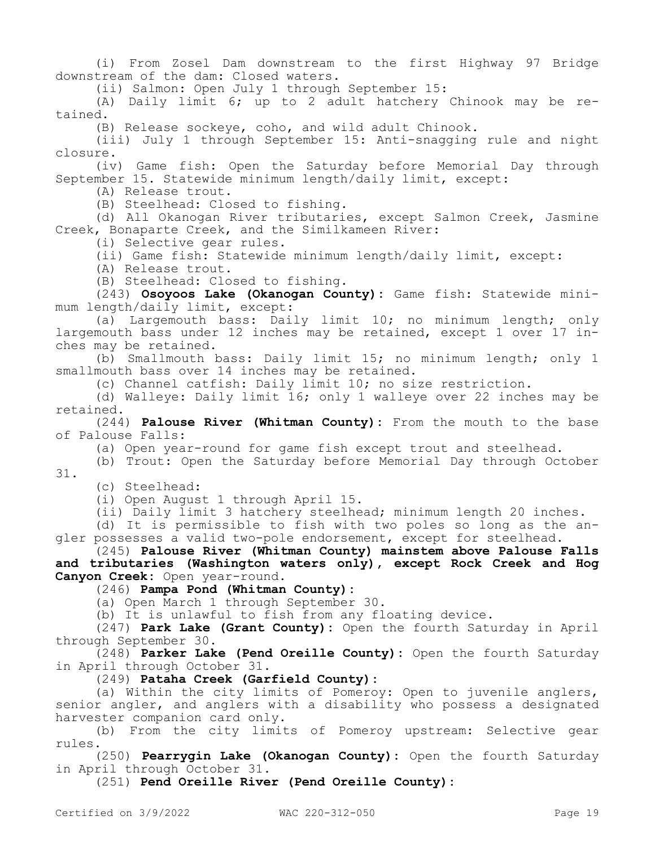(i) From Zosel Dam downstream to the first Highway 97 Bridge downstream of the dam: Closed waters.

(ii) Salmon: Open July 1 through September 15:

(A) Daily limit 6; up to 2 adult hatchery Chinook may be retained.

(B) Release sockeye, coho, and wild adult Chinook.

(iii) July 1 through September 15: Anti-snagging rule and night closure.

(iv) Game fish: Open the Saturday before Memorial Day through September 15. Statewide minimum length/daily limit, except:

(A) Release trout.

(B) Steelhead: Closed to fishing.

(d) All Okanogan River tributaries, except Salmon Creek, Jasmine Creek, Bonaparte Creek, and the Similkameen River:

(i) Selective gear rules.

(ii) Game fish: Statewide minimum length/daily limit, except:

(A) Release trout.

(B) Steelhead: Closed to fishing.

(243) **Osoyoos Lake (Okanogan County):** Game fish: Statewide minimum length/daily limit, except:

(a) Largemouth bass: Daily limit 10; no minimum length; only largemouth bass under 12 inches may be retained, except 1 over 17 inches may be retained.

(b) Smallmouth bass: Daily limit 15; no minimum length; only 1 smallmouth bass over 14 inches may be retained.

(c) Channel catfish: Daily limit 10; no size restriction.

(d) Walleye: Daily limit 16; only 1 walleye over 22 inches may be retained.

(244) **Palouse River (Whitman County):** From the mouth to the base of Palouse Falls:

(a) Open year-round for game fish except trout and steelhead.

(b) Trout: Open the Saturday before Memorial Day through October 31.

(c) Steelhead:

(i) Open August 1 through April 15.

(ii) Daily limit 3 hatchery steelhead; minimum length 20 inches.

(d) It is permissible to fish with two poles so long as the angler possesses a valid two-pole endorsement, except for steelhead.

(245) **Palouse River (Whitman County) mainstem above Palouse Falls and tributaries (Washington waters only), except Rock Creek and Hog Canyon Creek:** Open year-round.

(246) **Pampa Pond (Whitman County):**

(a) Open March 1 through September 30.

(b) It is unlawful to fish from any floating device.

(247) **Park Lake (Grant County):** Open the fourth Saturday in April through September 30.

(248) **Parker Lake (Pend Oreille County):** Open the fourth Saturday in April through October 31.

(249) **Pataha Creek (Garfield County):**

(a) Within the city limits of Pomeroy: Open to juvenile anglers, senior angler, and anglers with a disability who possess a designated harvester companion card only.

(b) From the city limits of Pomeroy upstream: Selective gear rules.

(250) **Pearrygin Lake (Okanogan County):** Open the fourth Saturday in April through October 31.

(251) **Pend Oreille River (Pend Oreille County):**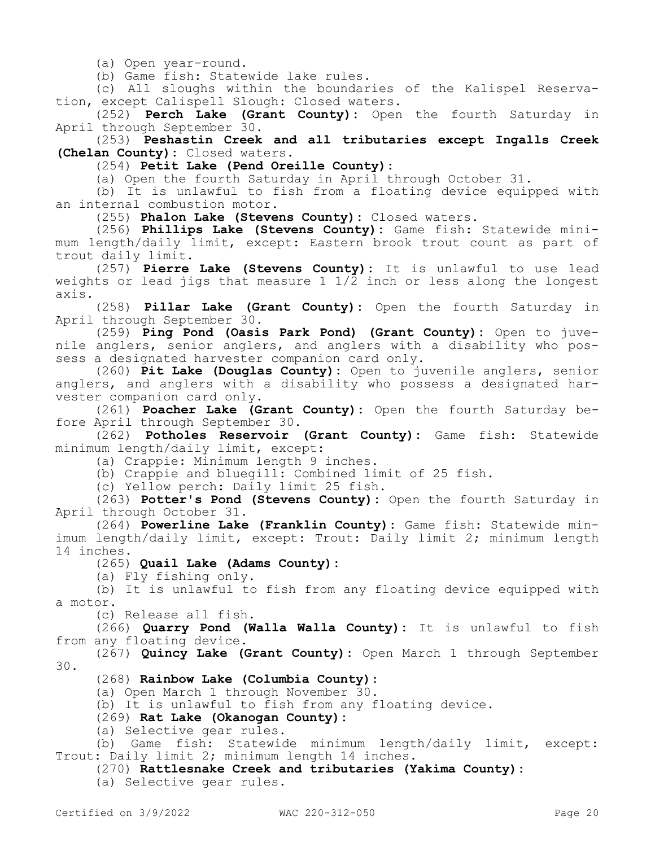(a) Open year-round.

(b) Game fish: Statewide lake rules.

(c) All sloughs within the boundaries of the Kalispel Reservation, except Calispell Slough: Closed waters.

(252) **Perch Lake (Grant County):** Open the fourth Saturday in April through September 30.

(253) **Peshastin Creek and all tributaries except Ingalls Creek (Chelan County):** Closed waters.

(254) **Petit Lake (Pend Oreille County):**

(a) Open the fourth Saturday in April through October 31.

(b) It is unlawful to fish from a floating device equipped with an internal combustion motor.

(255) **Phalon Lake (Stevens County):** Closed waters.

(256) **Phillips Lake (Stevens County):** Game fish: Statewide minimum length/daily limit, except: Eastern brook trout count as part of trout daily limit.

(257) **Pierre Lake (Stevens County):** It is unlawful to use lead weights or lead jigs that measure 1 1/2 inch or less along the longest axis.

(258) **Pillar Lake (Grant County):** Open the fourth Saturday in April through September 30.

(259) **Ping Pond (Oasis Park Pond) (Grant County):** Open to juvenile anglers, senior anglers, and anglers with a disability who possess a designated harvester companion card only.

(260) **Pit Lake (Douglas County):** Open to juvenile anglers, senior anglers, and anglers with a disability who possess a designated harvester companion card only.

(261) **Poacher Lake (Grant County):** Open the fourth Saturday before April through September 30.

(262) **Potholes Reservoir (Grant County):** Game fish: Statewide minimum length/daily limit, except:

(a) Crappie: Minimum length 9 inches.

(b) Crappie and bluegill: Combined limit of 25 fish.

(c) Yellow perch: Daily limit 25 fish.

(263) **Potter's Pond (Stevens County):** Open the fourth Saturday in April through October 31.

(264) **Powerline Lake (Franklin County):** Game fish: Statewide minimum length/daily limit, except: Trout: Daily limit 2; minimum length 14 inches.

(265) **Quail Lake (Adams County):**

(a) Fly fishing only.

(b) It is unlawful to fish from any floating device equipped with a motor.

(c) Release all fish.

(266) **Quarry Pond (Walla Walla County):** It is unlawful to fish from any floating device.

(267) **Quincy Lake (Grant County):** Open March 1 through September 30.

(268) **Rainbow Lake (Columbia County):**

(a) Open March 1 through November 30.

(b) It is unlawful to fish from any floating device.

(269) **Rat Lake (Okanogan County):**

(a) Selective gear rules.

(b) Game fish: Statewide minimum length/daily limit, except: Trout: Daily limit 2; minimum length 14 inches.

(270) **Rattlesnake Creek and tributaries (Yakima County):**

(a) Selective gear rules.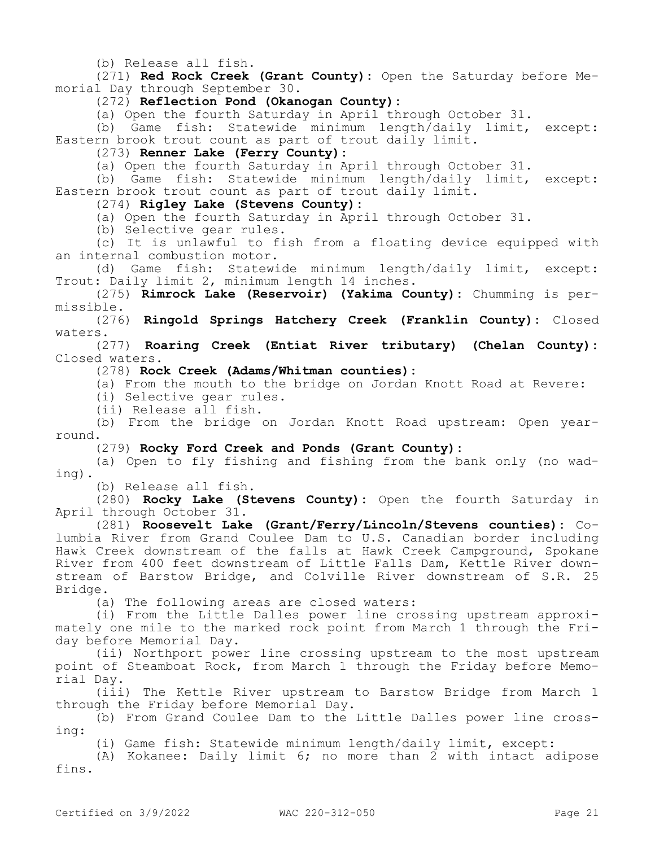(b) Release all fish.

(271) **Red Rock Creek (Grant County):** Open the Saturday before Memorial Day through September 30.

(272) **Reflection Pond (Okanogan County):**

(a) Open the fourth Saturday in April through October 31.

(b) Game fish: Statewide minimum length/daily limit, except: Eastern brook trout count as part of trout daily limit.

(273) **Renner Lake (Ferry County):**

(a) Open the fourth Saturday in April through October 31.

(b) Game fish: Statewide minimum length/daily limit, except: Eastern brook trout count as part of trout daily limit.

# (274) **Rigley Lake (Stevens County):**

(a) Open the fourth Saturday in April through October 31.

(b) Selective gear rules.

(c) It is unlawful to fish from a floating device equipped with an internal combustion motor.

(d) Game fish: Statewide minimum length/daily limit, except: Trout: Daily limit 2, minimum length 14 inches.

(275) **Rimrock Lake (Reservoir) (Yakima County):** Chumming is permissible.

(276) **Ringold Springs Hatchery Creek (Franklin County):** Closed waters.

(277) **Roaring Creek (Entiat River tributary) (Chelan County):**  Closed waters.

(278) **Rock Creek (Adams/Whitman counties):**

(a) From the mouth to the bridge on Jordan Knott Road at Revere:

(i) Selective gear rules.

(ii) Release all fish.

(b) From the bridge on Jordan Knott Road upstream: Open yearround.

(279) **Rocky Ford Creek and Ponds (Grant County):**

(a) Open to fly fishing and fishing from the bank only (no wading).

(b) Release all fish.

(280) **Rocky Lake (Stevens County):** Open the fourth Saturday in April through October 31.

(281) **Roosevelt Lake (Grant/Ferry/Lincoln/Stevens counties):** Columbia River from Grand Coulee Dam to U.S. Canadian border including Hawk Creek downstream of the falls at Hawk Creek Campground, Spokane River from 400 feet downstream of Little Falls Dam, Kettle River downstream of Barstow Bridge, and Colville River downstream of S.R. 25 Bridge.

(a) The following areas are closed waters:

(i) From the Little Dalles power line crossing upstream approximately one mile to the marked rock point from March 1 through the Friday before Memorial Day.

(ii) Northport power line crossing upstream to the most upstream point of Steamboat Rock, from March 1 through the Friday before Memorial Day.

(iii) The Kettle River upstream to Barstow Bridge from March 1 through the Friday before Memorial Day.

(b) From Grand Coulee Dam to the Little Dalles power line crossing:

(i) Game fish: Statewide minimum length/daily limit, except:

(A) Kokanee: Daily limit 6; no more than 2 with intact adipose fins.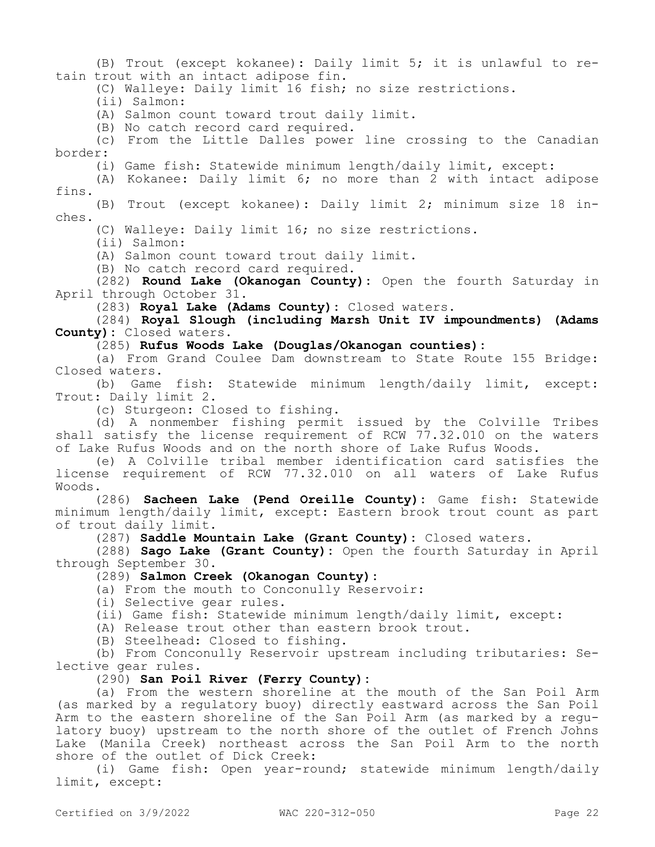(B) Trout (except kokanee): Daily limit 5; it is unlawful to retain trout with an intact adipose fin.

(C) Walleye: Daily limit 16 fish; no size restrictions.

(ii) Salmon:

(A) Salmon count toward trout daily limit.

(B) No catch record card required.

(c) From the Little Dalles power line crossing to the Canadian border:

(i) Game fish: Statewide minimum length/daily limit, except:

(A) Kokanee: Daily limit 6; no more than 2 with intact adipose fins.

(B) Trout (except kokanee): Daily limit 2; minimum size 18 inches.

(C) Walleye: Daily limit 16; no size restrictions.

(ii) Salmon:

(A) Salmon count toward trout daily limit.

(B) No catch record card required.

(282) **Round Lake (Okanogan County):** Open the fourth Saturday in April through October 31.

(283) **Royal Lake (Adams County):** Closed waters.

(284) **Royal Slough (including Marsh Unit IV impoundments) (Adams County):** Closed waters.

(285) **Rufus Woods Lake (Douglas/Okanogan counties):**

(a) From Grand Coulee Dam downstream to State Route 155 Bridge: Closed waters.

(b) Game fish: Statewide minimum length/daily limit, except: Trout: Daily limit 2.

(c) Sturgeon: Closed to fishing.

(d) A nonmember fishing permit issued by the Colville Tribes shall satisfy the license requirement of RCW 77.32.010 on the waters of Lake Rufus Woods and on the north shore of Lake Rufus Woods.

(e) A Colville tribal member identification card satisfies the license requirement of RCW 77.32.010 on all waters of Lake Rufus Woods.

(286) **Sacheen Lake (Pend Oreille County):** Game fish: Statewide minimum length/daily limit, except: Eastern brook trout count as part of trout daily limit.

(287) **Saddle Mountain Lake (Grant County):** Closed waters.

(288) **Sago Lake (Grant County):** Open the fourth Saturday in April through September 30.

(289) **Salmon Creek (Okanogan County):**

(a) From the mouth to Conconully Reservoir:

(i) Selective gear rules.

(ii) Game fish: Statewide minimum length/daily limit, except:

(A) Release trout other than eastern brook trout.

(B) Steelhead: Closed to fishing.

(b) From Conconully Reservoir upstream including tributaries: Selective gear rules.

(290) **San Poil River (Ferry County):**

(a) From the western shoreline at the mouth of the San Poil Arm (as marked by a regulatory buoy) directly eastward across the San Poil Arm to the eastern shoreline of the San Poil Arm (as marked by a regulatory buoy) upstream to the north shore of the outlet of French Johns Lake (Manila Creek) northeast across the San Poil Arm to the north shore of the outlet of Dick Creek:

(i) Game fish: Open year-round; statewide minimum length/daily limit, except: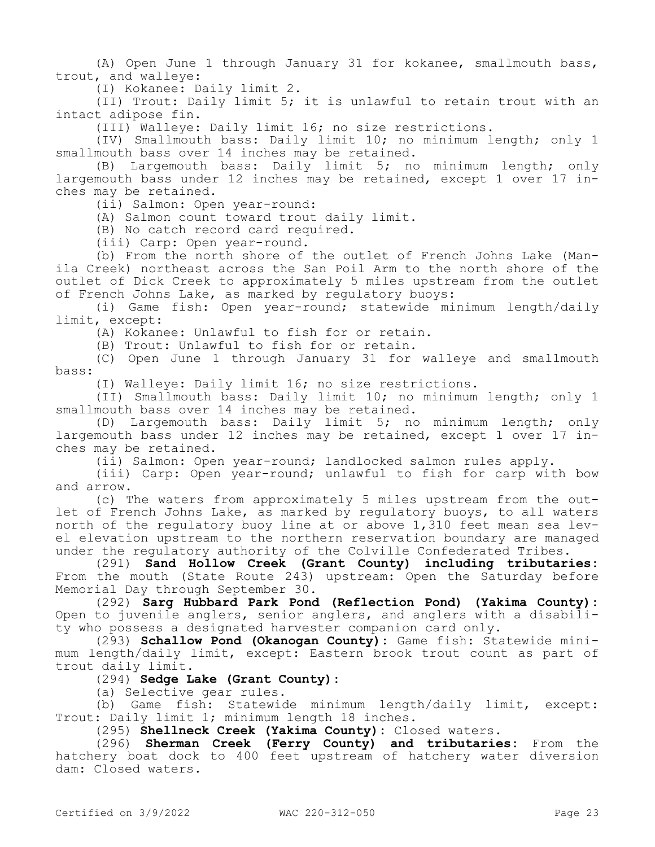(A) Open June 1 through January 31 for kokanee, smallmouth bass, trout, and walleye:

(I) Kokanee: Daily limit 2.

(II) Trout: Daily limit 5; it is unlawful to retain trout with an intact adipose fin.

(III) Walleye: Daily limit 16; no size restrictions.

(IV) Smallmouth bass: Daily limit 10; no minimum length; only 1 smallmouth bass over 14 inches may be retained.

(B) Largemouth bass: Daily limit 5; no minimum length; only largemouth bass under 12 inches may be retained, except 1 over 17 inches may be retained.

(ii) Salmon: Open year-round:

(A) Salmon count toward trout daily limit.

(B) No catch record card required.

(iii) Carp: Open year-round.

(b) From the north shore of the outlet of French Johns Lake (Manila Creek) northeast across the San Poil Arm to the north shore of the outlet of Dick Creek to approximately 5 miles upstream from the outlet of French Johns Lake, as marked by regulatory buoys:

(i) Game fish: Open year-round; statewide minimum length/daily limit, except:

(A) Kokanee: Unlawful to fish for or retain.

(B) Trout: Unlawful to fish for or retain.

(C) Open June 1 through January 31 for walleye and smallmouth bass:

(I) Walleye: Daily limit 16; no size restrictions.

(II) Smallmouth bass: Daily limit 10; no minimum length; only 1 smallmouth bass over 14 inches may be retained.

(D) Largemouth bass: Daily limit 5; no minimum length; only largemouth bass under 12 inches may be retained, except 1 over 17 inches may be retained.

(ii) Salmon: Open year-round; landlocked salmon rules apply.

(iii) Carp: Open year-round; unlawful to fish for carp with bow and arrow.

(c) The waters from approximately 5 miles upstream from the outlet of French Johns Lake, as marked by regulatory buoys, to all waters north of the regulatory buoy line at or above 1,310 feet mean sea level elevation upstream to the northern reservation boundary are managed under the regulatory authority of the Colville Confederated Tribes.

(291) **Sand Hollow Creek (Grant County) including tributaries:**  From the mouth (State Route 243) upstream: Open the Saturday before Memorial Day through September 30.

(292) **Sarg Hubbard Park Pond (Reflection Pond) (Yakima County):**  Open to juvenile anglers, senior anglers, and anglers with a disability who possess a designated harvester companion card only.

(293) **Schallow Pond (Okanogan County):** Game fish: Statewide minimum length/daily limit, except: Eastern brook trout count as part of trout daily limit.

(294) **Sedge Lake (Grant County):**

(a) Selective gear rules.

(b) Game fish: Statewide minimum length/daily limit, except: Trout: Daily limit 1; minimum length 18 inches.

(295) **Shellneck Creek (Yakima County):** Closed waters.

(296) **Sherman Creek (Ferry County) and tributaries:** From the hatchery boat dock to 400 feet upstream of hatchery water diversion dam: Closed waters.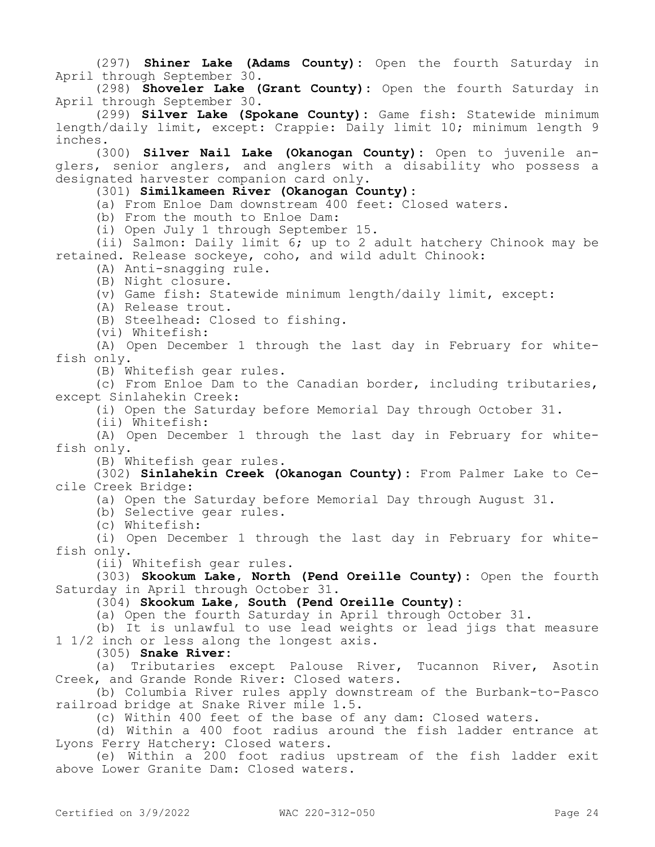(297) **Shiner Lake (Adams County):** Open the fourth Saturday in April through September 30.

(298) **Shoveler Lake (Grant County):** Open the fourth Saturday in April through September 30.

(299) **Silver Lake (Spokane County):** Game fish: Statewide minimum length/daily limit, except: Crappie: Daily limit 10; minimum length 9 inches.

(300) **Silver Nail Lake (Okanogan County):** Open to juvenile anglers, senior anglers, and anglers with a disability who possess a designated harvester companion card only.

(301) **Similkameen River (Okanogan County):**

(a) From Enloe Dam downstream 400 feet: Closed waters.

(b) From the mouth to Enloe Dam:

(i) Open July 1 through September 15.

(ii) Salmon: Daily limit 6; up to 2 adult hatchery Chinook may be retained. Release sockeye, coho, and wild adult Chinook:

(A) Anti-snagging rule.

(B) Night closure.

(v) Game fish: Statewide minimum length/daily limit, except:

(A) Release trout.

(B) Steelhead: Closed to fishing.

(vi) Whitefish:

(A) Open December 1 through the last day in February for whitefish only.

(B) Whitefish gear rules.

(c) From Enloe Dam to the Canadian border, including tributaries, except Sinlahekin Creek:

(i) Open the Saturday before Memorial Day through October 31.

(ii) Whitefish:

(A) Open December 1 through the last day in February for whitefish only.

(B) Whitefish gear rules.

(302) **Sinlahekin Creek (Okanogan County):** From Palmer Lake to Cecile Creek Bridge:

(a) Open the Saturday before Memorial Day through August 31.

(b) Selective gear rules.

(c) Whitefish:

(i) Open December 1 through the last day in February for whitefish only.

(ii) Whitefish gear rules.

(303) **Skookum Lake, North (Pend Oreille County):** Open the fourth Saturday in April through October 31.

(304) **Skookum Lake, South (Pend Oreille County):**

(a) Open the fourth Saturday in April through October 31.

(b) It is unlawful to use lead weights or lead jigs that measure 1 1/2 inch or less along the longest axis.

(305) **Snake River:**

(a) Tributaries except Palouse River, Tucannon River, Asotin Creek, and Grande Ronde River: Closed waters.

(b) Columbia River rules apply downstream of the Burbank-to-Pasco railroad bridge at Snake River mile 1.5.

(c) Within 400 feet of the base of any dam: Closed waters.

(d) Within a 400 foot radius around the fish ladder entrance at Lyons Ferry Hatchery: Closed waters.

(e) Within a 200 foot radius upstream of the fish ladder exit above Lower Granite Dam: Closed waters.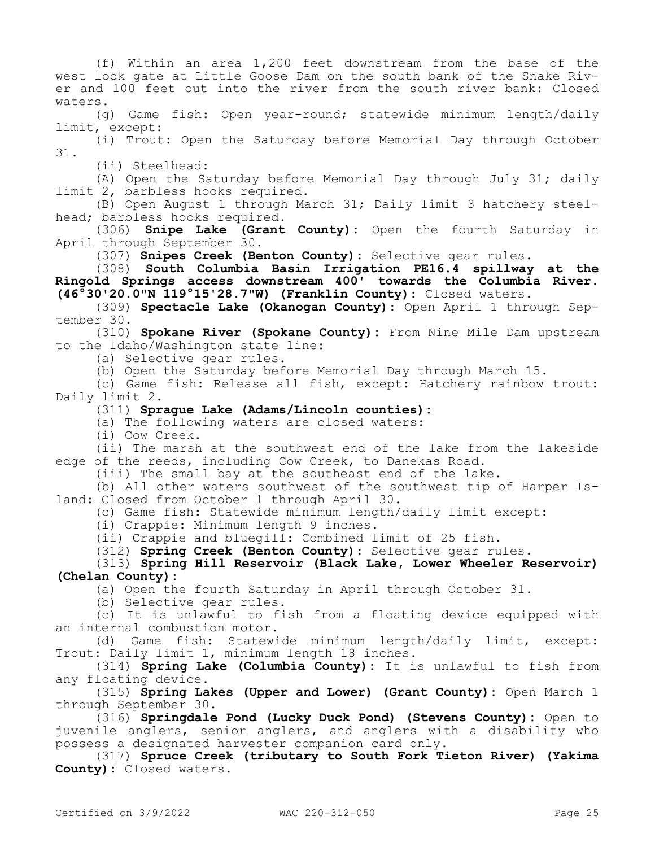(f) Within an area 1,200 feet downstream from the base of the west lock gate at Little Goose Dam on the south bank of the Snake River and 100 feet out into the river from the south river bank: Closed waters. (g) Game fish: Open year-round; statewide minimum length/daily limit, except: (i) Trout: Open the Saturday before Memorial Day through October 31. (ii) Steelhead: (A) Open the Saturday before Memorial Day through July 31; daily limit 2, barbless hooks required. (B) Open August 1 through March 31; Daily limit 3 hatchery steelhead; barbless hooks required. (306) **Snipe Lake (Grant County):** Open the fourth Saturday in April through September 30. (307) **Snipes Creek (Benton County):** Selective gear rules. (308) **South Columbia Basin Irrigation PE16.4 spillway at the Ringold Springs access downstream 400' towards the Columbia River. (46°30'20.0"N 119°15'28.7"W) (Franklin County):** Closed waters. (309) **Spectacle Lake (Okanogan County):** Open April 1 through September 30. (310) **Spokane River (Spokane County):** From Nine Mile Dam upstream to the Idaho/Washington state line: (a) Selective gear rules. (b) Open the Saturday before Memorial Day through March 15. (c) Game fish: Release all fish, except: Hatchery rainbow trout: Daily limit 2. (311) **Sprague Lake (Adams/Lincoln counties):** (a) The following waters are closed waters: (i) Cow Creek. (ii) The marsh at the southwest end of the lake from the lakeside edge of the reeds, including Cow Creek, to Danekas Road. (iii) The small bay at the southeast end of the lake. (b) All other waters southwest of the southwest tip of Harper Island: Closed from October 1 through April 30. (c) Game fish: Statewide minimum length/daily limit except: (i) Crappie: Minimum length 9 inches. (ii) Crappie and bluegill: Combined limit of 25 fish. (312) **Spring Creek (Benton County):** Selective gear rules. (313) **Spring Hill Reservoir (Black Lake, Lower Wheeler Reservoir) (Chelan County):** (a) Open the fourth Saturday in April through October 31. (b) Selective gear rules. (c) It is unlawful to fish from a floating device equipped with an internal combustion motor. (d) Game fish: Statewide minimum length/daily limit, except: Trout: Daily limit 1, minimum length 18 inches. (314) **Spring Lake (Columbia County):** It is unlawful to fish from any floating device. (315) **Spring Lakes (Upper and Lower) (Grant County):** Open March 1 through September 30. (316) **Springdale Pond (Lucky Duck Pond) (Stevens County):** Open to juvenile anglers, senior anglers, and anglers with a disability who possess a designated harvester companion card only. (317) **Spruce Creek (tributary to South Fork Tieton River) (Yakima County):** Closed waters.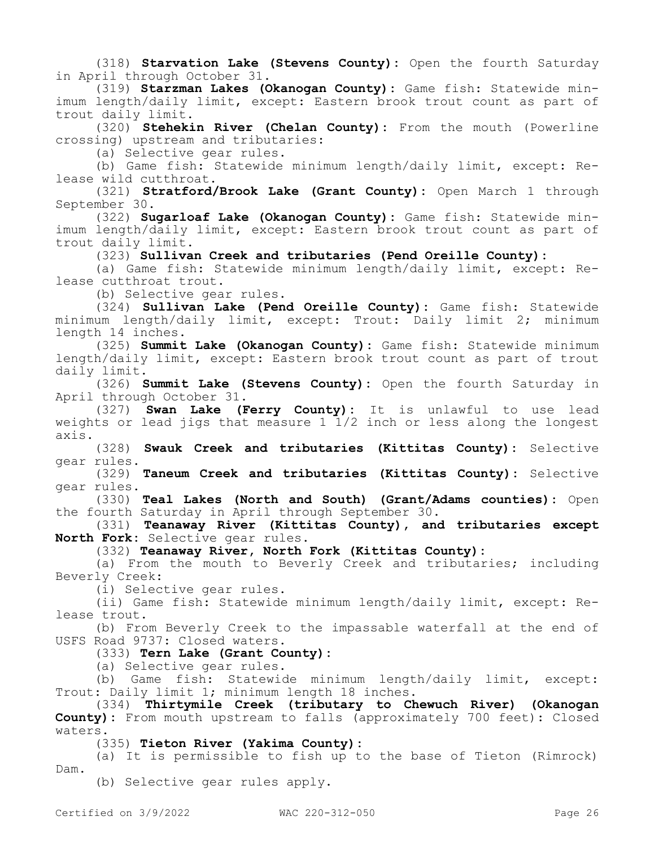(318) **Starvation Lake (Stevens County):** Open the fourth Saturday in April through October 31.

(319) **Starzman Lakes (Okanogan County):** Game fish: Statewide minimum length/daily limit, except: Eastern brook trout count as part of trout daily limit.

(320) **Stehekin River (Chelan County):** From the mouth (Powerline crossing) upstream and tributaries:

(a) Selective gear rules.

(b) Game fish: Statewide minimum length/daily limit, except: Release wild cutthroat.

(321) **Stratford/Brook Lake (Grant County):** Open March 1 through September 30.

(322) **Sugarloaf Lake (Okanogan County):** Game fish: Statewide minimum length/daily limit, except: Eastern brook trout count as part of trout daily limit.

(323) **Sullivan Creek and tributaries (Pend Oreille County):**

(a) Game fish: Statewide minimum length/daily limit, except: Release cutthroat trout.

(b) Selective gear rules.

(324) **Sullivan Lake (Pend Oreille County):** Game fish: Statewide minimum length/daily limit, except: Trout: Daily limit 2; minimum length 14 inches.

(325) **Summit Lake (Okanogan County):** Game fish: Statewide minimum length/daily limit, except: Eastern brook trout count as part of trout daily limit.

(326) **Summit Lake (Stevens County):** Open the fourth Saturday in April through October 31.

(327) **Swan Lake (Ferry County):** It is unlawful to use lead weights or lead jigs that measure  $1\bar{1}/2$  inch or less along the longest axis.

(328) **Swauk Creek and tributaries (Kittitas County):** Selective gear rules.

(329) **Taneum Creek and tributaries (Kittitas County):** Selective gear rules.

(330) **Teal Lakes (North and South) (Grant/Adams counties):** Open the fourth Saturday in April through September 30.

(331) **Teanaway River (Kittitas County), and tributaries except North Fork:** Selective gear rules.

(332) **Teanaway River, North Fork (Kittitas County):**

(a) From the mouth to Beverly Creek and tributaries; including Beverly Creek:

(i) Selective gear rules.

(ii) Game fish: Statewide minimum length/daily limit, except: Release trout.

(b) From Beverly Creek to the impassable waterfall at the end of USFS Road 9737: Closed waters.

# (333) **Tern Lake (Grant County):**

(a) Selective gear rules.

(b) Game fish: Statewide minimum length/daily limit, except: Trout: Daily limit 1; minimum length 18 inches.

(334) **Thirtymile Creek (tributary to Chewuch River) (Okanogan County):** From mouth upstream to falls (approximately 700 feet): Closed waters.

(335) **Tieton River (Yakima County):**

(a) It is permissible to fish up to the base of Tieton (Rimrock) Dam.

(b) Selective gear rules apply.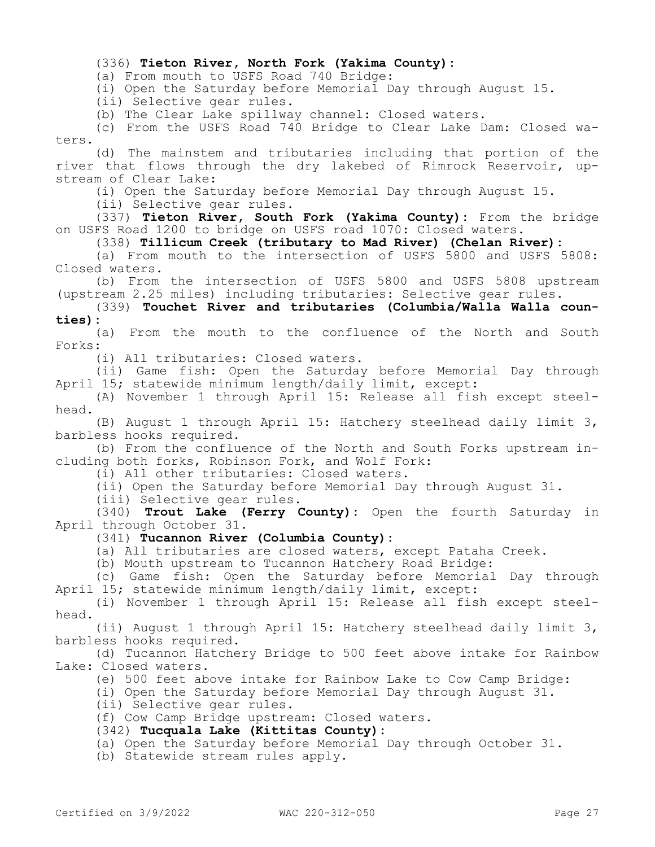#### (336) **Tieton River, North Fork (Yakima County):**

(a) From mouth to USFS Road 740 Bridge:

(i) Open the Saturday before Memorial Day through August 15.

(ii) Selective gear rules.

(b) The Clear Lake spillway channel: Closed waters.

(c) From the USFS Road 740 Bridge to Clear Lake Dam: Closed waters.

(d) The mainstem and tributaries including that portion of the river that flows through the dry lakebed of Rimrock Reservoir, upstream of Clear Lake:

(i) Open the Saturday before Memorial Day through August 15.

(ii) Selective gear rules.

(337) **Tieton River, South Fork (Yakima County):** From the bridge on USFS Road 1200 to bridge on USFS road 1070: Closed waters.

(338) **Tillicum Creek (tributary to Mad River) (Chelan River):**

(a) From mouth to the intersection of USFS 5800 and USFS 5808: Closed waters.

(b) From the intersection of USFS 5800 and USFS 5808 upstream (upstream 2.25 miles) including tributaries: Selective gear rules.

(339) **Touchet River and tributaries (Columbia/Walla Walla counties):**

(a) From the mouth to the confluence of the North and South Forks:

(i) All tributaries: Closed waters.

(ii) Game fish: Open the Saturday before Memorial Day through April 15; statewide minimum length/daily limit, except:

(A) November 1 through April 15: Release all fish except steelhead.

(B) August 1 through April 15: Hatchery steelhead daily limit 3, barbless hooks required.

(b) From the confluence of the North and South Forks upstream including both forks, Robinson Fork, and Wolf Fork:

(i) All other tributaries: Closed waters.

(ii) Open the Saturday before Memorial Day through August 31.

(iii) Selective gear rules.

(340) **Trout Lake (Ferry County):** Open the fourth Saturday in April through October 31.

(341) **Tucannon River (Columbia County):**

(a) All tributaries are closed waters, except Pataha Creek.

(b) Mouth upstream to Tucannon Hatchery Road Bridge:

(c) Game fish: Open the Saturday before Memorial Day through April 15; statewide minimum length/daily limit, except:

(i) November 1 through April 15: Release all fish except steelhead.

(ii) August 1 through April 15: Hatchery steelhead daily limit 3, barbless hooks required.

(d) Tucannon Hatchery Bridge to 500 feet above intake for Rainbow Lake: Closed waters.

(e) 500 feet above intake for Rainbow Lake to Cow Camp Bridge:

(i) Open the Saturday before Memorial Day through August 31.

(ii) Selective gear rules.

(f) Cow Camp Bridge upstream: Closed waters.

(342) **Tucquala Lake (Kittitas County):**

(a) Open the Saturday before Memorial Day through October 31.

(b) Statewide stream rules apply.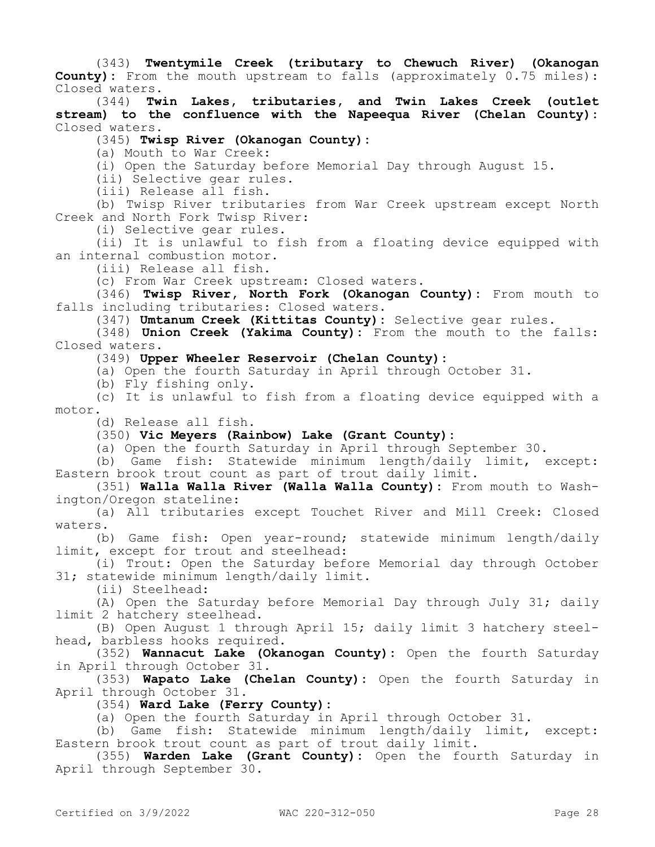(343) **Twentymile Creek (tributary to Chewuch River) (Okanogan County):** From the mouth upstream to falls (approximately 0.75 miles): Closed waters.

(344) **Twin Lakes, tributaries, and Twin Lakes Creek (outlet stream) to the confluence with the Napeequa River (Chelan County):**  Closed waters.

(345) **Twisp River (Okanogan County):**

(a) Mouth to War Creek:

(i) Open the Saturday before Memorial Day through August 15.

(ii) Selective gear rules.

(iii) Release all fish.

(b) Twisp River tributaries from War Creek upstream except North Creek and North Fork Twisp River:

(i) Selective gear rules.

(ii) It is unlawful to fish from a floating device equipped with an internal combustion motor.

(iii) Release all fish.

(c) From War Creek upstream: Closed waters.

(346) **Twisp River, North Fork (Okanogan County):** From mouth to falls including tributaries: Closed waters.

(347) **Umtanum Creek (Kittitas County):** Selective gear rules.

(348) **Union Creek (Yakima County):** From the mouth to the falls: Closed waters.

(349) **Upper Wheeler Reservoir (Chelan County):**

(a) Open the fourth Saturday in April through October 31.

(b) Fly fishing only.

(c) It is unlawful to fish from a floating device equipped with a motor.

(d) Release all fish.

### (350) **Vic Meyers (Rainbow) Lake (Grant County):**

(a) Open the fourth Saturday in April through September 30.

(b) Game fish: Statewide minimum length/daily limit, except: Eastern brook trout count as part of trout daily limit.

(351) **Walla Walla River (Walla Walla County):** From mouth to Washington/Oregon stateline:

(a) All tributaries except Touchet River and Mill Creek: Closed waters.

(b) Game fish: Open year-round; statewide minimum length/daily limit, except for trout and steelhead:

(i) Trout: Open the Saturday before Memorial day through October 31; statewide minimum length/daily limit.

(ii) Steelhead:

(A) Open the Saturday before Memorial Day through July 31; daily limit 2 hatchery steelhead.

(B) Open August 1 through April 15; daily limit 3 hatchery steelhead, barbless hooks required.

(352) **Wannacut Lake (Okanogan County):** Open the fourth Saturday in April through October 31.

(353) **Wapato Lake (Chelan County):** Open the fourth Saturday in April through October 31.

(354) **Ward Lake (Ferry County):**

(a) Open the fourth Saturday in April through October 31.

(b) Game fish: Statewide minimum length/daily limit, except: Eastern brook trout count as part of trout daily limit.

(355) **Warden Lake (Grant County):** Open the fourth Saturday in April through September 30.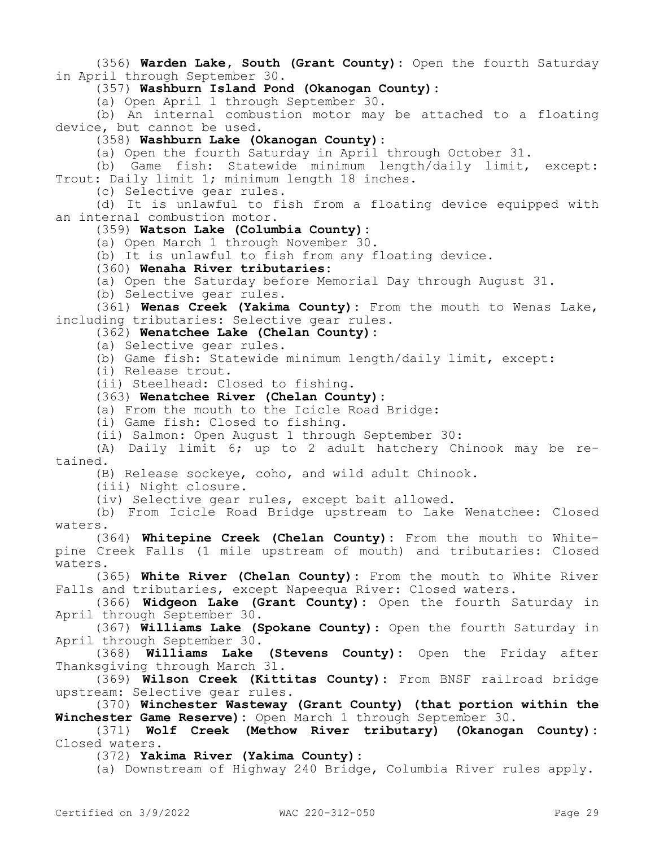(356) **Warden Lake, South (Grant County):** Open the fourth Saturday in April through September 30.

(357) **Washburn Island Pond (Okanogan County):**

(a) Open April 1 through September 30.

(b) An internal combustion motor may be attached to a floating device, but cannot be used.

(358) **Washburn Lake (Okanogan County):**

(a) Open the fourth Saturday in April through October 31.

(b) Game fish: Statewide minimum length/daily limit, except: Trout: Daily limit 1; minimum length 18 inches.

(c) Selective gear rules.

(d) It is unlawful to fish from a floating device equipped with an internal combustion motor.

# (359) **Watson Lake (Columbia County):**

(a) Open March 1 through November 30.

(b) It is unlawful to fish from any floating device.

(360) **Wenaha River tributaries:**

(a) Open the Saturday before Memorial Day through August 31.

(b) Selective gear rules.

(361) **Wenas Creek (Yakima County):** From the mouth to Wenas Lake, including tributaries: Selective gear rules.

# (362) **Wenatchee Lake (Chelan County):**

- (a) Selective gear rules.
- (b) Game fish: Statewide minimum length/daily limit, except:
- (i) Release trout.

(ii) Steelhead: Closed to fishing.

#### (363) **Wenatchee River (Chelan County):**

(a) From the mouth to the Icicle Road Bridge:

(i) Game fish: Closed to fishing.

(ii) Salmon: Open August 1 through September 30:

(A) Daily limit 6; up to 2 adult hatchery Chinook may be retained.

(B) Release sockeye, coho, and wild adult Chinook.

(iii) Night closure.

(iv) Selective gear rules, except bait allowed.

(b) From Icicle Road Bridge upstream to Lake Wenatchee: Closed waters.

(364) **Whitepine Creek (Chelan County):** From the mouth to Whitepine Creek Falls (1 mile upstream of mouth) and tributaries: Closed waters.

(365) **White River (Chelan County):** From the mouth to White River Falls and tributaries, except Napeequa River: Closed waters.

(366) **Widgeon Lake (Grant County):** Open the fourth Saturday in April through September 30.

(367) **Williams Lake (Spokane County)**: Open the fourth Saturday in April through September 30.

(368) **Williams Lake (Stevens County):** Open the Friday after Thanksgiving through March 31.

(369) **Wilson Creek (Kittitas County):** From BNSF railroad bridge upstream: Selective gear rules.

(370) **Winchester Wasteway (Grant County) (that portion within the Winchester Game Reserve):** Open March 1 through September 30.

(371) **Wolf Creek (Methow River tributary) (Okanogan County):**  Closed waters.

(372) **Yakima River (Yakima County):**

(a) Downstream of Highway 240 Bridge, Columbia River rules apply.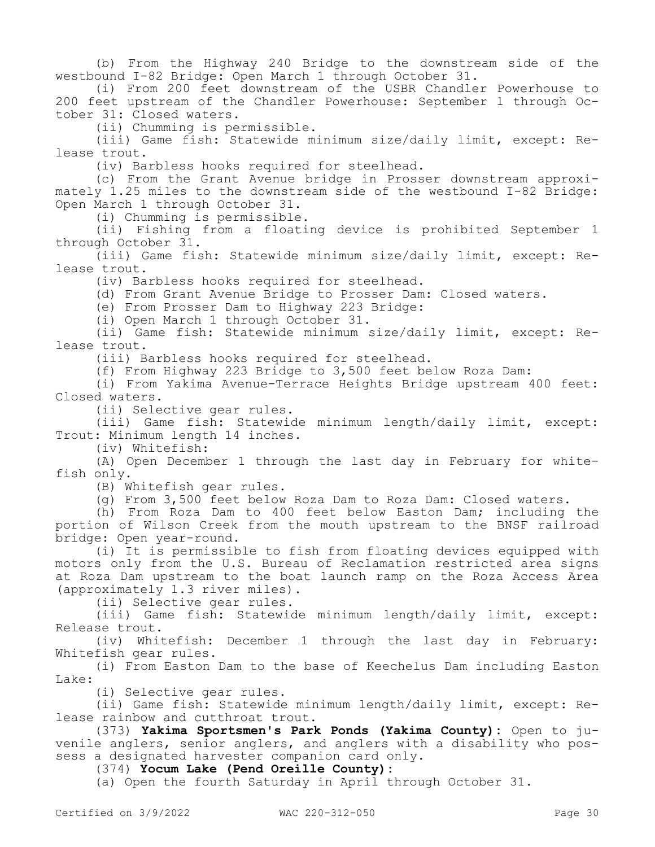(b) From the Highway 240 Bridge to the downstream side of the westbound I-82 Bridge: Open March 1 through October 31.

(i) From 200 feet downstream of the USBR Chandler Powerhouse to 200 feet upstream of the Chandler Powerhouse: September 1 through October 31: Closed waters.

(ii) Chumming is permissible.

(iii) Game fish: Statewide minimum size/daily limit, except: Release trout.

(iv) Barbless hooks required for steelhead.

(c) From the Grant Avenue bridge in Prosser downstream approximately 1.25 miles to the downstream side of the westbound I-82 Bridge: Open March 1 through October 31.

(i) Chumming is permissible.

(ii) Fishing from a floating device is prohibited September 1 through October 31.

(iii) Game fish: Statewide minimum size/daily limit, except: Release trout.

(iv) Barbless hooks required for steelhead.

(d) From Grant Avenue Bridge to Prosser Dam: Closed waters.

(e) From Prosser Dam to Highway 223 Bridge:

(i) Open March 1 through October 31.

(ii) Game fish: Statewide minimum size/daily limit, except: Release trout.

(iii) Barbless hooks required for steelhead.

(f) From Highway 223 Bridge to 3,500 feet below Roza Dam:

(i) From Yakima Avenue-Terrace Heights Bridge upstream 400 feet: Closed waters.

(ii) Selective gear rules.

(iii) Game fish: Statewide minimum length/daily limit, except: Trout: Minimum length 14 inches.

(iv) Whitefish:

(A) Open December 1 through the last day in February for whitefish only.

(B) Whitefish gear rules.

(g) From 3,500 feet below Roza Dam to Roza Dam: Closed waters.

(h) From Roza Dam to 400 feet below Easton Dam; including the portion of Wilson Creek from the mouth upstream to the BNSF railroad bridge: Open year-round.

(i) It is permissible to fish from floating devices equipped with motors only from the U.S. Bureau of Reclamation restricted area signs at Roza Dam upstream to the boat launch ramp on the Roza Access Area (approximately 1.3 river miles).

(ii) Selective gear rules.

(iii) Game fish: Statewide minimum length/daily limit, except: Release trout.

(iv) Whitefish: December 1 through the last day in February: Whitefish gear rules.

(i) From Easton Dam to the base of Keechelus Dam including Easton Lake:

(i) Selective gear rules.

(ii) Game fish: Statewide minimum length/daily limit, except: Release rainbow and cutthroat trout.

(373) **Yakima Sportsmen's Park Ponds (Yakima County):** Open to juvenile anglers, senior anglers, and anglers with a disability who possess a designated harvester companion card only.

(374) **Yocum Lake (Pend Oreille County):**

(a) Open the fourth Saturday in April through October 31.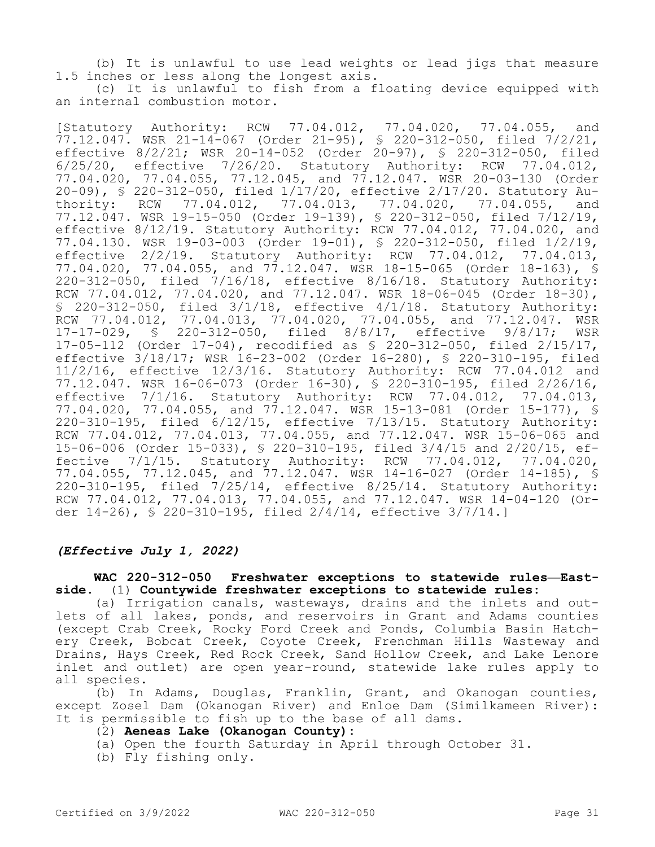(b) It is unlawful to use lead weights or lead jigs that measure 1.5 inches or less along the longest axis.

(c) It is unlawful to fish from a floating device equipped with an internal combustion motor.

[Statutory Authority: RCW 77.04.012, 77.04.020, 77.04.055, and 77.12.047. WSR 21-14-067 (Order 21-95), § 220-312-050, filed 7/2/21, effective 8/2/21; WSR 20-14-052 (Order 20-97), § 220-312-050, filed 6/25/20, effective 7/26/20. Statutory Authority: RCW 77.04.012, 77.04.020, 77.04.055, 77.12.045, and 77.12.047. WSR 20-03-130 (Order 20-09), § 220-312-050, filed 1/17/20, effective 2/17/20. Statutory Authority: RCW 77.04.012, 77.04.013, 77.04.020, 77.04.055, and 77.12.047. WSR 19-15-050 (Order 19-139), § 220-312-050, filed 7/12/19, effective 8/12/19. Statutory Authority: RCW 77.04.012, 77.04.020, and 77.04.130. WSR 19-03-003 (Order 19-01), § 220-312-050, filed 1/2/19, effective 2/2/19. Statutory Authority: RCW 77.04.012, 77.04.013, 77.04.020, 77.04.055, and 77.12.047. WSR 18-15-065 (Order 18-163), § 220-312-050, filed 7/16/18, effective 8/16/18. Statutory Authority: RCW 77.04.012, 77.04.020, and 77.12.047. WSR 18-06-045 (Order 18-30), § 220-312-050, filed 3/1/18, effective 4/1/18. Statutory Authority: RCW 77.04.012, 77.04.013, 77.04.020, 77.04.055, and 77.12.047. WSR 17-17-029, § 220-312-050, filed 8/8/17, effective 9/8/17; WSR 17-05-112 (Order 17-04), recodified as § 220-312-050, filed 2/15/17, effective 3/18/17; WSR 16-23-002 (Order 16-280), § 220-310-195, filed 11/2/16, effective 12/3/16. Statutory Authority: RCW 77.04.012 and 77.12.047. WSR 16-06-073 (Order 16-30), § 220-310-195, filed 2/26/16, effective 7/1/16. Statutory Authority: RCW 77.04.012, 77.04.013, 77.04.020, 77.04.055, and 77.12.047. WSR 15-13-081 (Order 15-177), § 220-310-195, filed 6/12/15, effective 7/13/15. Statutory Authority: RCW 77.04.012, 77.04.013, 77.04.055, and 77.12.047. WSR 15-06-065 and 15-06-006 (Order 15-033), § 220-310-195, filed 3/4/15 and 2/20/15, effective 7/1/15. Statutory Authority: RCW 77.04.012, 77.04.020, 77.04.055, 77.12.045, and 77.12.047. WSR 14-16-027 (Order 14-185), § 220-310-195, filed 7/25/14, effective 8/25/14. Statutory Authority: RCW 77.04.012, 77.04.013, 77.04.055, and 77.12.047. WSR 14-04-120 (Order 14-26), § 220-310-195, filed 2/4/14, effective 3/7/14.]

### *(Effective July 1, 2022)*

## **WAC 220-312-050 Freshwater exceptions to statewide rules—Eastside.** (1) **Countywide freshwater exceptions to statewide rules:**

(a) Irrigation canals, wasteways, drains and the inlets and outlets of all lakes, ponds, and reservoirs in Grant and Adams counties (except Crab Creek, Rocky Ford Creek and Ponds, Columbia Basin Hatchery Creek, Bobcat Creek, Coyote Creek, Frenchman Hills Wasteway and Drains, Hays Creek, Red Rock Creek, Sand Hollow Creek, and Lake Lenore inlet and outlet) are open year-round, statewide lake rules apply to all species.

(b) In Adams, Douglas, Franklin, Grant, and Okanogan counties, except Zosel Dam (Okanogan River) and Enloe Dam (Similkameen River): It is permissible to fish up to the base of all dams.

#### (2) **Aeneas Lake (Okanogan County):**

- (a) Open the fourth Saturday in April through October 31.
- (b) Fly fishing only.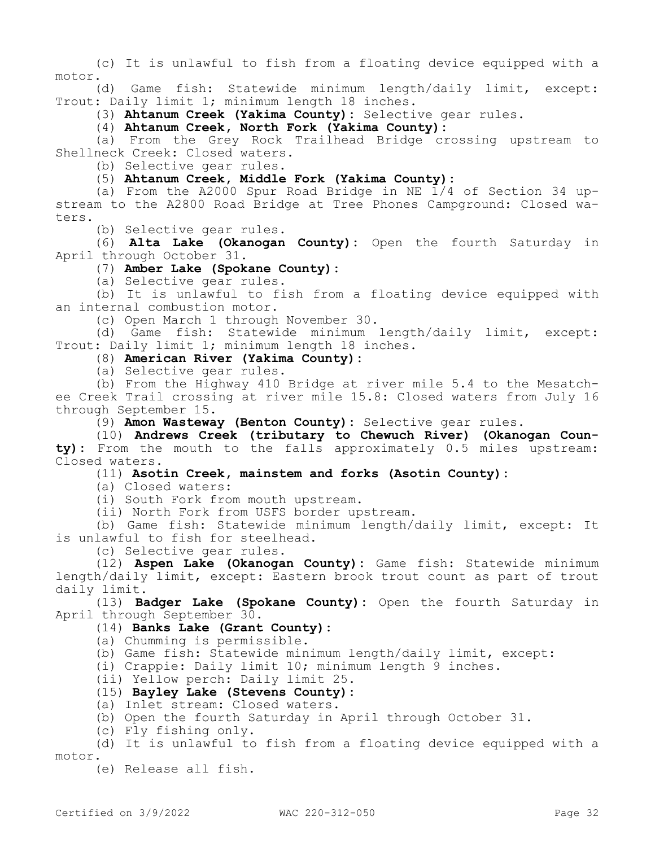(c) It is unlawful to fish from a floating device equipped with a motor.

(d) Game fish: Statewide minimum length/daily limit, except: Trout: Daily limit 1; minimum length 18 inches.

(3) **Ahtanum Creek (Yakima County):** Selective gear rules.

(4) **Ahtanum Creek, North Fork (Yakima County):**

(a) From the Grey Rock Trailhead Bridge crossing upstream to Shellneck Creek: Closed waters.

(b) Selective gear rules.

(5) **Ahtanum Creek, Middle Fork (Yakima County):**

(a) From the A2000 Spur Road Bridge in NE  $\overline{1}/4$  of Section 34 upstream to the A2800 Road Bridge at Tree Phones Campground: Closed waters.

(b) Selective gear rules.

(6) **Alta Lake (Okanogan County):** Open the fourth Saturday in April through October 31.

# (7) **Amber Lake (Spokane County):**

(a) Selective gear rules.

(b) It is unlawful to fish from a floating device equipped with an internal combustion motor.

(c) Open March 1 through November 30.

(d) Game fish: Statewide minimum length/daily limit, except: Trout: Daily limit 1; minimum length 18 inches.

(8) **American River (Yakima County):**

(a) Selective gear rules.

(b) From the Highway 410 Bridge at river mile 5.4 to the Mesatchee Creek Trail crossing at river mile 15.8: Closed waters from July 16 through September 15.

(9) **Amon Wasteway (Benton County):** Selective gear rules.

(10) **Andrews Creek (tributary to Chewuch River) (Okanogan County):** From the mouth to the falls approximately 0.5 miles upstream: Closed waters.

(11) **Asotin Creek, mainstem and forks (Asotin County):**

(a) Closed waters:

(i) South Fork from mouth upstream.

(ii) North Fork from USFS border upstream.

(b) Game fish: Statewide minimum length/daily limit, except: It is unlawful to fish for steelhead.

(c) Selective gear rules.

(12) **Aspen Lake (Okanogan County):** Game fish: Statewide minimum length/daily limit, except: Eastern brook trout count as part of trout daily limit.

(13) **Badger Lake (Spokane County):** Open the fourth Saturday in April through September 30.

### (14) **Banks Lake (Grant County):**

(a) Chumming is permissible.

(b) Game fish: Statewide minimum length/daily limit, except:

(i) Crappie: Daily limit 10; minimum length 9 inches.

(ii) Yellow perch: Daily limit 25.

### (15) **Bayley Lake (Stevens County):**

(a) Inlet stream: Closed waters.

(b) Open the fourth Saturday in April through October 31.

(c) Fly fishing only.

(d) It is unlawful to fish from a floating device equipped with a motor.

(e) Release all fish.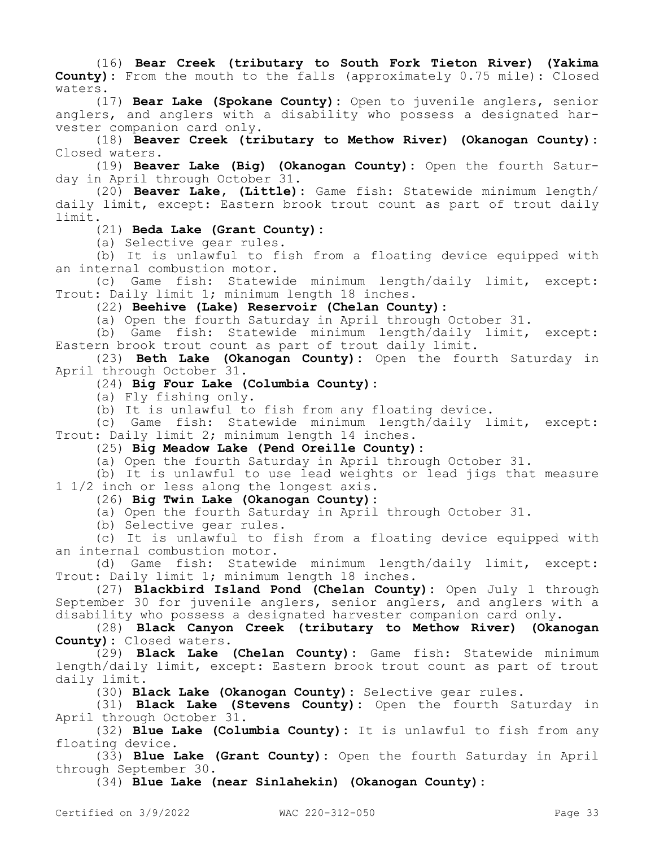(16) **Bear Creek (tributary to South Fork Tieton River) (Yakima County):** From the mouth to the falls (approximately 0.75 mile): Closed waters.

(17) **Bear Lake (Spokane County):** Open to juvenile anglers, senior anglers, and anglers with a disability who possess a designated harvester companion card only.

(18) **Beaver Creek (tributary to Methow River) (Okanogan County):**  Closed waters.

(19) **Beaver Lake (Big) (Okanogan County):** Open the fourth Saturday in April through October 31.

(20) **Beaver Lake, (Little):** Game fish: Statewide minimum length/ daily limit, except: Eastern brook trout count as part of trout daily limit.

(21) **Beda Lake (Grant County):**

(a) Selective gear rules.

(b) It is unlawful to fish from a floating device equipped with an internal combustion motor.

(c) Game fish: Statewide minimum length/daily limit, except: Trout: Daily limit 1; minimum length 18 inches.

(22) **Beehive (Lake) Reservoir (Chelan County):**

(a) Open the fourth Saturday in April through October 31.

(b) Game fish: Statewide minimum length/daily limit, except: Eastern brook trout count as part of trout daily limit.

(23) **Beth Lake (Okanogan County):** Open the fourth Saturday in April through October 31.

(24) **Big Four Lake (Columbia County):**

(a) Fly fishing only.

(b) It is unlawful to fish from any floating device.

(c) Game fish: Statewide minimum length/daily limit, except: Trout: Daily limit 2; minimum length 14 inches.

(25) **Big Meadow Lake (Pend Oreille County):**

(a) Open the fourth Saturday in April through October 31.

(b) It is unlawful to use lead weights or lead jigs that measure 1 1/2 inch or less along the longest axis.

(26) **Big Twin Lake (Okanogan County):**

(a) Open the fourth Saturday in April through October 31.

(b) Selective gear rules.

(c) It is unlawful to fish from a floating device equipped with an internal combustion motor.

(d) Game fish: Statewide minimum length/daily limit, except: Trout: Daily limit 1; minimum length 18 inches.

(27) **Blackbird Island Pond (Chelan County):** Open July 1 through September 30 for juvenile anglers, senior anglers, and anglers with a disability who possess a designated harvester companion card only.

(28) **Black Canyon Creek (tributary to Methow River) (Okanogan County):** Closed waters.

(29) **Black Lake (Chelan County):** Game fish: Statewide minimum length/daily limit, except: Eastern brook trout count as part of trout daily limit.

(30) **Black Lake (Okanogan County):** Selective gear rules.

(31) **Black Lake (Stevens County):** Open the fourth Saturday in April through October 31.

(32) **Blue Lake (Columbia County):** It is unlawful to fish from any floating device.

(33) **Blue Lake (Grant County):** Open the fourth Saturday in April through September 30.

(34) **Blue Lake (near Sinlahekin) (Okanogan County):**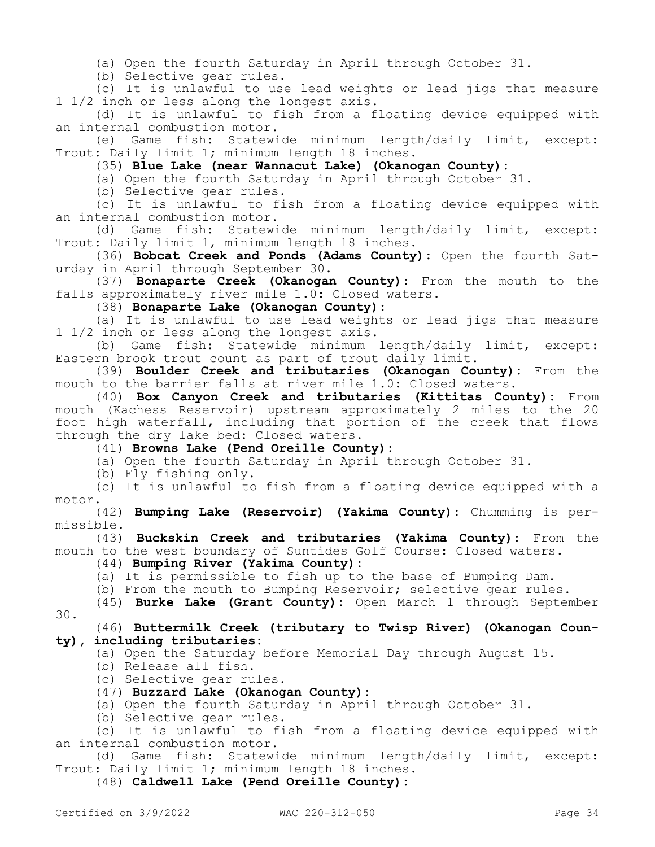(a) Open the fourth Saturday in April through October 31.

(b) Selective gear rules.

(c) It is unlawful to use lead weights or lead jigs that measure 1 1/2 inch or less along the longest axis.

(d) It is unlawful to fish from a floating device equipped with an internal combustion motor.

(e) Game fish: Statewide minimum length/daily limit, except: Trout: Daily limit 1; minimum length 18 inches.

(35) **Blue Lake (near Wannacut Lake) (Okanogan County):**

(a) Open the fourth Saturday in April through October 31.

(b) Selective gear rules.

(c) It is unlawful to fish from a floating device equipped with an internal combustion motor.

(d) Game fish: Statewide minimum length/daily limit, except: Trout: Daily limit 1, minimum length 18 inches.

(36) **Bobcat Creek and Ponds (Adams County):** Open the fourth Saturday in April through September 30.

(37) **Bonaparte Creek (Okanogan County):** From the mouth to the falls approximately river mile 1.0: Closed waters.

(38) **Bonaparte Lake (Okanogan County):**

(a) It is unlawful to use lead weights or lead jigs that measure 1 1/2 inch or less along the longest axis.

(b) Game fish: Statewide minimum length/daily limit, except: Eastern brook trout count as part of trout daily limit.

(39) **Boulder Creek and tributaries (Okanogan County):** From the mouth to the barrier falls at river mile 1.0: Closed waters.

(40) **Box Canyon Creek and tributaries (Kittitas County):** From mouth (Kachess Reservoir) upstream approximately 2 miles to the 20 foot high waterfall, including that portion of the creek that flows through the dry lake bed: Closed waters.

(41) **Browns Lake (Pend Oreille County):**

(a) Open the fourth Saturday in April through October 31.

(b) Fly fishing only.

(c) It is unlawful to fish from a floating device equipped with a motor.

(42) **Bumping Lake (Reservoir) (Yakima County):** Chumming is permissible.

(43) **Buckskin Creek and tributaries (Yakima County):** From the mouth to the west boundary of Suntides Golf Course: Closed waters.

(44) **Bumping River (Yakima County):**

(a) It is permissible to fish up to the base of Bumping Dam.

(b) From the mouth to Bumping Reservoir; selective gear rules.

(45) **Burke Lake (Grant County):** Open March 1 through September 30.

(46) **Buttermilk Creek (tributary to Twisp River) (Okanogan County), including tributaries:**

(a) Open the Saturday before Memorial Day through August 15.

- (b) Release all fish.
- (c) Selective gear rules.
- (47) **Buzzard Lake (Okanogan County):**

(a) Open the fourth Saturday in April through October 31.

(b) Selective gear rules.

(c) It is unlawful to fish from a floating device equipped with an internal combustion motor.

(d) Game fish: Statewide minimum length/daily limit, except: Trout: Daily limit 1; minimum length 18 inches.

(48) **Caldwell Lake (Pend Oreille County):**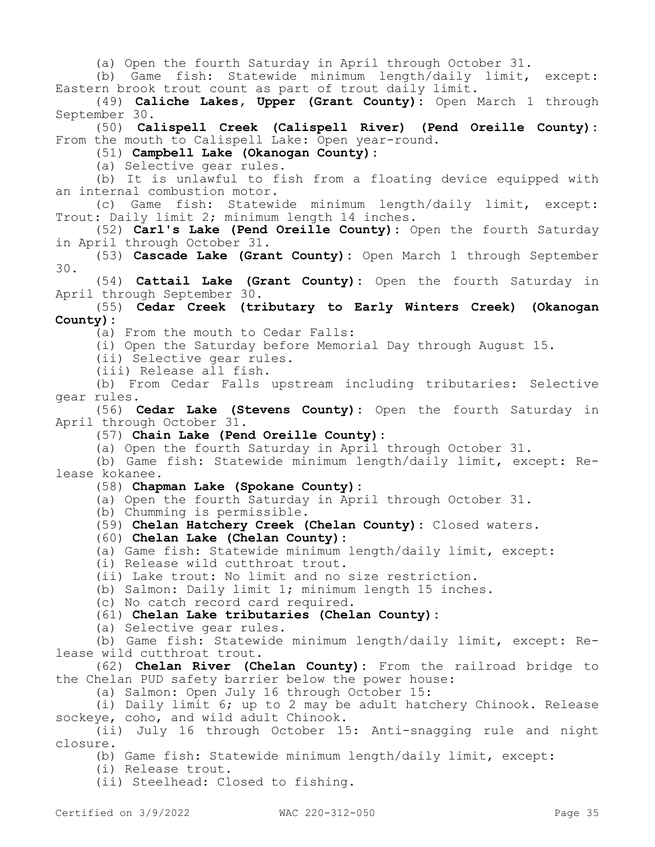(a) Open the fourth Saturday in April through October 31.

(b) Game fish: Statewide minimum length/daily limit, except: Eastern brook trout count as part of trout daily limit.

(49) **Caliche Lakes, Upper (Grant County):** Open March 1 through September 30.

(50) **Calispell Creek (Calispell River) (Pend Oreille County):**  From the mouth to Calispell Lake: Open year-round.

(51) **Campbell Lake (Okanogan County):**

(a) Selective gear rules.

(b) It is unlawful to fish from a floating device equipped with an internal combustion motor.

(c) Game fish: Statewide minimum length/daily limit, except: Trout: Daily limit 2; minimum length 14 inches.

(52) **Carl's Lake (Pend Oreille County):** Open the fourth Saturday in April through October 31.

(53) **Cascade Lake (Grant County):** Open March 1 through September 30.

(54) **Cattail Lake (Grant County):** Open the fourth Saturday in April through September 30.

(55) **Cedar Creek (tributary to Early Winters Creek) (Okanogan County):**

(a) From the mouth to Cedar Falls:

(i) Open the Saturday before Memorial Day through August 15.

(ii) Selective gear rules.

(iii) Release all fish.

(b) From Cedar Falls upstream including tributaries: Selective gear rules.

(56) **Cedar Lake (Stevens County):** Open the fourth Saturday in April through October 31.

(57) **Chain Lake (Pend Oreille County):**

(a) Open the fourth Saturday in April through October 31.

(b) Game fish: Statewide minimum length/daily limit, except: Release kokanee.

(58) **Chapman Lake (Spokane County):**

(a) Open the fourth Saturday in April through October 31.

(b) Chumming is permissible.

(59) **Chelan Hatchery Creek (Chelan County):** Closed waters.

(60) **Chelan Lake (Chelan County):**

(a) Game fish: Statewide minimum length/daily limit, except:

(i) Release wild cutthroat trout.

(ii) Lake trout: No limit and no size restriction.

(b) Salmon: Daily limit 1; minimum length 15 inches.

(c) No catch record card required.

(61) **Chelan Lake tributaries (Chelan County):**

(a) Selective gear rules.

(b) Game fish: Statewide minimum length/daily limit, except: Release wild cutthroat trout.

(62) **Chelan River (Chelan County):** From the railroad bridge to the Chelan PUD safety barrier below the power house:

(a) Salmon: Open July 16 through October 15:

(i) Daily limit 6; up to 2 may be adult hatchery Chinook. Release sockeye, coho, and wild adult Chinook.

(ii) July 16 through October 15: Anti-snagging rule and night closure.

(b) Game fish: Statewide minimum length/daily limit, except:

(i) Release trout.

(ii) Steelhead: Closed to fishing.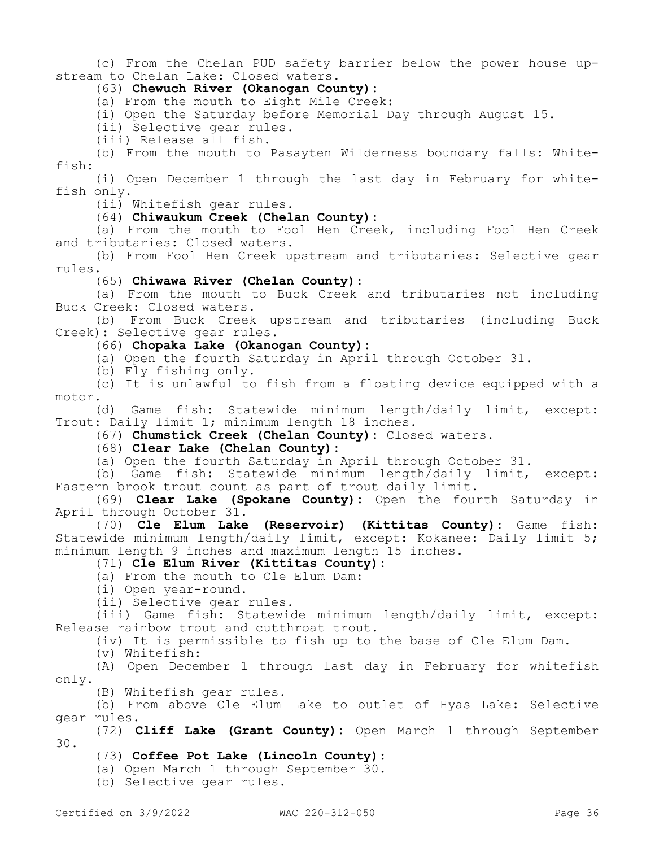(c) From the Chelan PUD safety barrier below the power house upstream to Chelan Lake: Closed waters.

# (63) **Chewuch River (Okanogan County):**

(a) From the mouth to Eight Mile Creek:

(i) Open the Saturday before Memorial Day through August 15.

(ii) Selective gear rules.

(iii) Release all fish.

(b) From the mouth to Pasayten Wilderness boundary falls: Whitefish:

(i) Open December 1 through the last day in February for whitefish only.

(ii) Whitefish gear rules.

(64) **Chiwaukum Creek (Chelan County):**

(a) From the mouth to Fool Hen Creek, including Fool Hen Creek and tributaries: Closed waters.

(b) From Fool Hen Creek upstream and tributaries: Selective gear rules.

(65) **Chiwawa River (Chelan County):**

(a) From the mouth to Buck Creek and tributaries not including Buck Creek: Closed waters.

(b) From Buck Creek upstream and tributaries (including Buck Creek): Selective gear rules.

### (66) **Chopaka Lake (Okanogan County):**

(a) Open the fourth Saturday in April through October 31.

(b) Fly fishing only.

(c) It is unlawful to fish from a floating device equipped with a motor.

(d) Game fish: Statewide minimum length/daily limit, except: Trout: Daily limit 1; minimum length 18 inches.

(67) **Chumstick Creek (Chelan County):** Closed waters.

# (68) **Clear Lake (Chelan County):**

(a) Open the fourth Saturday in April through October 31.

(b) Game fish: Statewide minimum length/daily limit, except: Eastern brook trout count as part of trout daily limit.

(69) **Clear Lake (Spokane County):** Open the fourth Saturday in April through October 31.

(70) **Cle Elum Lake (Reservoir) (Kittitas County):** Game fish: Statewide minimum length/daily limit, except: Kokanee: Daily limit 5; minimum length 9 inches and maximum length 15 inches.

(71) **Cle Elum River (Kittitas County):**

(a) From the mouth to Cle Elum Dam:

(i) Open year-round.

(ii) Selective gear rules.

(iii) Game fish: Statewide minimum length/daily limit, except: Release rainbow trout and cutthroat trout.

(iv) It is permissible to fish up to the base of Cle Elum Dam.

(v) Whitefish:

(A) Open December 1 through last day in February for whitefish only.

(B) Whitefish gear rules.

(b) From above Cle Elum Lake to outlet of Hyas Lake: Selective gear rules.

(72) **Cliff Lake (Grant County):** Open March 1 through September 30.

### (73) **Coffee Pot Lake (Lincoln County):**

(a) Open March 1 through September 30.

(b) Selective gear rules.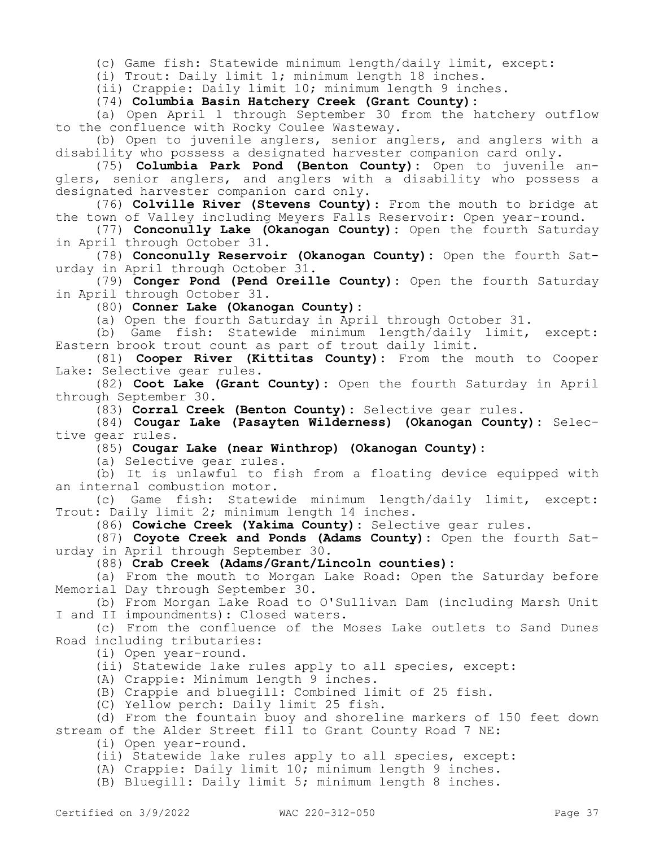(c) Game fish: Statewide minimum length/daily limit, except:

(i) Trout: Daily limit 1; minimum length 18 inches.

(ii) Crappie: Daily limit 10; minimum length 9 inches.

(74) **Columbia Basin Hatchery Creek (Grant County):**

(a) Open April 1 through September 30 from the hatchery outflow to the confluence with Rocky Coulee Wasteway.

(b) Open to juvenile anglers, senior anglers, and anglers with a disability who possess a designated harvester companion card only.

(75) **Columbia Park Pond (Benton County):** Open to juvenile anglers, senior anglers, and anglers with a disability who possess a designated harvester companion card only.

(76) **Colville River (Stevens County)**: From the mouth to bridge at the town of Valley including Meyers Falls Reservoir: Open year-round.

(77) **Conconully Lake (Okanogan County):** Open the fourth Saturday in April through October 31.

(78) **Conconully Reservoir (Okanogan County):** Open the fourth Saturday in April through October 31.

(79) **Conger Pond (Pend Oreille County):** Open the fourth Saturday in April through October 31.

(80) **Conner Lake (Okanogan County):**

(a) Open the fourth Saturday in April through October 31.

(b) Game fish: Statewide minimum length/daily limit, except: Eastern brook trout count as part of trout daily limit.

(81) **Cooper River (Kittitas County):** From the mouth to Cooper Lake: Selective gear rules.

(82) **Coot Lake (Grant County):** Open the fourth Saturday in April through September 30.

(83) **Corral Creek (Benton County):** Selective gear rules.

(84) **Cougar Lake (Pasayten Wilderness) (Okanogan County):** Selective gear rules.

(85) **Cougar Lake (near Winthrop) (Okanogan County):**

(a) Selective gear rules.

(b) It is unlawful to fish from a floating device equipped with an internal combustion motor.

(c) Game fish: Statewide minimum length/daily limit, except: Trout: Daily limit 2; minimum length 14 inches.

(86) **Cowiche Creek (Yakima County):** Selective gear rules.

(87) **Coyote Creek and Ponds (Adams County):** Open the fourth Saturday in April through September 30.

(88) **Crab Creek (Adams/Grant/Lincoln counties):**

(a) From the mouth to Morgan Lake Road: Open the Saturday before Memorial Day through September 30.

(b) From Morgan Lake Road to O'Sullivan Dam (including Marsh Unit I and II impoundments): Closed waters.

(c) From the confluence of the Moses Lake outlets to Sand Dunes Road including tributaries:

(i) Open year-round.

(ii) Statewide lake rules apply to all species, except:

(A) Crappie: Minimum length 9 inches.

(B) Crappie and bluegill: Combined limit of 25 fish.

(C) Yellow perch: Daily limit 25 fish.

(d) From the fountain buoy and shoreline markers of 150 feet down stream of the Alder Street fill to Grant County Road 7 NE:

(i) Open year-round.

(ii) Statewide lake rules apply to all species, except:

(A) Crappie: Daily limit 10; minimum length 9 inches.

(B) Bluegill: Daily limit 5; minimum length 8 inches.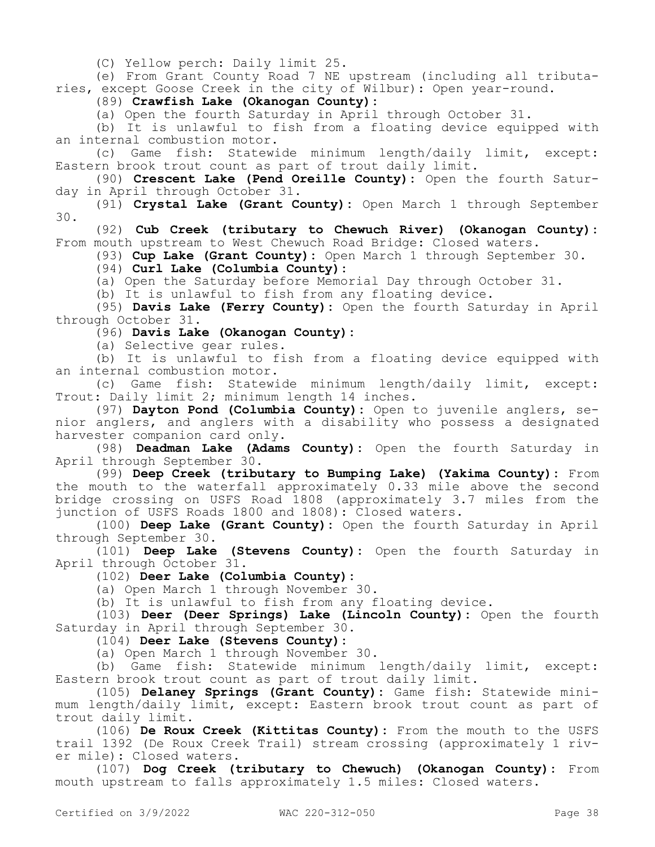(C) Yellow perch: Daily limit 25.

(e) From Grant County Road 7 NE upstream (including all tributaries, except Goose Creek in the city of Wilbur): Open year-round.

(89) **Crawfish Lake (Okanogan County):**

(a) Open the fourth Saturday in April through October 31.

(b) It is unlawful to fish from a floating device equipped with an internal combustion motor.

(c) Game fish: Statewide minimum length/daily limit, except: Eastern brook trout count as part of trout daily limit.

(90) **Crescent Lake (Pend Oreille County):** Open the fourth Saturday in April through October 31.

(91) **Crystal Lake (Grant County):** Open March 1 through September 30.

(92) **Cub Creek (tributary to Chewuch River) (Okanogan County):**  From mouth upstream to West Chewuch Road Bridge: Closed waters.

(93) **Cup Lake (Grant County):** Open March 1 through September 30.

(94) **Curl Lake (Columbia County):**

(a) Open the Saturday before Memorial Day through October 31.

(b) It is unlawful to fish from any floating device.

(95) **Davis Lake (Ferry County):** Open the fourth Saturday in April through October 31.

(96) **Davis Lake (Okanogan County):**

(a) Selective gear rules.

(b) It is unlawful to fish from a floating device equipped with an internal combustion motor.

(c) Game fish: Statewide minimum length/daily limit, except: Trout: Daily limit 2; minimum length 14 inches.

(97) **Dayton Pond (Columbia County):** Open to juvenile anglers, senior anglers, and anglers with a disability who possess a designated harvester companion card only.

(98) **Deadman Lake (Adams County):** Open the fourth Saturday in April through September 30.

(99) **Deep Creek (tributary to Bumping Lake) (Yakima County):** From the mouth to the waterfall approximately 0.33 mile above the second bridge crossing on USFS Road 1808 (approximately 3.7 miles from the junction of USFS Roads 1800 and 1808): Closed waters.

(100) **Deep Lake (Grant County):** Open the fourth Saturday in April through September 30.

(101) **Deep Lake (Stevens County):** Open the fourth Saturday in April through October 31.

(102) **Deer Lake (Columbia County):**

(a) Open March 1 through November 30.

(b) It is unlawful to fish from any floating device.

(103) **Deer (Deer Springs) Lake (Lincoln County):** Open the fourth Saturday in April through September 30.

(104) **Deer Lake (Stevens County):**

(a) Open March 1 through November 30.

(b) Game fish: Statewide minimum length/daily limit, except: Eastern brook trout count as part of trout daily limit.

(105) **Delaney Springs (Grant County):** Game fish: Statewide minimum length/daily limit, except: Eastern brook trout count as part of trout daily limit.

(106) **De Roux Creek (Kittitas County):** From the mouth to the USFS trail 1392 (De Roux Creek Trail) stream crossing (approximately 1 river mile): Closed waters.

(107) **Dog Creek (tributary to Chewuch) (Okanogan County):** From mouth upstream to falls approximately 1.5 miles: Closed waters.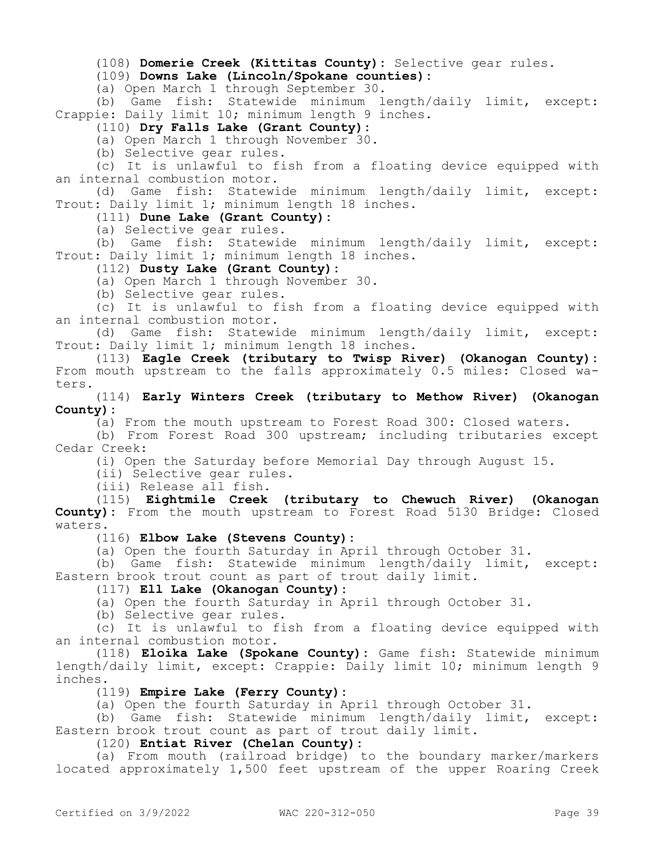(108) **Domerie Creek (Kittitas County):** Selective gear rules.

(109) **Downs Lake (Lincoln/Spokane counties):**

(a) Open March 1 through September 30.

(b) Game fish: Statewide minimum length/daily limit, except: Crappie: Daily limit 10; minimum length 9 inches.

(110) **Dry Falls Lake (Grant County):**

(a) Open March 1 through November 30.

(b) Selective gear rules.

(c) It is unlawful to fish from a floating device equipped with an internal combustion motor.

(d) Game fish: Statewide minimum length/daily limit, except: Trout: Daily limit 1; minimum length 18 inches.

(111) **Dune Lake (Grant County):**

(a) Selective gear rules.

(b) Game fish: Statewide minimum length/daily limit, except: Trout: Daily limit 1; minimum length 18 inches.

(112) **Dusty Lake (Grant County):**

(a) Open March 1 through November 30.

(b) Selective gear rules.

(c) It is unlawful to fish from a floating device equipped with an internal combustion motor.

(d) Game fish: Statewide minimum length/daily limit, except: Trout: Daily limit 1; minimum length 18 inches.

(113) **Eagle Creek (tributary to Twisp River) (Okanogan County):**  From mouth upstream to the falls approximately 0.5 miles: Closed waters.

(114) **Early Winters Creek (tributary to Methow River) (Okanogan County):**

(a) From the mouth upstream to Forest Road 300: Closed waters.

(b) From Forest Road 300 upstream; including tributaries except Cedar Creek:

(i) Open the Saturday before Memorial Day through August 15.

(ii) Selective gear rules.

(iii) Release all fish.

(115) **Eightmile Creek (tributary to Chewuch River) (Okanogan County):** From the mouth upstream to Forest Road 5130 Bridge: Closed waters.

(116) **Elbow Lake (Stevens County):**

(a) Open the fourth Saturday in April through October 31.

(b) Game fish: Statewide minimum length/daily limit, except: Eastern brook trout count as part of trout daily limit.

(117) **Ell Lake (Okanogan County):**

(a) Open the fourth Saturday in April through October 31.

(b) Selective gear rules.

(c) It is unlawful to fish from a floating device equipped with an internal combustion motor.

(118) **Eloika Lake (Spokane County):** Game fish: Statewide minimum length/daily limit, except: Crappie: Daily limit 10; minimum length 9 inches.

(119) **Empire Lake (Ferry County):**

(a) Open the fourth Saturday in April through October 31.

(b) Game fish: Statewide minimum length/daily limit, except: Eastern brook trout count as part of trout daily limit.

(120) **Entiat River (Chelan County):**

(a) From mouth (railroad bridge) to the boundary marker/markers located approximately 1,500 feet upstream of the upper Roaring Creek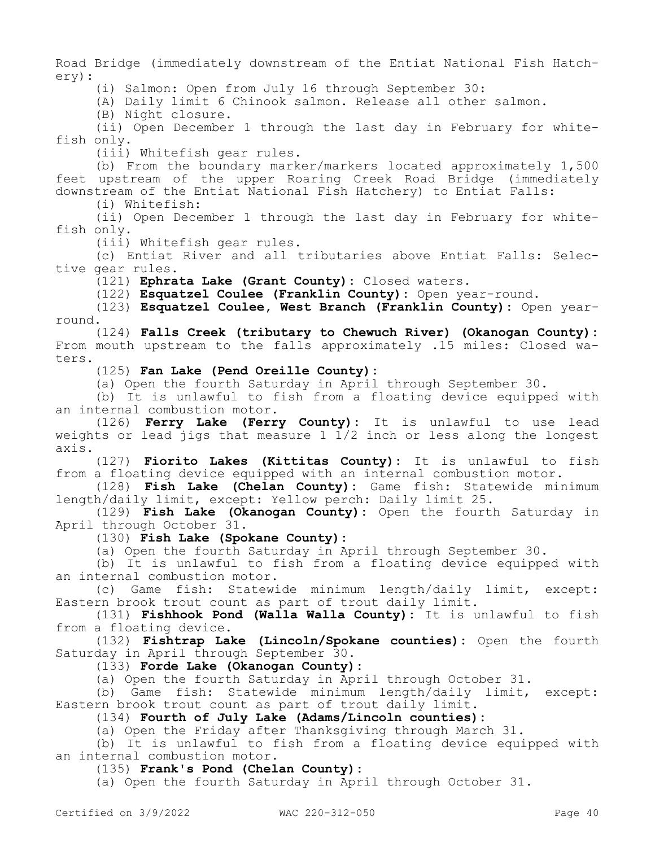Road Bridge (immediately downstream of the Entiat National Fish Hatchery):

(i) Salmon: Open from July 16 through September 30:

(A) Daily limit 6 Chinook salmon. Release all other salmon.

(B) Night closure.

(ii) Open December 1 through the last day in February for whitefish only.

(iii) Whitefish gear rules.

(b) From the boundary marker/markers located approximately 1,500 feet upstream of the upper Roaring Creek Road Bridge (immediately downstream of the Entiat National Fish Hatchery) to Entiat Falls:

(i) Whitefish:

(ii) Open December 1 through the last day in February for whitefish only.

(iii) Whitefish gear rules.

(c) Entiat River and all tributaries above Entiat Falls: Selective gear rules.

(121) **Ephrata Lake (Grant County):** Closed waters.

(122) **Esquatzel Coulee (Franklin County):** Open year-round.

(123) **Esquatzel Coulee, West Branch (Franklin County):** Open yearround.

(124) **Falls Creek (tributary to Chewuch River) (Okanogan County):**  From mouth upstream to the falls approximately .15 miles: Closed waters.

(125) **Fan Lake (Pend Oreille County):**

(a) Open the fourth Saturday in April through September 30.

(b) It is unlawful to fish from a floating device equipped with an internal combustion motor.

(126) **Ferry Lake (Ferry County):** It is unlawful to use lead weights or lead jigs that measure 1  $\overline{1}/2$  inch or less along the longest axis.

(127) **Fiorito Lakes (Kittitas County):** It is unlawful to fish from a floating device equipped with an internal combustion motor.

(128) **Fish Lake (Chelan County):** Game fish: Statewide minimum length/daily limit, except: Yellow perch: Daily limit 25.

(129) **Fish Lake (Okanogan County):** Open the fourth Saturday in April through October 31.

(130) **Fish Lake (Spokane County):**

(a) Open the fourth Saturday in April through September 30.

(b) It is unlawful to fish from a floating device equipped with an internal combustion motor.

(c) Game fish: Statewide minimum length/daily limit, except: Eastern brook trout count as part of trout daily limit.

(131) **Fishhook Pond (Walla Walla County):** It is unlawful to fish from a floating device.

(132) **Fishtrap Lake (Lincoln/Spokane counties):** Open the fourth Saturday in April through September 30.

(133) **Forde Lake (Okanogan County):**

(a) Open the fourth Saturday in April through October 31.

(b) Game fish: Statewide minimum length/daily limit, except: Eastern brook trout count as part of trout daily limit.

(134) **Fourth of July Lake (Adams/Lincoln counties):**

(a) Open the Friday after Thanksgiving through March 31.

(b) It is unlawful to fish from a floating device equipped with an internal combustion motor.

(135) **Frank's Pond (Chelan County):**

(a) Open the fourth Saturday in April through October 31.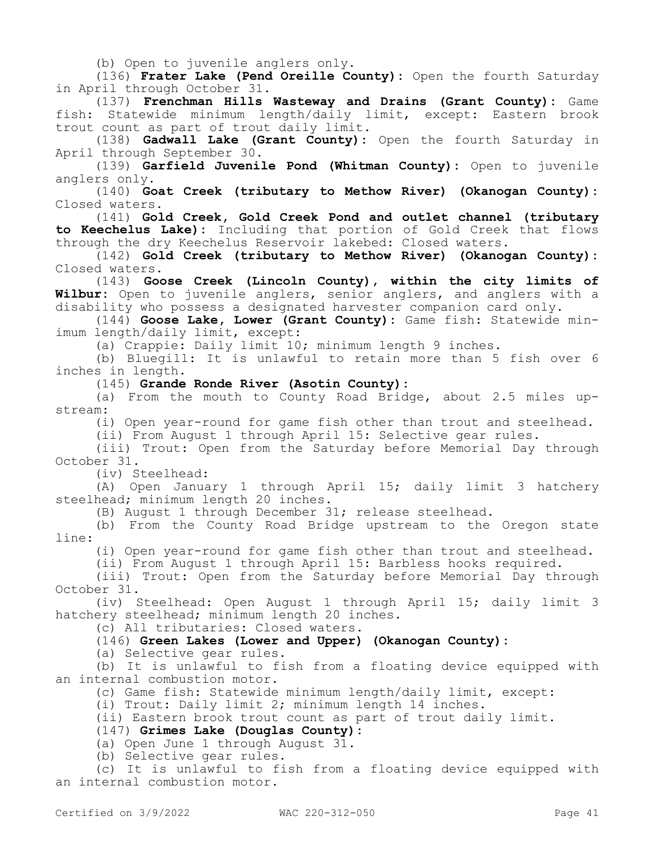(b) Open to juvenile anglers only.

(136) **Frater Lake (Pend Oreille County):** Open the fourth Saturday in April through October 31.

(137) **Frenchman Hills Wasteway and Drains (Grant County):** Game fish: Statewide minimum length/daily limit, except: Eastern brook trout count as part of trout daily limit.

(138) **Gadwall Lake (Grant County):** Open the fourth Saturday in April through September 30.

(139) **Garfield Juvenile Pond (Whitman County):** Open to juvenile anglers only.

(140) **Goat Creek (tributary to Methow River) (Okanogan County):**  Closed waters.

(141) **Gold Creek, Gold Creek Pond and outlet channel (tributary to Keechelus Lake):** Including that portion of Gold Creek that flows through the dry Keechelus Reservoir lakebed: Closed waters.

(142) **Gold Creek (tributary to Methow River) (Okanogan County):**  Closed waters.

(143) **Goose Creek (Lincoln County), within the city limits of Wilbur:** Open to juvenile anglers, senior anglers, and anglers with a disability who possess a designated harvester companion card only.

(144) **Goose Lake, Lower (Grant County):** Game fish: Statewide minimum length/daily limit, except:

(a) Crappie: Daily limit 10; minimum length 9 inches.

(b) Bluegill: It is unlawful to retain more than 5 fish over 6 inches in length.

(145) **Grande Ronde River (Asotin County):**

(a) From the mouth to County Road Bridge, about 2.5 miles upstream:

(i) Open year-round for game fish other than trout and steelhead.

(ii) From August 1 through April 15: Selective gear rules.

(iii) Trout: Open from the Saturday before Memorial Day through October 31.

(iv) Steelhead:

(A) Open January 1 through April 15; daily limit 3 hatchery steelhead; minimum length 20 inches.

(B) August 1 through December 31; release steelhead.

(b) From the County Road Bridge upstream to the Oregon state line:

(i) Open year-round for game fish other than trout and steelhead.

(ii) From August 1 through April 15: Barbless hooks required.

(iii) Trout: Open from the Saturday before Memorial Day through October 31.

(iv) Steelhead: Open August 1 through April 15; daily limit 3 hatchery steelhead; minimum length 20 inches.

(c) All tributaries: Closed waters.

### (146) **Green Lakes (Lower and Upper) (Okanogan County):**

(a) Selective gear rules.

(b) It is unlawful to fish from a floating device equipped with an internal combustion motor.

(c) Game fish: Statewide minimum length/daily limit, except:

(i) Trout: Daily limit 2; minimum length 14 inches.

(ii) Eastern brook trout count as part of trout daily limit.

### (147) **Grimes Lake (Douglas County):**

(a) Open June 1 through August 31.

(b) Selective gear rules.

(c) It is unlawful to fish from a floating device equipped with an internal combustion motor.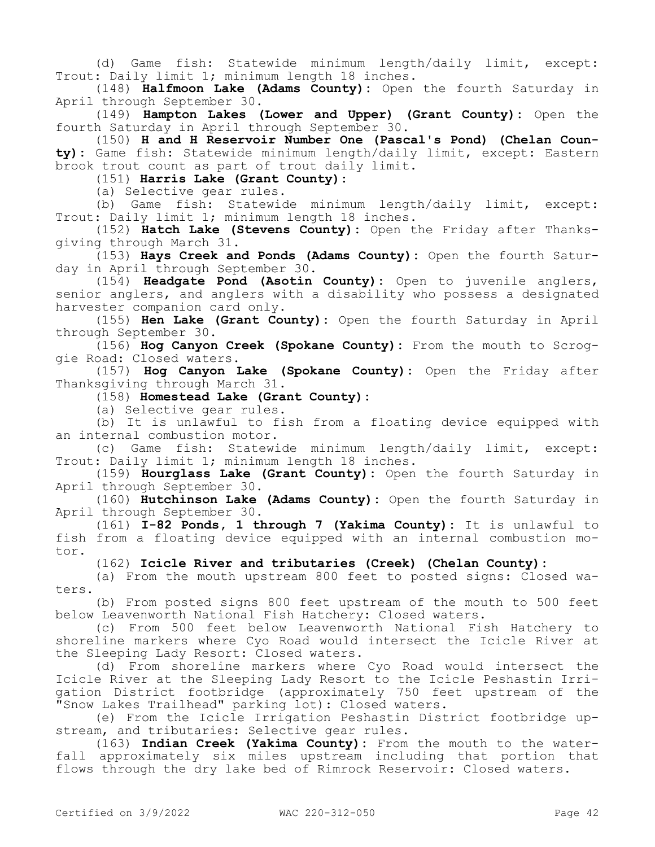(d) Game fish: Statewide minimum length/daily limit, except: Trout: Daily limit 1; minimum length 18 inches.

(148) **Halfmoon Lake (Adams County):** Open the fourth Saturday in April through September 30.

(149) **Hampton Lakes (Lower and Upper) (Grant County):** Open the fourth Saturday in April through September 30.

(150) **H and H Reservoir Number One (Pascal's Pond) (Chelan County):** Game fish: Statewide minimum length/daily limit, except: Eastern brook trout count as part of trout daily limit.

(151) **Harris Lake (Grant County):**

(a) Selective gear rules.

(b) Game fish: Statewide minimum length/daily limit, except: Trout: Daily limit 1; minimum length 18 inches.

(152) **Hatch Lake (Stevens County):** Open the Friday after Thanksgiving through March 31.

(153) **Hays Creek and Ponds (Adams County):** Open the fourth Saturday in April through September 30.

(154) **Headgate Pond (Asotin County):** Open to juvenile anglers, senior anglers, and anglers with a disability who possess a designated harvester companion card only.

(155) **Hen Lake (Grant County):** Open the fourth Saturday in April through September 30.

(156) **Hog Canyon Creek (Spokane County):** From the mouth to Scroggie Road: Closed waters.

(157) **Hog Canyon Lake (Spokane County):** Open the Friday after Thanksgiving through March 31.

(158) **Homestead Lake (Grant County):**

(a) Selective gear rules.

(b) It is unlawful to fish from a floating device equipped with an internal combustion motor.

(c) Game fish: Statewide minimum length/daily limit, except: Trout: Daily limit 1; minimum length 18 inches.

(159) **Hourglass Lake (Grant County):** Open the fourth Saturday in April through September 30.

(160) **Hutchinson Lake (Adams County):** Open the fourth Saturday in April through September 30.

(161) **I-82 Ponds, 1 through 7 (Yakima County):** It is unlawful to fish from a floating device equipped with an internal combustion motor.

#### (162) **Icicle River and tributaries (Creek) (Chelan County):**

(a) From the mouth upstream 800 feet to posted signs: Closed waters.

(b) From posted signs 800 feet upstream of the mouth to 500 feet below Leavenworth National Fish Hatchery: Closed waters.

(c) From 500 feet below Leavenworth National Fish Hatchery to shoreline markers where Cyo Road would intersect the Icicle River at the Sleeping Lady Resort: Closed waters.

(d) From shoreline markers where Cyo Road would intersect the Icicle River at the Sleeping Lady Resort to the Icicle Peshastin Irrigation District footbridge (approximately 750 feet upstream of the "Snow Lakes Trailhead" parking lot): Closed waters.

(e) From the Icicle Irrigation Peshastin District footbridge upstream, and tributaries: Selective gear rules.

(163) **Indian Creek (Yakima County):** From the mouth to the waterfall approximately six miles upstream including that portion that flows through the dry lake bed of Rimrock Reservoir: Closed waters.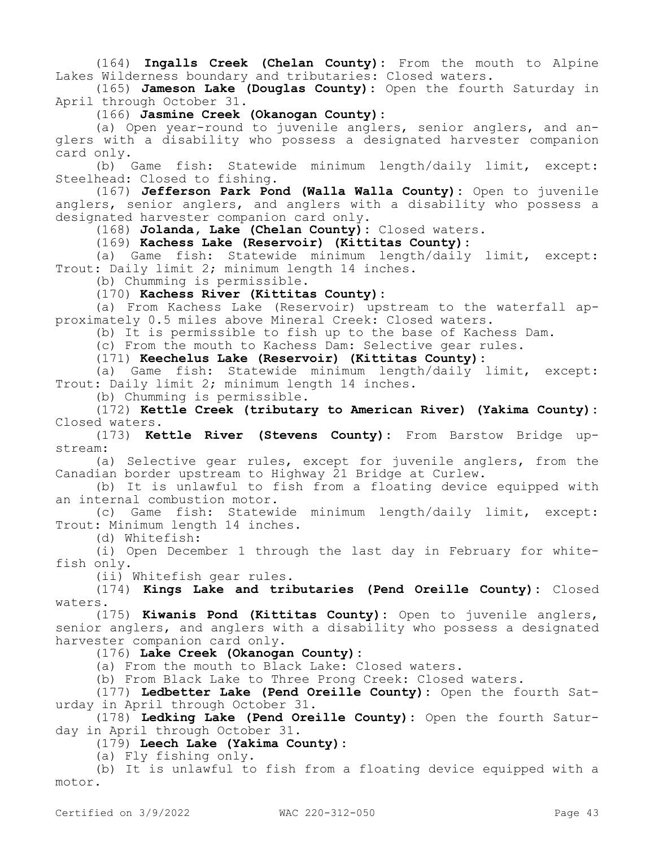(164) **Ingalls Creek (Chelan County):** From the mouth to Alpine Lakes Wilderness boundary and tributaries: Closed waters.

(165) **Jameson Lake (Douglas County):** Open the fourth Saturday in April through October 31.

(166) **Jasmine Creek (Okanogan County):**

(a) Open year-round to juvenile anglers, senior anglers, and anglers with a disability who possess a designated harvester companion card only.

(b) Game fish: Statewide minimum length/daily limit, except: Steelhead: Closed to fishing.

(167) **Jefferson Park Pond (Walla Walla County):** Open to juvenile anglers, senior anglers, and anglers with a disability who possess a designated harvester companion card only.

(168) **Jolanda, Lake (Chelan County):** Closed waters.

(169) **Kachess Lake (Reservoir) (Kittitas County):**

(a) Game fish: Statewide minimum length/daily limit, except: Trout: Daily limit 2; minimum length 14 inches.

(b) Chumming is permissible.

(170) **Kachess River (Kittitas County):**

(a) From Kachess Lake (Reservoir) upstream to the waterfall approximately 0.5 miles above Mineral Creek: Closed waters.

(b) It is permissible to fish up to the base of Kachess Dam.

(c) From the mouth to Kachess Dam: Selective gear rules.

(171) **Keechelus Lake (Reservoir) (Kittitas County):**

(a) Game fish: Statewide minimum length/daily limit, except: Trout: Daily limit 2; minimum length 14 inches.

(b) Chumming is permissible.

(172) **Kettle Creek (tributary to American River) (Yakima County):**  Closed waters.

(173) **Kettle River (Stevens County):** From Barstow Bridge upstream:

(a) Selective gear rules, except for juvenile anglers, from the Canadian border upstream to Highway 21 Bridge at Curlew.

(b) It is unlawful to fish from a floating device equipped with an internal combustion motor.

(c) Game fish: Statewide minimum length/daily limit, except: Trout: Minimum length 14 inches.

(d) Whitefish:

(i) Open December 1 through the last day in February for whitefish only.

(ii) Whitefish gear rules.

(174) **Kings Lake and tributaries (Pend Oreille County):** Closed waters.

(175) **Kiwanis Pond (Kittitas County):** Open to juvenile anglers, senior anglers, and anglers with a disability who possess a designated harvester companion card only.

(176) **Lake Creek (Okanogan County):**

(a) From the mouth to Black Lake: Closed waters.

(b) From Black Lake to Three Prong Creek: Closed waters.

(177) **Ledbetter Lake (Pend Oreille County):** Open the fourth Saturday in April through October 31.

(178) **Ledking Lake (Pend Oreille County):** Open the fourth Saturday in April through October 31.

(179) **Leech Lake (Yakima County):**

(a) Fly fishing only.

(b) It is unlawful to fish from a floating device equipped with a motor.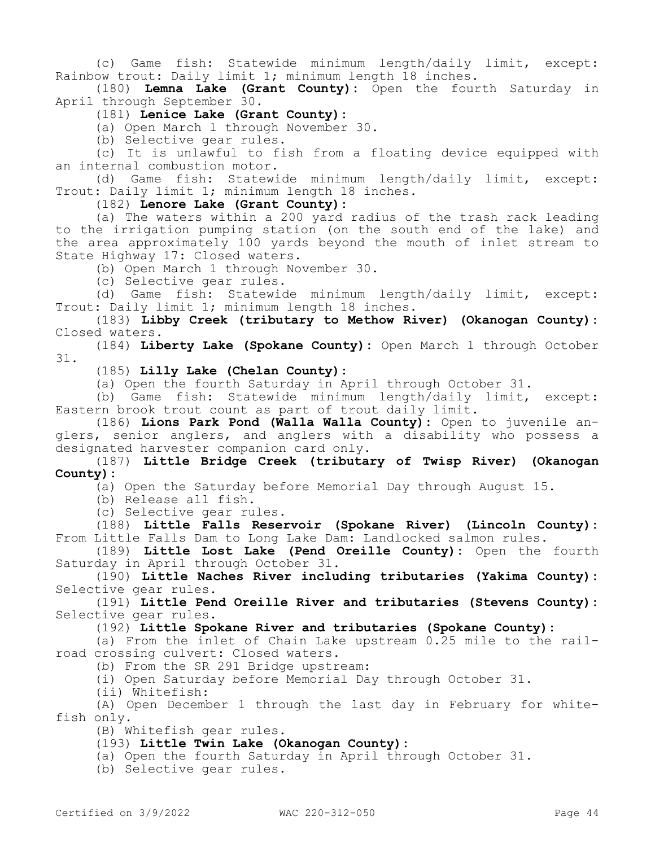(c) Game fish: Statewide minimum length/daily limit, except: Rainbow trout: Daily limit 1; minimum length 18 inches.

(180) **Lemna Lake (Grant County):** Open the fourth Saturday in April through September 30.

(181) **Lenice Lake (Grant County):**

(a) Open March 1 through November 30.

(b) Selective gear rules.

(c) It is unlawful to fish from a floating device equipped with an internal combustion motor.

(d) Game fish: Statewide minimum length/daily limit, except: Trout: Daily limit 1; minimum length 18 inches.

(182) **Lenore Lake (Grant County):**

(a) The waters within a 200 yard radius of the trash rack leading to the irrigation pumping station (on the south end of the lake) and the area approximately 100 yards beyond the mouth of inlet stream to State Highway 17: Closed waters.

(b) Open March 1 through November 30.

(c) Selective gear rules.

(d) Game fish: Statewide minimum length/daily limit, except: Trout: Daily limit 1; minimum length 18 inches.

(183) **Libby Creek (tributary to Methow River) (Okanogan County):**  Closed waters.

(184) **Liberty Lake (Spokane County):** Open March 1 through October 31.

(185) **Lilly Lake (Chelan County):**

(a) Open the fourth Saturday in April through October 31.

(b) Game fish: Statewide minimum length/daily limit, except: Eastern brook trout count as part of trout daily limit.

(186) **Lions Park Pond (Walla Walla County):** Open to juvenile anglers, senior anglers, and anglers with a disability who possess a designated harvester companion card only.

(187) **Little Bridge Creek (tributary of Twisp River) (Okanogan County):**

(a) Open the Saturday before Memorial Day through August 15.

(b) Release all fish.

(c) Selective gear rules.

(188) **Little Falls Reservoir (Spokane River) (Lincoln County):**  From Little Falls Dam to Long Lake Dam: Landlocked salmon rules.

(189) **Little Lost Lake (Pend Oreille County):** Open the fourth Saturday in April through October 31.

(190) **Little Naches River including tributaries (Yakima County):**  Selective gear rules.

(191) **Little Pend Oreille River and tributaries (Stevens County):**  Selective gear rules.

(192) **Little Spokane River and tributaries (Spokane County):**

(a) From the inlet of Chain Lake upstream 0.25 mile to the railroad crossing culvert: Closed waters.

(b) From the SR 291 Bridge upstream:

(i) Open Saturday before Memorial Day through October 31.

(ii) Whitefish:

(A) Open December 1 through the last day in February for whitefish only.

(B) Whitefish gear rules.

### (193) **Little Twin Lake (Okanogan County):**

(a) Open the fourth Saturday in April through October 31.

(b) Selective gear rules.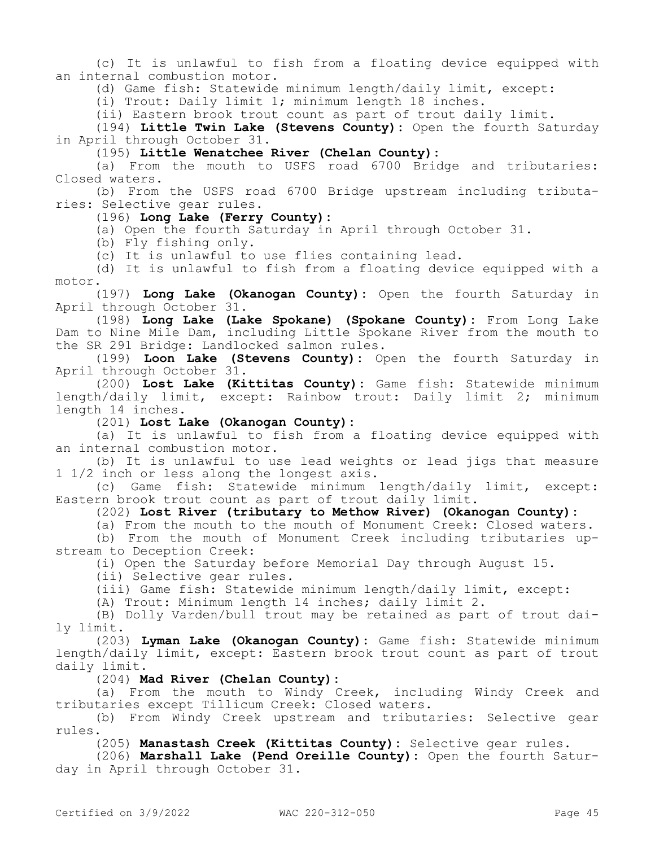(c) It is unlawful to fish from a floating device equipped with an internal combustion motor.

(d) Game fish: Statewide minimum length/daily limit, except:

(i) Trout: Daily limit 1; minimum length 18 inches.

(ii) Eastern brook trout count as part of trout daily limit.

(194) **Little Twin Lake (Stevens County):** Open the fourth Saturday in April through October 31.

(195) **Little Wenatchee River (Chelan County):**

(a) From the mouth to USFS road 6700 Bridge and tributaries: Closed waters.

(b) From the USFS road 6700 Bridge upstream including tributaries: Selective gear rules.

### (196) **Long Lake (Ferry County):**

(a) Open the fourth Saturday in April through October 31.

(b) Fly fishing only.

(c) It is unlawful to use flies containing lead.

(d) It is unlawful to fish from a floating device equipped with a motor.

(197) **Long Lake (Okanogan County):** Open the fourth Saturday in April through October 31.

(198) **Long Lake (Lake Spokane) (Spokane County):** From Long Lake Dam to Nine Mile Dam, including Little Spokane River from the mouth to the SR 291 Bridge: Landlocked salmon rules.

(199) **Loon Lake (Stevens County):** Open the fourth Saturday in April through October 31.

(200) **Lost Lake (Kittitas County):** Game fish: Statewide minimum length/daily limit, except: Rainbow trout: Daily limit 2; minimum length 14 inches.

(201) **Lost Lake (Okanogan County):**

(a) It is unlawful to fish from a floating device equipped with an internal combustion motor.

(b) It is unlawful to use lead weights or lead jigs that measure 1 1/2 inch or less along the longest axis.

(c) Game fish: Statewide minimum length/daily limit, except: Eastern brook trout count as part of trout daily limit.

(202) **Lost River (tributary to Methow River) (Okanogan County):**

(a) From the mouth to the mouth of Monument Creek: Closed waters.

(b) From the mouth of Monument Creek including tributaries upstream to Deception Creek:

(i) Open the Saturday before Memorial Day through August 15.

(ii) Selective gear rules.

(iii) Game fish: Statewide minimum length/daily limit, except:

(A) Trout: Minimum length 14 inches; daily limit 2.

(B) Dolly Varden/bull trout may be retained as part of trout daily limit.

(203) **Lyman Lake (Okanogan County):** Game fish: Statewide minimum length/daily limit, except: Eastern brook trout count as part of trout daily limit.

(204) **Mad River (Chelan County):**

(a) From the mouth to Windy Creek, including Windy Creek and tributaries except Tillicum Creek: Closed waters.

(b) From Windy Creek upstream and tributaries: Selective gear rules.

(205) **Manastash Creek (Kittitas County):** Selective gear rules.

(206) **Marshall Lake (Pend Oreille County):** Open the fourth Saturday in April through October 31.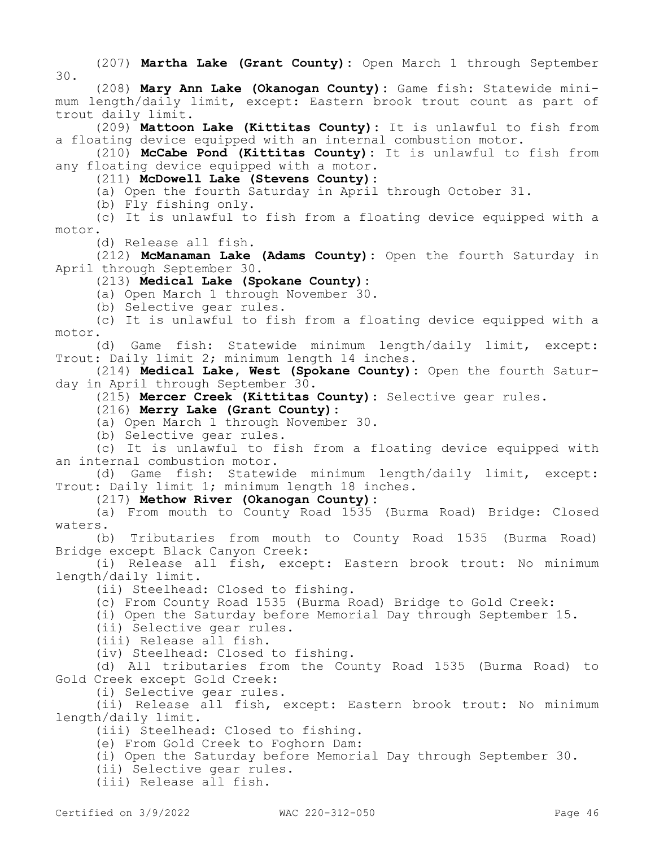(207) **Martha Lake (Grant County):** Open March 1 through September 30.

(208) **Mary Ann Lake (Okanogan County):** Game fish: Statewide minimum length/daily limit, except: Eastern brook trout count as part of trout daily limit.

(209) **Mattoon Lake (Kittitas County):** It is unlawful to fish from a floating device equipped with an internal combustion motor.

(210) **McCabe Pond (Kittitas County):** It is unlawful to fish from any floating device equipped with a motor.

(211) **McDowell Lake (Stevens County):**

(a) Open the fourth Saturday in April through October 31.

(b) Fly fishing only.

(c) It is unlawful to fish from a floating device equipped with a motor.

(d) Release all fish.

(212) **McManaman Lake (Adams County):** Open the fourth Saturday in April through September 30.

(213) **Medical Lake (Spokane County):**

(a) Open March 1 through November 30.

(b) Selective gear rules.

(c) It is unlawful to fish from a floating device equipped with a motor.

(d) Game fish: Statewide minimum length/daily limit, except: Trout: Daily limit 2; minimum length 14 inches.

(214) **Medical Lake, West (Spokane County):** Open the fourth Saturday in April through September 30.

(215) **Mercer Creek (Kittitas County):** Selective gear rules.

(216) **Merry Lake (Grant County):**

(a) Open March 1 through November 30.

(b) Selective gear rules.

(c) It is unlawful to fish from a floating device equipped with an internal combustion motor.

(d) Game fish: Statewide minimum length/daily limit, except: Trout: Daily limit 1; minimum length 18 inches.

(217) **Methow River (Okanogan County):**

(a) From mouth to County Road 1535 (Burma Road) Bridge: Closed waters.

(b) Tributaries from mouth to County Road 1535 (Burma Road) Bridge except Black Canyon Creek:

(i) Release all fish, except: Eastern brook trout: No minimum length/daily limit.

(ii) Steelhead: Closed to fishing.

(c) From County Road 1535 (Burma Road) Bridge to Gold Creek:

(i) Open the Saturday before Memorial Day through September 15.

(ii) Selective gear rules.

(iii) Release all fish.

(iv) Steelhead: Closed to fishing.

(d) All tributaries from the County Road 1535 (Burma Road) to Gold Creek except Gold Creek:

(i) Selective gear rules.

(ii) Release all fish, except: Eastern brook trout: No minimum length/daily limit.

(iii) Steelhead: Closed to fishing.

(e) From Gold Creek to Foghorn Dam:

(i) Open the Saturday before Memorial Day through September 30.

(ii) Selective gear rules.

(iii) Release all fish.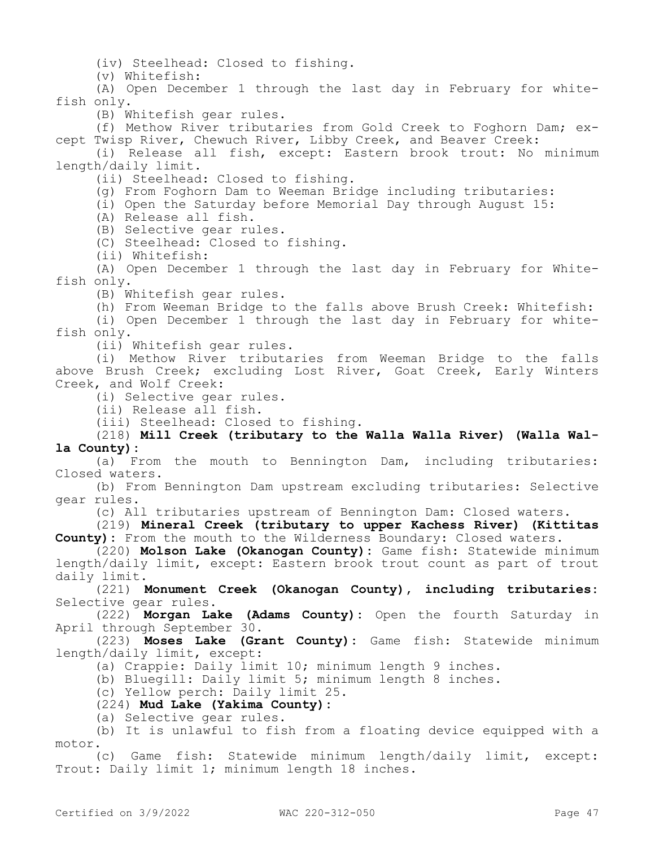(iv) Steelhead: Closed to fishing.

(v) Whitefish:

(A) Open December 1 through the last day in February for whitefish only.

(B) Whitefish gear rules.

(f) Methow River tributaries from Gold Creek to Foghorn Dam; except Twisp River, Chewuch River, Libby Creek, and Beaver Creek:

(i) Release all fish, except: Eastern brook trout: No minimum length/daily limit.

(ii) Steelhead: Closed to fishing.

(g) From Foghorn Dam to Weeman Bridge including tributaries:

(i) Open the Saturday before Memorial Day through August 15:

(A) Release all fish.

(B) Selective gear rules.

(C) Steelhead: Closed to fishing.

(ii) Whitefish:

(A) Open December 1 through the last day in February for Whitefish only.

(B) Whitefish gear rules.

(h) From Weeman Bridge to the falls above Brush Creek: Whitefish:

(i) Open December 1 through the last day in February for whitefish only.

(ii) Whitefish gear rules.

(i) Methow River tributaries from Weeman Bridge to the falls above Brush Creek; excluding Lost River, Goat Creek, Early Winters Creek, and Wolf Creek:

(i) Selective gear rules.

(ii) Release all fish.

(iii) Steelhead: Closed to fishing.

(218) **Mill Creek (tributary to the Walla Walla River) (Walla Walla County):**

(a) From the mouth to Bennington Dam, including tributaries: Closed waters.

(b) From Bennington Dam upstream excluding tributaries: Selective gear rules.

(c) All tributaries upstream of Bennington Dam: Closed waters.

(219) **Mineral Creek (tributary to upper Kachess River) (Kittitas County):** From the mouth to the Wilderness Boundary: Closed waters.

(220) **Molson Lake (Okanogan County):** Game fish: Statewide minimum length/daily limit, except: Eastern brook trout count as part of trout daily limit.

(221) **Monument Creek (Okanogan County), including tributaries:**  Selective gear rules.

(222) **Morgan Lake (Adams County):** Open the fourth Saturday in April through September 30.

(223) **Moses Lake (Grant County):** Game fish: Statewide minimum length/daily limit, except:

(a) Crappie: Daily limit 10; minimum length 9 inches.

(b) Bluegill: Daily limit 5; minimum length 8 inches.

(c) Yellow perch: Daily limit 25.

(224) **Mud Lake (Yakima County):**

(a) Selective gear rules.

(b) It is unlawful to fish from a floating device equipped with a motor.

(c) Game fish: Statewide minimum length/daily limit, except: Trout: Daily limit 1; minimum length 18 inches.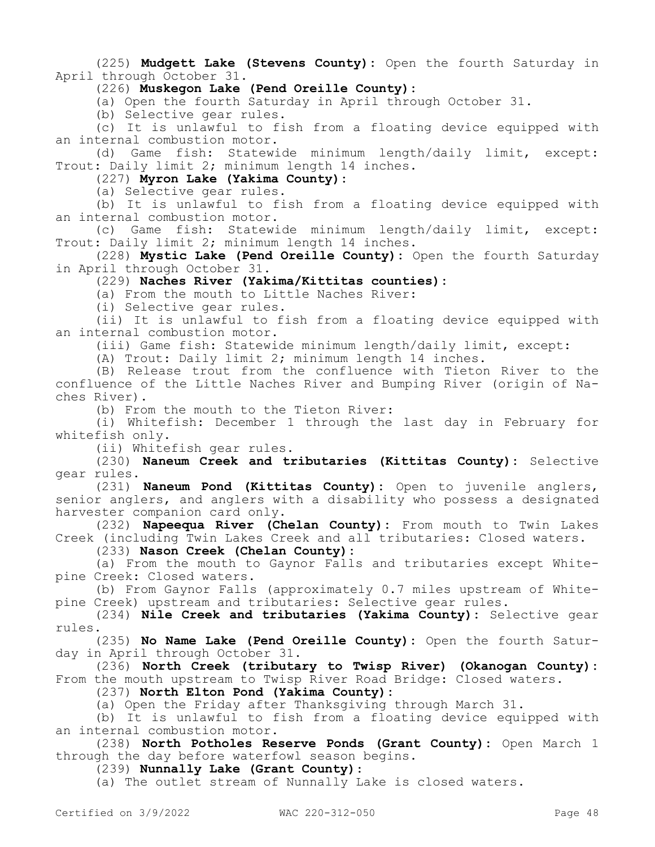(225) **Mudgett Lake (Stevens County):** Open the fourth Saturday in April through October 31.

(226) **Muskegon Lake (Pend Oreille County):**

(a) Open the fourth Saturday in April through October 31.

(b) Selective gear rules.

(c) It is unlawful to fish from a floating device equipped with an internal combustion motor.

(d) Game fish: Statewide minimum length/daily limit, except: Trout: Daily limit 2; minimum length 14 inches.

(227) **Myron Lake (Yakima County):**

(a) Selective gear rules.

(b) It is unlawful to fish from a floating device equipped with an internal combustion motor.

(c) Game fish: Statewide minimum length/daily limit, except: Trout: Daily limit 2; minimum length 14 inches.

(228) **Mystic Lake (Pend Oreille County):** Open the fourth Saturday in April through October 31.

(229) **Naches River (Yakima/Kittitas counties):**

(a) From the mouth to Little Naches River:

(i) Selective gear rules.

(ii) It is unlawful to fish from a floating device equipped with an internal combustion motor.

(iii) Game fish: Statewide minimum length/daily limit, except:

(A) Trout: Daily limit 2; minimum length 14 inches.

(B) Release trout from the confluence with Tieton River to the confluence of the Little Naches River and Bumping River (origin of Naches River).

(b) From the mouth to the Tieton River:

(i) Whitefish: December 1 through the last day in February for whitefish only.

(ii) Whitefish gear rules.

(230) **Naneum Creek and tributaries (Kittitas County):** Selective gear rules.

(231) **Naneum Pond (Kittitas County):** Open to juvenile anglers, senior anglers, and anglers with a disability who possess a designated harvester companion card only.

(232) **Napeequa River (Chelan County):** From mouth to Twin Lakes Creek (including Twin Lakes Creek and all tributaries: Closed waters.

(233) **Nason Creek (Chelan County):**

(a) From the mouth to Gaynor Falls and tributaries except Whitepine Creek: Closed waters.

(b) From Gaynor Falls (approximately 0.7 miles upstream of Whitepine Creek) upstream and tributaries: Selective gear rules.

(234) **Nile Creek and tributaries (Yakima County):** Selective gear rules.

(235) **No Name Lake (Pend Oreille County):** Open the fourth Saturday in April through October 31.

(236) **North Creek (tributary to Twisp River) (Okanogan County):**  From the mouth upstream to Twisp River Road Bridge: Closed waters.

(237) **North Elton Pond (Yakima County):**

(a) Open the Friday after Thanksgiving through March 31.

(b) It is unlawful to fish from a floating device equipped with an internal combustion motor.

(238) **North Potholes Reserve Ponds (Grant County):** Open March 1 through the day before waterfowl season begins.

(239) **Nunnally Lake (Grant County)**:

(a) The outlet stream of Nunnally Lake is closed waters.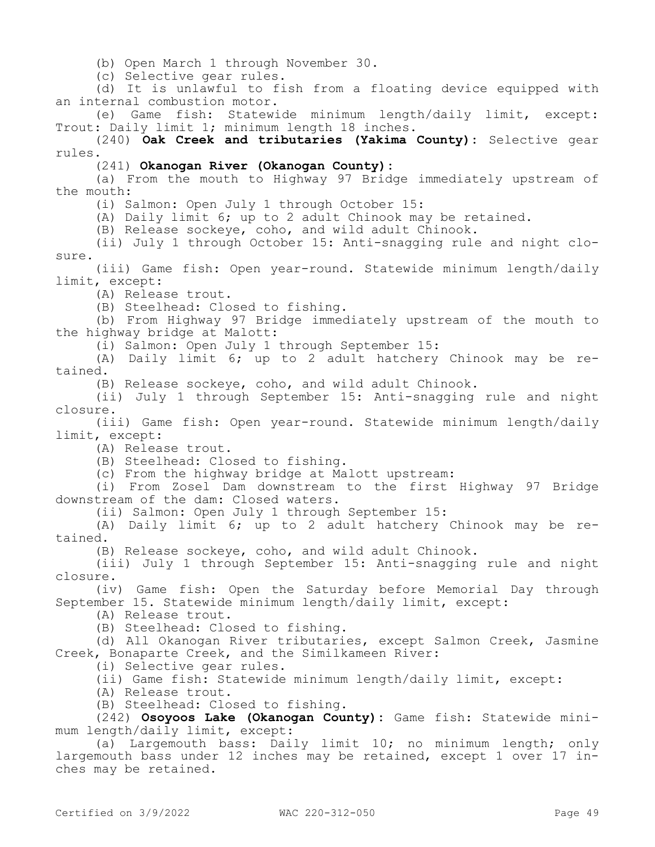(b) Open March 1 through November 30.

(c) Selective gear rules.

(d) It is unlawful to fish from a floating device equipped with an internal combustion motor.

(e) Game fish: Statewide minimum length/daily limit, except: Trout: Daily limit 1; minimum length 18 inches.

(240) **Oak Creek and tributaries (Yakima County):** Selective gear rules.

(241) **Okanogan River (Okanogan County):**

(a) From the mouth to Highway 97 Bridge immediately upstream of the mouth:

(i) Salmon: Open July 1 through October 15:

(A) Daily limit 6; up to 2 adult Chinook may be retained.

(B) Release sockeye, coho, and wild adult Chinook.

(ii) July 1 through October 15: Anti-snagging rule and night closure.

(iii) Game fish: Open year-round. Statewide minimum length/daily limit, except:

(A) Release trout.

(B) Steelhead: Closed to fishing.

(b) From Highway 97 Bridge immediately upstream of the mouth to the highway bridge at Malott:

(i) Salmon: Open July 1 through September 15:

(A) Daily limit 6; up to 2 adult hatchery Chinook may be retained.

(B) Release sockeye, coho, and wild adult Chinook.

(ii) July 1 through September 15: Anti-snagging rule and night closure.

(iii) Game fish: Open year-round. Statewide minimum length/daily limit, except:

(A) Release trout.

(B) Steelhead: Closed to fishing.

(c) From the highway bridge at Malott upstream:

(i) From Zosel Dam downstream to the first Highway 97 Bridge downstream of the dam: Closed waters.

(ii) Salmon: Open July 1 through September 15:

(A) Daily limit 6; up to 2 adult hatchery Chinook may be retained.

(B) Release sockeye, coho, and wild adult Chinook.

(iii) July 1 through September 15: Anti-snagging rule and night closure.

(iv) Game fish: Open the Saturday before Memorial Day through September 15. Statewide minimum length/daily limit, except:

(A) Release trout.

(B) Steelhead: Closed to fishing.

(d) All Okanogan River tributaries, except Salmon Creek, Jasmine Creek, Bonaparte Creek, and the Similkameen River:

(i) Selective gear rules.

(ii) Game fish: Statewide minimum length/daily limit, except:

(A) Release trout.

(B) Steelhead: Closed to fishing.

(242) **Osoyoos Lake (Okanogan County):** Game fish: Statewide minimum length/daily limit, except:

(a) Largemouth bass: Daily limit 10; no minimum length; only largemouth bass under 12 inches may be retained, except 1 over 17 inches may be retained.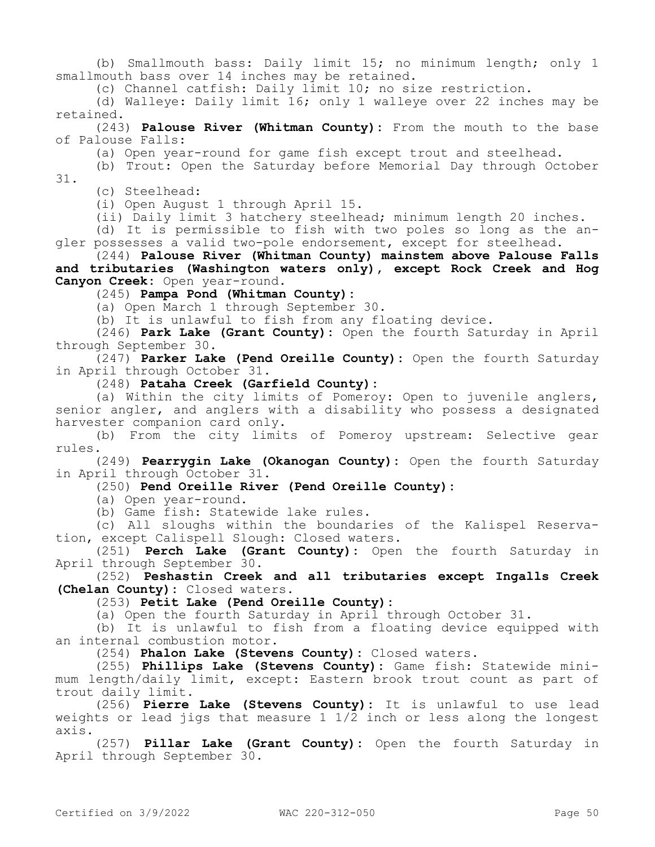(b) Smallmouth bass: Daily limit 15; no minimum length; only 1 smallmouth bass over 14 inches may be retained.

(c) Channel catfish: Daily limit 10; no size restriction.

(d) Walleye: Daily limit 16; only 1 walleye over 22 inches may be retained.

(243) **Palouse River (Whitman County):** From the mouth to the base of Palouse Falls:

(a) Open year-round for game fish except trout and steelhead.

(b) Trout: Open the Saturday before Memorial Day through October 31.

(c) Steelhead:

(i) Open August 1 through April 15.

(ii) Daily limit 3 hatchery steelhead; minimum length 20 inches.

(d) It is permissible to fish with two poles so long as the angler possesses a valid two-pole endorsement, except for steelhead.

(244) **Palouse River (Whitman County) mainstem above Palouse Falls and tributaries (Washington waters only), except Rock Creek and Hog Canyon Creek:** Open year-round.

(245) **Pampa Pond (Whitman County):**

(a) Open March 1 through September 30.

(b) It is unlawful to fish from any floating device.

(246) **Park Lake (Grant County):** Open the fourth Saturday in April through September 30.

(247) **Parker Lake (Pend Oreille County):** Open the fourth Saturday in April through October 31.

(248) **Pataha Creek (Garfield County):**

(a) Within the city limits of Pomeroy: Open to juvenile anglers, senior angler, and anglers with a disability who possess a designated harvester companion card only.

(b) From the city limits of Pomeroy upstream: Selective gear rules.

(249) **Pearrygin Lake (Okanogan County):** Open the fourth Saturday in April through October 31.

(250) **Pend Oreille River (Pend Oreille County):**

(a) Open year-round.

(b) Game fish: Statewide lake rules.

(c) All sloughs within the boundaries of the Kalispel Reservation, except Calispell Slough: Closed waters.

(251) **Perch Lake (Grant County):** Open the fourth Saturday in April through September 30.

(252) **Peshastin Creek and all tributaries except Ingalls Creek (Chelan County):** Closed waters.

(253) **Petit Lake (Pend Oreille County):**

(a) Open the fourth Saturday in April through October 31.

(b) It is unlawful to fish from a floating device equipped with an internal combustion motor.

(254) **Phalon Lake (Stevens County):** Closed waters.

(255) **Phillips Lake (Stevens County):** Game fish: Statewide minimum length/daily limit, except: Eastern brook trout count as part of trout daily limit.

(256) **Pierre Lake (Stevens County):** It is unlawful to use lead weights or lead jigs that measure 1  $1/\overline{2}$  inch or less along the longest axis.

(257) **Pillar Lake (Grant County):** Open the fourth Saturday in April through September 30.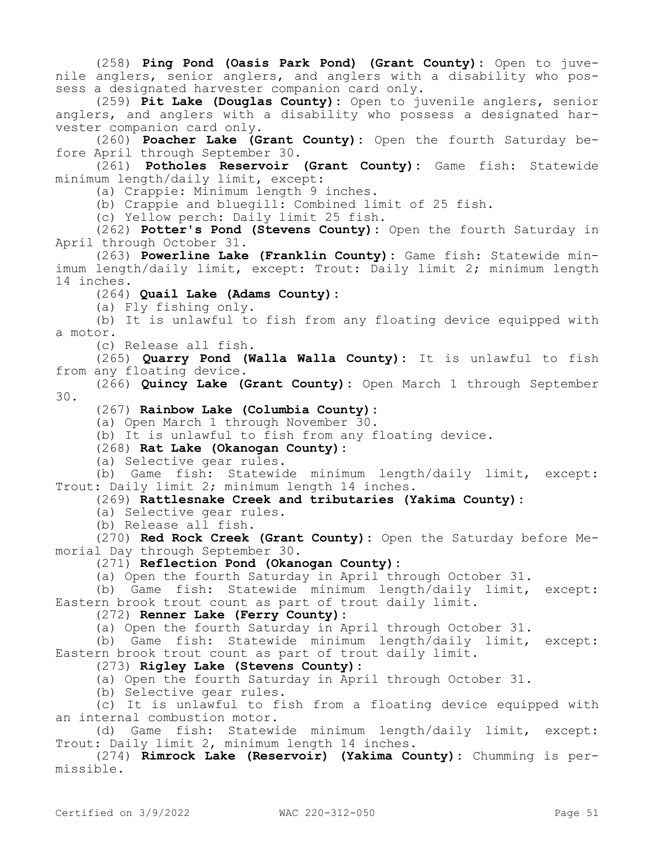(258) **Ping Pond (Oasis Park Pond) (Grant County):** Open to juvenile anglers, senior anglers, and anglers with a disability who possess a designated harvester companion card only.

(259) **Pit Lake (Douglas County):** Open to juvenile anglers, senior anglers, and anglers with a disability who possess a designated harvester companion card only.

(260) **Poacher Lake (Grant County):** Open the fourth Saturday before April through September 30.

(261) **Potholes Reservoir (Grant County):** Game fish: Statewide minimum length/daily limit, except:

(a) Crappie: Minimum length 9 inches.

(b) Crappie and bluegill: Combined limit of 25 fish.

(c) Yellow perch: Daily limit 25 fish.

(262) **Potter's Pond (Stevens County):** Open the fourth Saturday in April through October 31.

(263) **Powerline Lake (Franklin County):** Game fish: Statewide minimum length/daily limit, except: Trout: Daily limit 2; minimum length 14 inches.

(264) **Quail Lake (Adams County):**

(a) Fly fishing only.

(b) It is unlawful to fish from any floating device equipped with a motor.

(c) Release all fish.

(265) **Quarry Pond (Walla Walla County):** It is unlawful to fish from any floating device.

(266) **Quincy Lake (Grant County):** Open March 1 through September 30.

(267) **Rainbow Lake (Columbia County):**

(a) Open March 1 through November 30.

(b) It is unlawful to fish from any floating device.

(268) **Rat Lake (Okanogan County):**

(a) Selective gear rules.

(b) Game fish: Statewide minimum length/daily limit, except: Trout: Daily limit 2; minimum length 14 inches.

(269) **Rattlesnake Creek and tributaries (Yakima County):**

(a) Selective gear rules.

(b) Release all fish.

(270) **Red Rock Creek (Grant County):** Open the Saturday before Memorial Day through September 30.

### (271) **Reflection Pond (Okanogan County):**

(a) Open the fourth Saturday in April through October 31.

(b) Game fish: Statewide minimum length/daily limit, except: Eastern brook trout count as part of trout daily limit.

(272) **Renner Lake (Ferry County):**

(a) Open the fourth Saturday in April through October 31.

(b) Game fish: Statewide minimum length/daily limit, except: Eastern brook trout count as part of trout daily limit.

(273) **Rigley Lake (Stevens County):**

(a) Open the fourth Saturday in April through October 31.

(b) Selective gear rules.

(c) It is unlawful to fish from a floating device equipped with an internal combustion motor.

(d) Game fish: Statewide minimum length/daily limit, except: Trout: Daily limit 2, minimum length 14 inches.

(274) **Rimrock Lake (Reservoir) (Yakima County):** Chumming is permissible.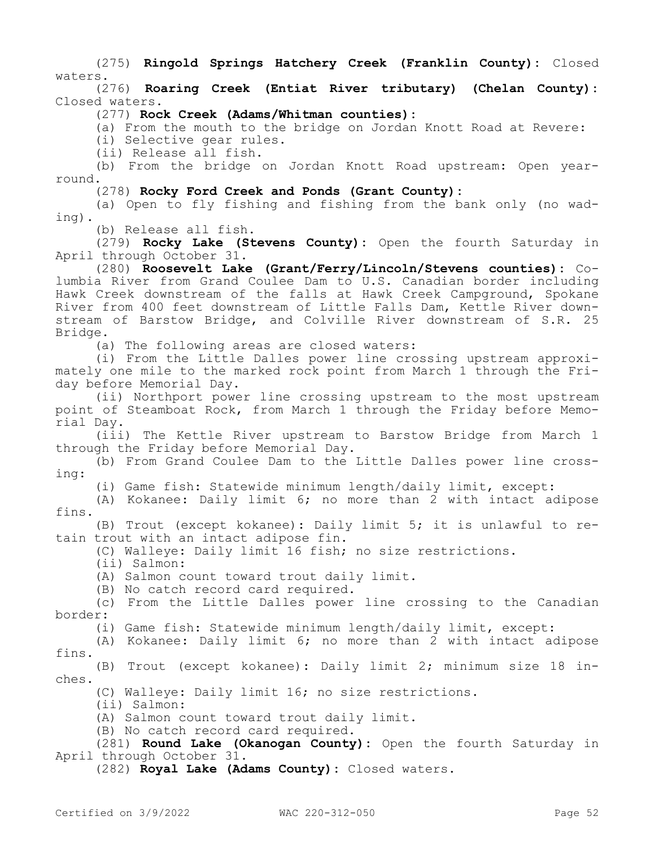(275) **Ringold Springs Hatchery Creek (Franklin County):** Closed waters.

(276) **Roaring Creek (Entiat River tributary) (Chelan County):**  Closed waters.

(277) **Rock Creek (Adams/Whitman counties):**

(a) From the mouth to the bridge on Jordan Knott Road at Revere:

(i) Selective gear rules.

(ii) Release all fish.

(b) From the bridge on Jordan Knott Road upstream: Open yearround.

(278) **Rocky Ford Creek and Ponds (Grant County):**

(a) Open to fly fishing and fishing from the bank only (no wading).

(b) Release all fish.

(279) **Rocky Lake (Stevens County):** Open the fourth Saturday in April through October 31.

(280) **Roosevelt Lake (Grant/Ferry/Lincoln/Stevens counties):** Columbia River from Grand Coulee Dam to U.S. Canadian border including Hawk Creek downstream of the falls at Hawk Creek Campground, Spokane River from 400 feet downstream of Little Falls Dam, Kettle River downstream of Barstow Bridge, and Colville River downstream of S.R. 25 Bridge.

(a) The following areas are closed waters:

(i) From the Little Dalles power line crossing upstream approximately one mile to the marked rock point from March 1 through the Friday before Memorial Day.

(ii) Northport power line crossing upstream to the most upstream point of Steamboat Rock, from March 1 through the Friday before Memorial Day.

(iii) The Kettle River upstream to Barstow Bridge from March 1 through the Friday before Memorial Day.

(b) From Grand Coulee Dam to the Little Dalles power line crossing:

(i) Game fish: Statewide minimum length/daily limit, except:

(A) Kokanee: Daily limit 6; no more than 2 with intact adipose fins.

(B) Trout (except kokanee): Daily limit 5; it is unlawful to retain trout with an intact adipose fin.

(C) Walleye: Daily limit 16 fish; no size restrictions.

(ii) Salmon:

(A) Salmon count toward trout daily limit.

(B) No catch record card required.

(c) From the Little Dalles power line crossing to the Canadian border:

(i) Game fish: Statewide minimum length/daily limit, except:

(A) Kokanee: Daily limit 6; no more than 2 with intact adipose fins.

(B) Trout (except kokanee): Daily limit 2; minimum size 18 inches.

(C) Walleye: Daily limit 16; no size restrictions.

(ii) Salmon:

(A) Salmon count toward trout daily limit.

(B) No catch record card required.

(281) **Round Lake (Okanogan County):** Open the fourth Saturday in April through October 31.

(282) **Royal Lake (Adams County):** Closed waters.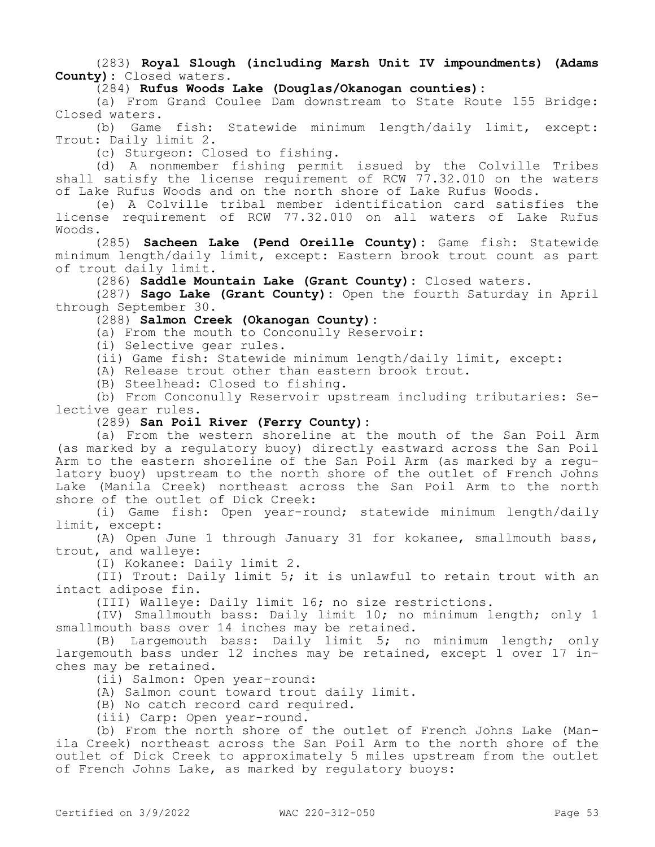(283) **Royal Slough (including Marsh Unit IV impoundments) (Adams County):** Closed waters.

(284) **Rufus Woods Lake (Douglas/Okanogan counties):**

(a) From Grand Coulee Dam downstream to State Route 155 Bridge: Closed waters.

(b) Game fish: Statewide minimum length/daily limit, except: Trout: Daily limit 2.

(c) Sturgeon: Closed to fishing.

(d) A nonmember fishing permit issued by the Colville Tribes shall satisfy the license requirement of RCW  $77.32.010$  on the waters of Lake Rufus Woods and on the north shore of Lake Rufus Woods.

(e) A Colville tribal member identification card satisfies the license requirement of RCW 77.32.010 on all waters of Lake Rufus Woods.

(285) **Sacheen Lake (Pend Oreille County):** Game fish: Statewide minimum length/daily limit, except: Eastern brook trout count as part of trout daily limit.

(286) **Saddle Mountain Lake (Grant County):** Closed waters.

(287) **Sago Lake (Grant County):** Open the fourth Saturday in April through September 30.

(288) **Salmon Creek (Okanogan County):**

(a) From the mouth to Conconully Reservoir:

(i) Selective gear rules.

(ii) Game fish: Statewide minimum length/daily limit, except:

(A) Release trout other than eastern brook trout.

(B) Steelhead: Closed to fishing.

(b) From Conconully Reservoir upstream including tributaries: Selective gear rules.

#### (289) **San Poil River (Ferry County):**

(a) From the western shoreline at the mouth of the San Poil Arm (as marked by a regulatory buoy) directly eastward across the San Poil Arm to the eastern shoreline of the San Poil Arm (as marked by a regulatory buoy) upstream to the north shore of the outlet of French Johns Lake (Manila Creek) northeast across the San Poil Arm to the north shore of the outlet of Dick Creek:

(i) Game fish: Open year-round; statewide minimum length/daily limit, except:

(A) Open June 1 through January 31 for kokanee, smallmouth bass, trout, and walleye:

(I) Kokanee: Daily limit 2.

(II) Trout: Daily limit 5; it is unlawful to retain trout with an intact adipose fin.

(III) Walleye: Daily limit 16; no size restrictions.

(IV) Smallmouth bass: Daily limit 10; no minimum length; only 1 smallmouth bass over 14 inches may be retained.

(B) Largemouth bass: Daily limit 5; no minimum length; only largemouth bass under 12 inches may be retained, except 1 over 17 inches may be retained.

(ii) Salmon: Open year-round:

(A) Salmon count toward trout daily limit.

(B) No catch record card required.

(iii) Carp: Open year-round.

(b) From the north shore of the outlet of French Johns Lake (Manila Creek) northeast across the San Poil Arm to the north shore of the outlet of Dick Creek to approximately 5 miles upstream from the outlet of French Johns Lake, as marked by regulatory buoys: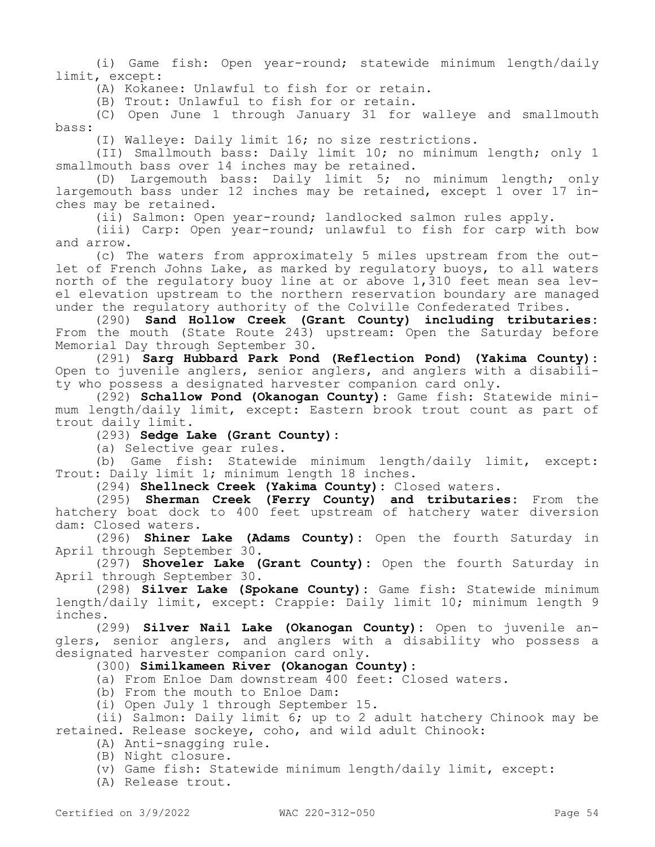(i) Game fish: Open year-round; statewide minimum length/daily limit, except:

(A) Kokanee: Unlawful to fish for or retain.

(B) Trout: Unlawful to fish for or retain.

(C) Open June 1 through January 31 for walleye and smallmouth bass:

(I) Walleye: Daily limit 16; no size restrictions.

(II) Smallmouth bass: Daily limit 10; no minimum length; only 1 smallmouth bass over 14 inches may be retained.

(D) Largemouth bass: Daily limit 5; no minimum length; only largemouth bass under 12 inches may be retained, except 1 over 17 inches may be retained.

(ii) Salmon: Open year-round; landlocked salmon rules apply.

(iii) Carp: Open year-round; unlawful to fish for carp with bow and arrow.

(c) The waters from approximately 5 miles upstream from the outlet of French Johns Lake, as marked by regulatory buoys, to all waters north of the regulatory buoy line at or above 1,310 feet mean sea level elevation upstream to the northern reservation boundary are managed under the regulatory authority of the Colville Confederated Tribes.

(290) **Sand Hollow Creek (Grant County) including tributaries:**  From the mouth (State Route 243) upstream: Open the Saturday before Memorial Day through September 30.

(291) **Sarg Hubbard Park Pond (Reflection Pond) (Yakima County):**  Open to juvenile anglers, senior anglers, and anglers with a disability who possess a designated harvester companion card only.

(292) **Schallow Pond (Okanogan County):** Game fish: Statewide minimum length/daily limit, except: Eastern brook trout count as part of trout daily limit.

(293) **Sedge Lake (Grant County):**

(a) Selective gear rules.

(b) Game fish: Statewide minimum length/daily limit, except: Trout: Daily limit 1; minimum length 18 inches.

(294) **Shellneck Creek (Yakima County):** Closed waters.

(295) **Sherman Creek (Ferry County) and tributaries:** From the hatchery boat dock to 400 feet upstream of hatchery water diversion dam: Closed waters.

(296) **Shiner Lake (Adams County):** Open the fourth Saturday in April through September 30.

(297) **Shoveler Lake (Grant County):** Open the fourth Saturday in April through September 30.

(298) **Silver Lake (Spokane County):** Game fish: Statewide minimum length/daily limit, except: Crappie: Daily limit 10; minimum length 9 inches.

(299) **Silver Nail Lake (Okanogan County):** Open to juvenile anglers, senior anglers, and anglers with a disability who possess a designated harvester companion card only.

# (300) **Similkameen River (Okanogan County):**

(a) From Enloe Dam downstream 400 feet: Closed waters.

(b) From the mouth to Enloe Dam:

(i) Open July 1 through September 15.

(ii) Salmon: Daily limit 6; up to 2 adult hatchery Chinook may be retained. Release sockeye, coho, and wild adult Chinook:

- (A) Anti-snagging rule.
- (B) Night closure.

(v) Game fish: Statewide minimum length/daily limit, except:

(A) Release trout.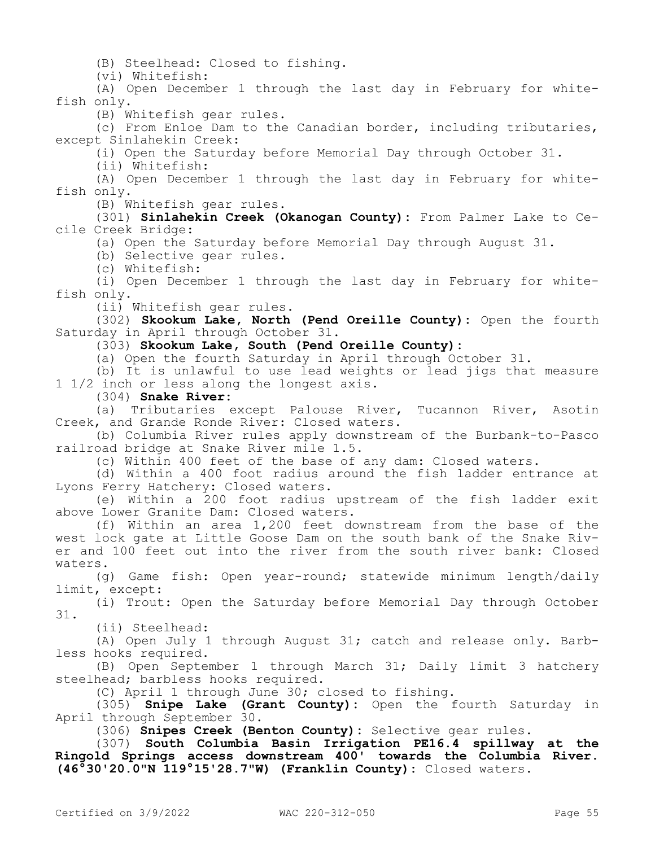(B) Steelhead: Closed to fishing.

(vi) Whitefish:

(A) Open December 1 through the last day in February for whitefish only.

(B) Whitefish gear rules.

(c) From Enloe Dam to the Canadian border, including tributaries, except Sinlahekin Creek:

(i) Open the Saturday before Memorial Day through October 31.

(ii) Whitefish:

(A) Open December 1 through the last day in February for whitefish only.

(B) Whitefish gear rules.

(301) **Sinlahekin Creek (Okanogan County):** From Palmer Lake to Cecile Creek Bridge:

(a) Open the Saturday before Memorial Day through August 31.

(b) Selective gear rules.

(c) Whitefish:

(i) Open December 1 through the last day in February for whitefish only.

(ii) Whitefish gear rules.

(302) **Skookum Lake, North (Pend Oreille County):** Open the fourth Saturday in April through October 31.

### (303) **Skookum Lake, South (Pend Oreille County):**

(a) Open the fourth Saturday in April through October 31.

(b) It is unlawful to use lead weights or lead jigs that measure 1 1/2 inch or less along the longest axis.

(304) **Snake River:**

(a) Tributaries except Palouse River, Tucannon River, Asotin Creek, and Grande Ronde River: Closed waters.

(b) Columbia River rules apply downstream of the Burbank-to-Pasco railroad bridge at Snake River mile 1.5.

(c) Within 400 feet of the base of any dam: Closed waters.

(d) Within a 400 foot radius around the fish ladder entrance at Lyons Ferry Hatchery: Closed waters.

(e) Within a 200 foot radius upstream of the fish ladder exit above Lower Granite Dam: Closed waters.

(f) Within an area 1,200 feet downstream from the base of the west lock gate at Little Goose Dam on the south bank of the Snake River and 100 feet out into the river from the south river bank: Closed waters.

(g) Game fish: Open year-round; statewide minimum length/daily limit, except:

(i) Trout: Open the Saturday before Memorial Day through October 31.

(ii) Steelhead:

(A) Open July 1 through August 31; catch and release only. Barbless hooks required.

(B) Open September 1 through March 31; Daily limit 3 hatchery steelhead; barbless hooks required.

(C) April 1 through June 30; closed to fishing.

(305) **Snipe Lake (Grant County):** Open the fourth Saturday in April through September 30.

(306) **Snipes Creek (Benton County):** Selective gear rules.

(307) **South Columbia Basin Irrigation PE16.4 spillway at the Ringold Springs access downstream 400' towards the Columbia River. (46°30'20.0"N 119°15'28.7"W) (Franklin County):** Closed waters.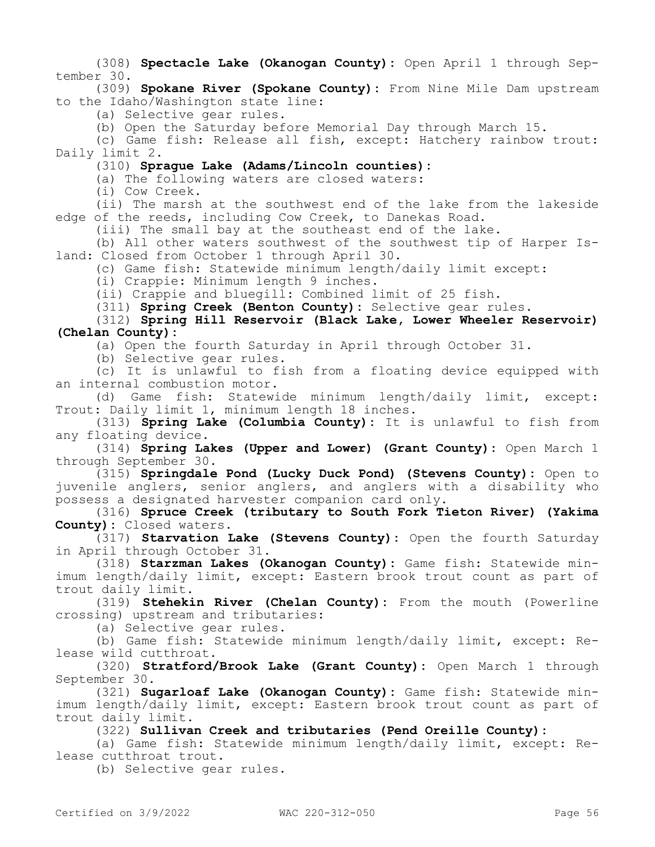(308) **Spectacle Lake (Okanogan County):** Open April 1 through September 30.

(309) **Spokane River (Spokane County):** From Nine Mile Dam upstream to the Idaho/Washington state line:

(a) Selective gear rules.

(b) Open the Saturday before Memorial Day through March 15.

(c) Game fish: Release all fish, except: Hatchery rainbow trout: Daily limit 2.

(310) **Sprague Lake (Adams/Lincoln counties):**

(a) The following waters are closed waters:

(i) Cow Creek.

(ii) The marsh at the southwest end of the lake from the lakeside edge of the reeds, including Cow Creek, to Danekas Road.

(iii) The small bay at the southeast end of the lake.

(b) All other waters southwest of the southwest tip of Harper Island: Closed from October 1 through April 30.

(c) Game fish: Statewide minimum length/daily limit except:

(i) Crappie: Minimum length 9 inches.

(ii) Crappie and bluegill: Combined limit of 25 fish.

(311) **Spring Creek (Benton County):** Selective gear rules.

### (312) **Spring Hill Reservoir (Black Lake, Lower Wheeler Reservoir) (Chelan County):**

(a) Open the fourth Saturday in April through October 31.

(b) Selective gear rules.

(c) It is unlawful to fish from a floating device equipped with an internal combustion motor.

(d) Game fish: Statewide minimum length/daily limit, except: Trout: Daily limit 1, minimum length 18 inches.

(313) **Spring Lake (Columbia County):** It is unlawful to fish from any floating device.

(314) **Spring Lakes (Upper and Lower) (Grant County):** Open March 1 through September 30.

(315) **Springdale Pond (Lucky Duck Pond) (Stevens County):** Open to juvenile anglers, senior anglers, and anglers with a disability who possess a designated harvester companion card only.

(316) **Spruce Creek (tributary to South Fork Tieton River) (Yakima County):** Closed waters.

(317) **Starvation Lake (Stevens County):** Open the fourth Saturday in April through October 31.

(318) **Starzman Lakes (Okanogan County):** Game fish: Statewide minimum length/daily limit, except: Eastern brook trout count as part of trout daily limit.

(319) **Stehekin River (Chelan County):** From the mouth (Powerline crossing) upstream and tributaries:

(a) Selective gear rules.

(b) Game fish: Statewide minimum length/daily limit, except: Release wild cutthroat.

(320) **Stratford/Brook Lake (Grant County):** Open March 1 through September 30.

(321) **Sugarloaf Lake (Okanogan County):** Game fish: Statewide minimum length/daily limit, except: Eastern brook trout count as part of trout daily limit.

(322) **Sullivan Creek and tributaries (Pend Oreille County):**

(a) Game fish: Statewide minimum length/daily limit, except: Release cutthroat trout.

(b) Selective gear rules.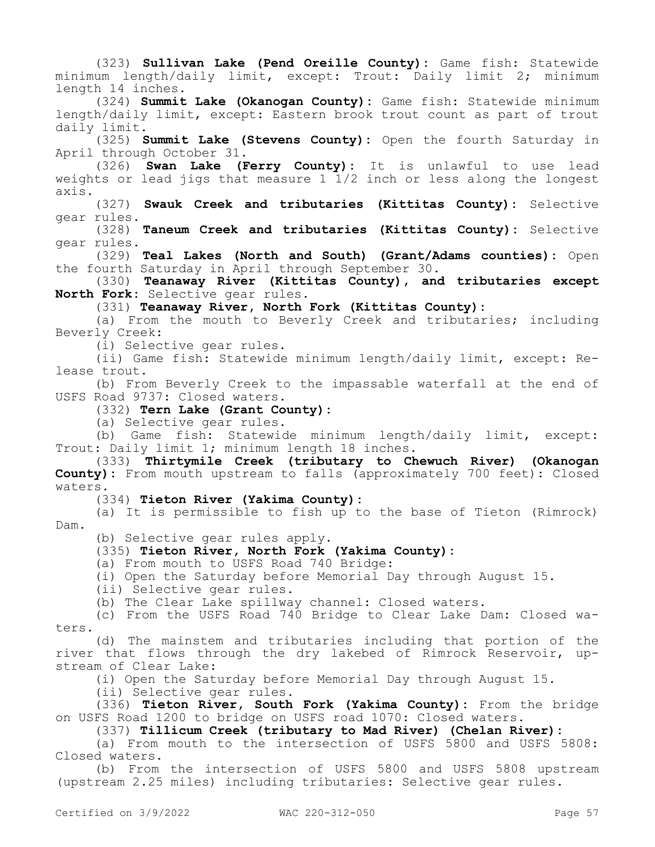(323) **Sullivan Lake (Pend Oreille County):** Game fish: Statewide minimum length/daily limit, except: Trout: Daily limit 2; minimum length 14 inches. (324) **Summit Lake (Okanogan County):** Game fish: Statewide minimum length/daily limit, except: Eastern brook trout count as part of trout daily limit. (325) **Summit Lake (Stevens County):** Open the fourth Saturday in April through October 31. (326) **Swan Lake (Ferry County):** It is unlawful to use lead weights or lead jigs that measure  $1\bar{1}/2$  inch or less along the longest axis. (327) **Swauk Creek and tributaries (Kittitas County):** Selective gear rules. (328) **Taneum Creek and tributaries (Kittitas County):** Selective gear rules. (329) **Teal Lakes (North and South) (Grant/Adams counties):** Open the fourth Saturday in April through September 30. (330) **Teanaway River (Kittitas County), and tributaries except North Fork:** Selective gear rules. (331) **Teanaway River, North Fork (Kittitas County):** (a) From the mouth to Beverly Creek and tributaries; including Beverly Creek: (i) Selective gear rules. (ii) Game fish: Statewide minimum length/daily limit, except: Release trout. (b) From Beverly Creek to the impassable waterfall at the end of USFS Road 9737: Closed waters. (332) **Tern Lake (Grant County):** (a) Selective gear rules. (b) Game fish: Statewide minimum length/daily limit, except: Trout: Daily limit 1; minimum length 18 inches. (333) **Thirtymile Creek (tributary to Chewuch River) (Okanogan County):** From mouth upstream to falls (approximately 700 feet): Closed waters. (334) **Tieton River (Yakima County):** (a) It is permissible to fish up to the base of Tieton (Rimrock) Dam. (b) Selective gear rules apply. (335) **Tieton River, North Fork (Yakima County):** (a) From mouth to USFS Road 740 Bridge: (i) Open the Saturday before Memorial Day through August 15. (ii) Selective gear rules. (b) The Clear Lake spillway channel: Closed waters. (c) From the USFS Road 740 Bridge to Clear Lake Dam: Closed waters. (d) The mainstem and tributaries including that portion of the river that flows through the dry lakebed of Rimrock Reservoir, upstream of Clear Lake: (i) Open the Saturday before Memorial Day through August 15. (ii) Selective gear rules. (336) **Tieton River, South Fork (Yakima County):** From the bridge on USFS Road 1200 to bridge on USFS road 1070: Closed waters. (337) **Tillicum Creek (tributary to Mad River) (Chelan River):** (a) From mouth to the intersection of USFS 5800 and USFS 5808: Closed waters.

(b) From the intersection of USFS 5800 and USFS 5808 upstream (upstream 2.25 miles) including tributaries: Selective gear rules.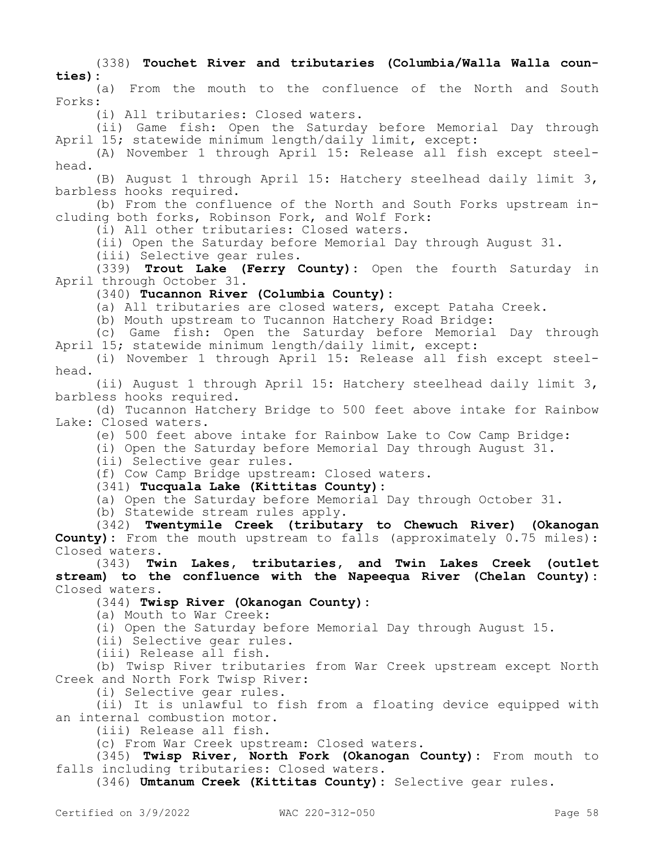(338) **Touchet River and tributaries (Columbia/Walla Walla counties):**

(a) From the mouth to the confluence of the North and South Forks:

(i) All tributaries: Closed waters.

(ii) Game fish: Open the Saturday before Memorial Day through April 15; statewide minimum length/daily limit, except:

(A) November 1 through April 15: Release all fish except steelhead.

(B) August 1 through April 15: Hatchery steelhead daily limit 3, barbless hooks required.

(b) From the confluence of the North and South Forks upstream including both forks, Robinson Fork, and Wolf Fork:

(i) All other tributaries: Closed waters.

(ii) Open the Saturday before Memorial Day through August 31.

(iii) Selective gear rules.

(339) **Trout Lake (Ferry County):** Open the fourth Saturday in April through October 31.

### (340) **Tucannon River (Columbia County):**

(a) All tributaries are closed waters, except Pataha Creek.

(b) Mouth upstream to Tucannon Hatchery Road Bridge:

(c) Game fish: Open the Saturday before Memorial Day through April 15; statewide minimum length/daily limit, except:

(i) November 1 through April 15: Release all fish except steelhead.

(ii) August 1 through April 15: Hatchery steelhead daily limit 3, barbless hooks required.

(d) Tucannon Hatchery Bridge to 500 feet above intake for Rainbow Lake: Closed waters.

(e) 500 feet above intake for Rainbow Lake to Cow Camp Bridge:

(i) Open the Saturday before Memorial Day through August 31.

(ii) Selective gear rules.

(f) Cow Camp Bridge upstream: Closed waters.

(341) **Tucquala Lake (Kittitas County):**

(a) Open the Saturday before Memorial Day through October 31.

(b) Statewide stream rules apply.

(342) **Twentymile Creek (tributary to Chewuch River) (Okanogan County):** From the mouth upstream to falls (approximately 0.75 miles): Closed waters.

(343) **Twin Lakes, tributaries, and Twin Lakes Creek (outlet stream) to the confluence with the Napeequa River (Chelan County):**  Closed waters.

#### (344) **Twisp River (Okanogan County):**

(a) Mouth to War Creek:

(i) Open the Saturday before Memorial Day through August 15.

(ii) Selective gear rules.

(iii) Release all fish.

(b) Twisp River tributaries from War Creek upstream except North Creek and North Fork Twisp River:

(i) Selective gear rules.

(ii) It is unlawful to fish from a floating device equipped with an internal combustion motor.

(iii) Release all fish.

(c) From War Creek upstream: Closed waters.

(345) **Twisp River, North Fork (Okanogan County):** From mouth to falls including tributaries: Closed waters.

(346) **Umtanum Creek (Kittitas County):** Selective gear rules.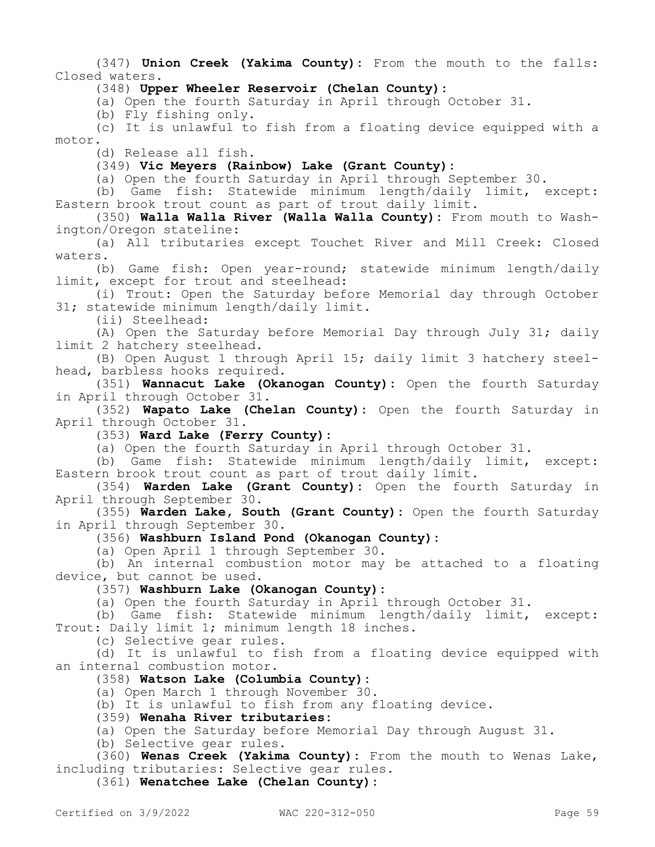(347) **Union Creek (Yakima County):** From the mouth to the falls: Closed waters.

(348) **Upper Wheeler Reservoir (Chelan County):**

(a) Open the fourth Saturday in April through October 31.

(b) Fly fishing only.

(c) It is unlawful to fish from a floating device equipped with a motor.

(d) Release all fish.

(349) **Vic Meyers (Rainbow) Lake (Grant County):**

(a) Open the fourth Saturday in April through September 30.

(b) Game fish: Statewide minimum length/daily limit, except: Eastern brook trout count as part of trout daily limit.

(350) **Walla Walla River (Walla Walla County):** From mouth to Washington/Oregon stateline:

(a) All tributaries except Touchet River and Mill Creek: Closed waters.

(b) Game fish: Open year-round; statewide minimum length/daily limit, except for trout and steelhead:

(i) Trout: Open the Saturday before Memorial day through October 31; statewide minimum length/daily limit.

(ii) Steelhead:

(A) Open the Saturday before Memorial Day through July 31; daily limit 2 hatchery steelhead.

(B) Open August 1 through April 15; daily limit 3 hatchery steelhead, barbless hooks required.

(351) **Wannacut Lake (Okanogan County):** Open the fourth Saturday in April through October 31.

(352) **Wapato Lake (Chelan County):** Open the fourth Saturday in April through October 31.

(353) **Ward Lake (Ferry County):**

(a) Open the fourth Saturday in April through October 31.

(b) Game fish: Statewide minimum length/daily limit, except: Eastern brook trout count as part of trout daily limit.

(354) **Warden Lake (Grant County):** Open the fourth Saturday in April through September 30.

(355) **Warden Lake, South (Grant County):** Open the fourth Saturday in April through September 30.

(356) **Washburn Island Pond (Okanogan County):**

(a) Open April 1 through September 30.

(b) An internal combustion motor may be attached to a floating device, but cannot be used.

(357) **Washburn Lake (Okanogan County):**

(a) Open the fourth Saturday in April through October 31.

(b) Game fish: Statewide minimum length/daily limit, except: Trout: Daily limit 1; minimum length 18 inches.

(c) Selective gear rules.

(d) It is unlawful to fish from a floating device equipped with an internal combustion motor.

(358) **Watson Lake (Columbia County):**

(a) Open March 1 through November 30.

(b) It is unlawful to fish from any floating device.

(359) **Wenaha River tributaries:**

(a) Open the Saturday before Memorial Day through August 31.

(b) Selective gear rules.

(360) **Wenas Creek (Yakima County):** From the mouth to Wenas Lake, including tributaries: Selective gear rules.

(361) **Wenatchee Lake (Chelan County):**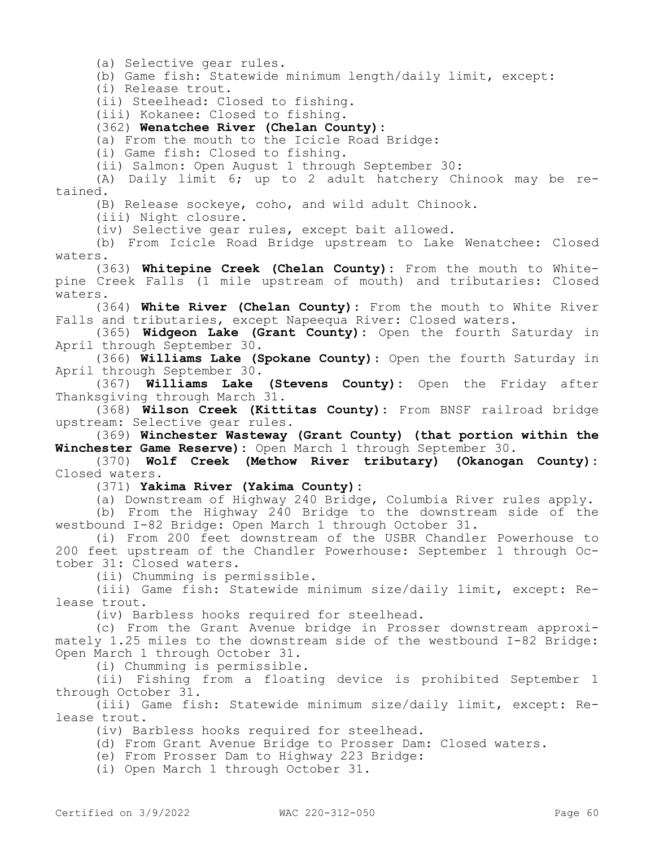(a) Selective gear rules.

(b) Game fish: Statewide minimum length/daily limit, except:

(i) Release trout.

(ii) Steelhead: Closed to fishing.

(iii) Kokanee: Closed to fishing.

(362) **Wenatchee River (Chelan County):**

(a) From the mouth to the Icicle Road Bridge:

(i) Game fish: Closed to fishing.

(ii) Salmon: Open August 1 through September 30:

(A) Daily limit 6; up to 2 adult hatchery Chinook may be retained.

(B) Release sockeye, coho, and wild adult Chinook.

(iii) Night closure.

(iv) Selective gear rules, except bait allowed.

(b) From Icicle Road Bridge upstream to Lake Wenatchee: Closed waters.

(363) **Whitepine Creek (Chelan County):** From the mouth to Whitepine Creek Falls (1 mile upstream of mouth) and tributaries: Closed waters.

(364) **White River (Chelan County):** From the mouth to White River Falls and tributaries, except Napeequa River: Closed waters.

(365) **Widgeon Lake (Grant County):** Open the fourth Saturday in April through September 30.

(366) **Williams Lake (Spokane County)**: Open the fourth Saturday in April through September 30.

(367) **Williams Lake (Stevens County):** Open the Friday after Thanksgiving through March 31.

(368) **Wilson Creek (Kittitas County):** From BNSF railroad bridge upstream: Selective gear rules.

(369) **Winchester Wasteway (Grant County) (that portion within the Winchester Game Reserve):** Open March 1 through September 30.

(370) **Wolf Creek (Methow River tributary) (Okanogan County):**  Closed waters.

(371) **Yakima River (Yakima County):**

(a) Downstream of Highway 240 Bridge, Columbia River rules apply.

(b) From the Highway 240 Bridge to the downstream side of the westbound I-82 Bridge: Open March 1 through October 31.

(i) From 200 feet downstream of the USBR Chandler Powerhouse to 200 feet upstream of the Chandler Powerhouse: September 1 through October 31: Closed waters.

(ii) Chumming is permissible.

(iii) Game fish: Statewide minimum size/daily limit, except: Release trout.

(iv) Barbless hooks required for steelhead.

(c) From the Grant Avenue bridge in Prosser downstream approximately 1.25 miles to the downstream side of the westbound I-82 Bridge: Open March 1 through October 31.

(i) Chumming is permissible.

(ii) Fishing from a floating device is prohibited September 1 through October 31.

(iii) Game fish: Statewide minimum size/daily limit, except: Release trout.

(iv) Barbless hooks required for steelhead.

(d) From Grant Avenue Bridge to Prosser Dam: Closed waters.

(e) From Prosser Dam to Highway 223 Bridge:

(i) Open March 1 through October 31.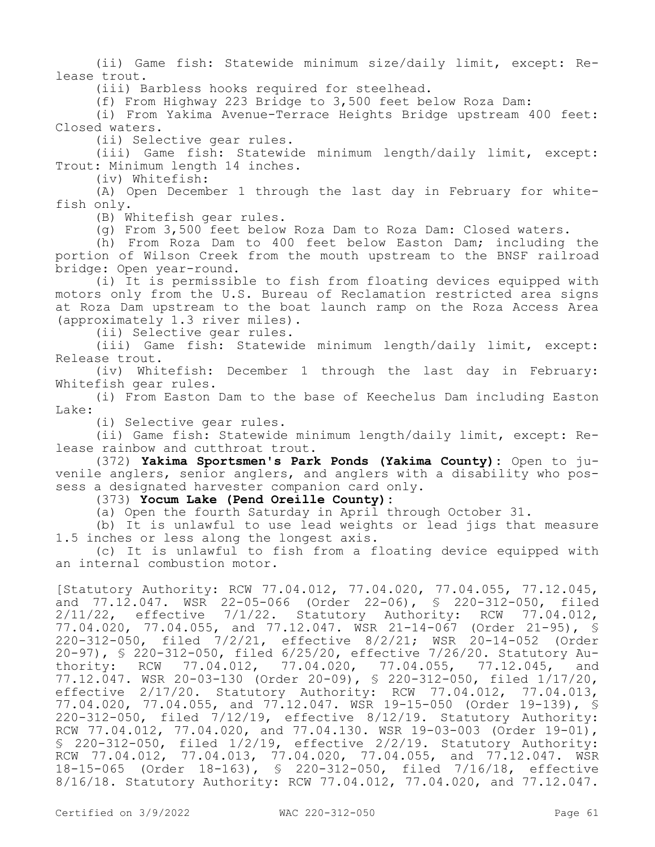(ii) Game fish: Statewide minimum size/daily limit, except: Release trout.

(iii) Barbless hooks required for steelhead.

(f) From Highway 223 Bridge to 3,500 feet below Roza Dam:

(i) From Yakima Avenue-Terrace Heights Bridge upstream 400 feet: Closed waters.

(ii) Selective gear rules.

(iii) Game fish: Statewide minimum length/daily limit, except: Trout: Minimum length 14 inches.

(iv) Whitefish:

(A) Open December 1 through the last day in February for whitefish only.

(B) Whitefish gear rules.

(g) From 3,500 feet below Roza Dam to Roza Dam: Closed waters.

(h) From Roza Dam to 400 feet below Easton Dam; including the portion of Wilson Creek from the mouth upstream to the BNSF railroad bridge: Open year-round.

(i) It is permissible to fish from floating devices equipped with motors only from the U.S. Bureau of Reclamation restricted area signs at Roza Dam upstream to the boat launch ramp on the Roza Access Area (approximately 1.3 river miles).

(ii) Selective gear rules.

(iii) Game fish: Statewide minimum length/daily limit, except: Release trout.

(iv) Whitefish: December 1 through the last day in February: Whitefish gear rules.

(i) From Easton Dam to the base of Keechelus Dam including Easton Lake:

(i) Selective gear rules.

(ii) Game fish: Statewide minimum length/daily limit, except: Release rainbow and cutthroat trout.

(372) **Yakima Sportsmen's Park Ponds (Yakima County):** Open to juvenile anglers, senior anglers, and anglers with a disability who possess a designated harvester companion card only.

(373) **Yocum Lake (Pend Oreille County):**

(a) Open the fourth Saturday in April through October 31.

(b) It is unlawful to use lead weights or lead jigs that measure 1.5 inches or less along the longest axis.

(c) It is unlawful to fish from a floating device equipped with an internal combustion motor.

[Statutory Authority: RCW 77.04.012, 77.04.020, 77.04.055, 77.12.045, and 77.12.047. WSR 22-05-066 (Order 22-06), § 220-312-050, filed 2/11/22, effective 7/1/22. Statutory Authority: RCW 77.04.012, 77.04.020, 77.04.055, and 77.12.047. WSR 21-14-067 (Order 21-95), § 220-312-050, filed 7/2/21, effective 8/2/21; WSR 20-14-052 (Order 20-97), § 220-312-050, filed 6/25/20, effective 7/26/20. Statutory Authority: RCW 77.04.012, 77.04.020, 77.04.055, 77.12.045, and 77.12.047. WSR 20-03-130 (Order 20-09), § 220-312-050, filed 1/17/20, effective 2/17/20. Statutory Authority: RCW 77.04.012, 77.04.013, 77.04.020, 77.04.055, and 77.12.047. WSR 19-15-050 (Order 19-139), § 220-312-050, filed 7/12/19, effective 8/12/19. Statutory Authority: RCW 77.04.012, 77.04.020, and 77.04.130. WSR 19-03-003 (Order 19-01), § 220-312-050, filed 1/2/19, effective 2/2/19. Statutory Authority: RCW 77.04.012, 77.04.013, 77.04.020, 77.04.055, and 77.12.047. WSR 18-15-065 (Order 18-163), § 220-312-050, filed 7/16/18, effective 8/16/18. Statutory Authority: RCW 77.04.012, 77.04.020, and 77.12.047.